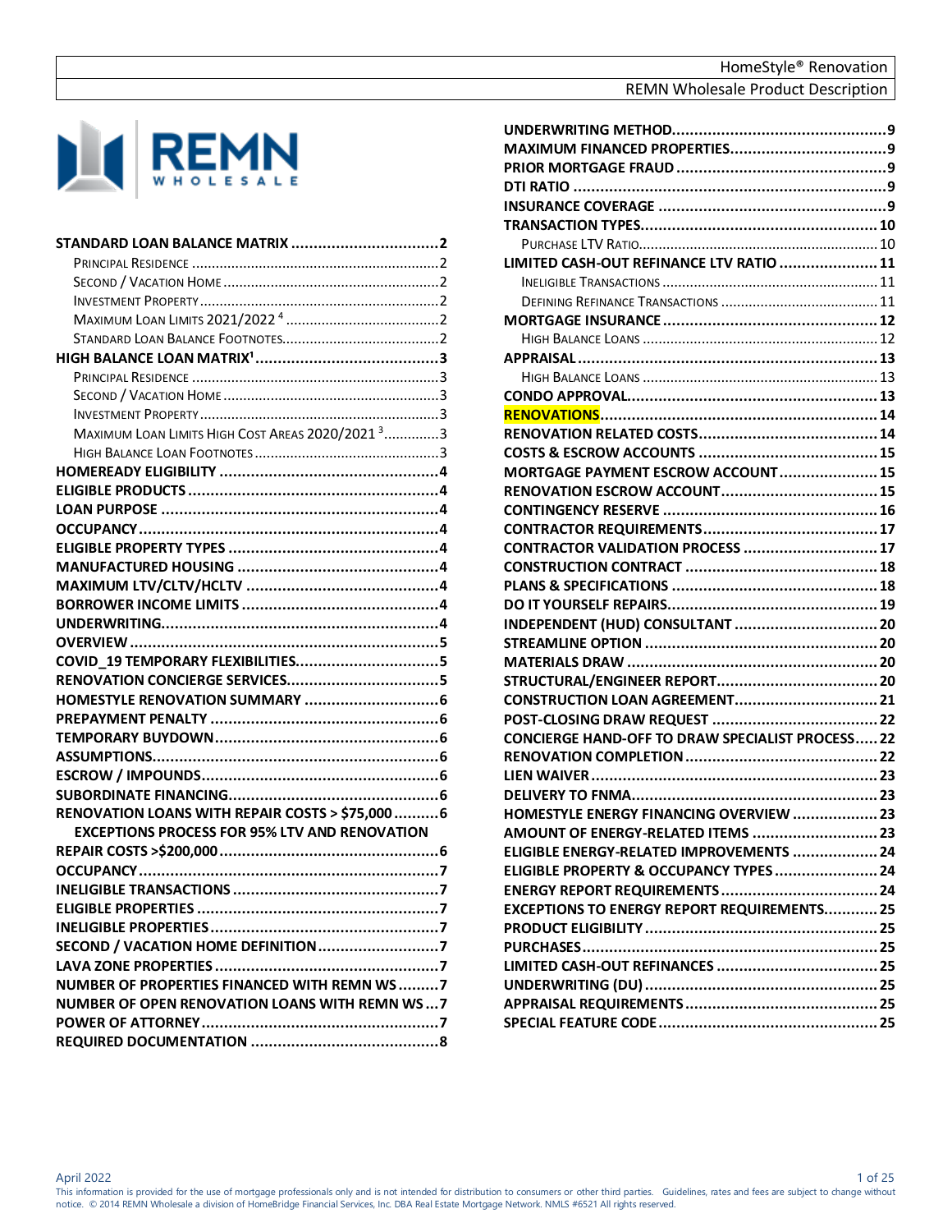

| MAXIMUM LOAN LIMITS HIGH COST AREAS 2020/2021 <sup>3</sup> 3 |  |
|--------------------------------------------------------------|--|
|                                                              |  |
|                                                              |  |
|                                                              |  |
|                                                              |  |
|                                                              |  |
|                                                              |  |
|                                                              |  |
|                                                              |  |
|                                                              |  |
|                                                              |  |
|                                                              |  |
|                                                              |  |
|                                                              |  |
|                                                              |  |
|                                                              |  |
|                                                              |  |
|                                                              |  |
|                                                              |  |
|                                                              |  |
| RENOVATION LOANS WITH REPAIR COSTS > \$75,000  6             |  |
| <b>EXCEPTIONS PROCESS FOR 95% LTV AND RENOVATION</b>         |  |
|                                                              |  |
|                                                              |  |
|                                                              |  |
|                                                              |  |
|                                                              |  |
|                                                              |  |
|                                                              |  |
| NUMBER OF PROPERTIES FINANCED WITH REMN WS7                  |  |
| <b>NUMBER OF OPEN RENOVATION LOANS WITH REMN WS7</b>         |  |
|                                                              |  |
|                                                              |  |

| LIMITED CASH-OUT REFINANCE LTV RATIO  11                |  |
|---------------------------------------------------------|--|
|                                                         |  |
|                                                         |  |
|                                                         |  |
|                                                         |  |
|                                                         |  |
|                                                         |  |
|                                                         |  |
|                                                         |  |
|                                                         |  |
|                                                         |  |
| MORTGAGE PAYMENT ESCROW ACCOUNT 15                      |  |
|                                                         |  |
|                                                         |  |
|                                                         |  |
| CONTRACTOR VALIDATION PROCESS  17                       |  |
|                                                         |  |
|                                                         |  |
|                                                         |  |
| INDEPENDENT (HUD) CONSULTANT  20                        |  |
|                                                         |  |
|                                                         |  |
|                                                         |  |
|                                                         |  |
|                                                         |  |
| <b>CONCIERGE HAND-OFF TO DRAW SPECIALIST PROCESS 22</b> |  |
|                                                         |  |
|                                                         |  |
|                                                         |  |
| <b>HOMESTYLE ENERGY FINANCING OVERVIEW  23</b>          |  |
| AMOUNT OF ENERGY-RELATED ITEMS  23                      |  |
| ELIGIBLE ENERGY-RELATED IMPROVEMENTS  24                |  |
| ELIGIBLE PROPERTY & OCCUPANCY TYPES 24                  |  |
|                                                         |  |
| <b>EXCEPTIONS TO ENERGY REPORT REQUIREMENTS 25</b>      |  |
|                                                         |  |
|                                                         |  |
|                                                         |  |
|                                                         |  |
|                                                         |  |
|                                                         |  |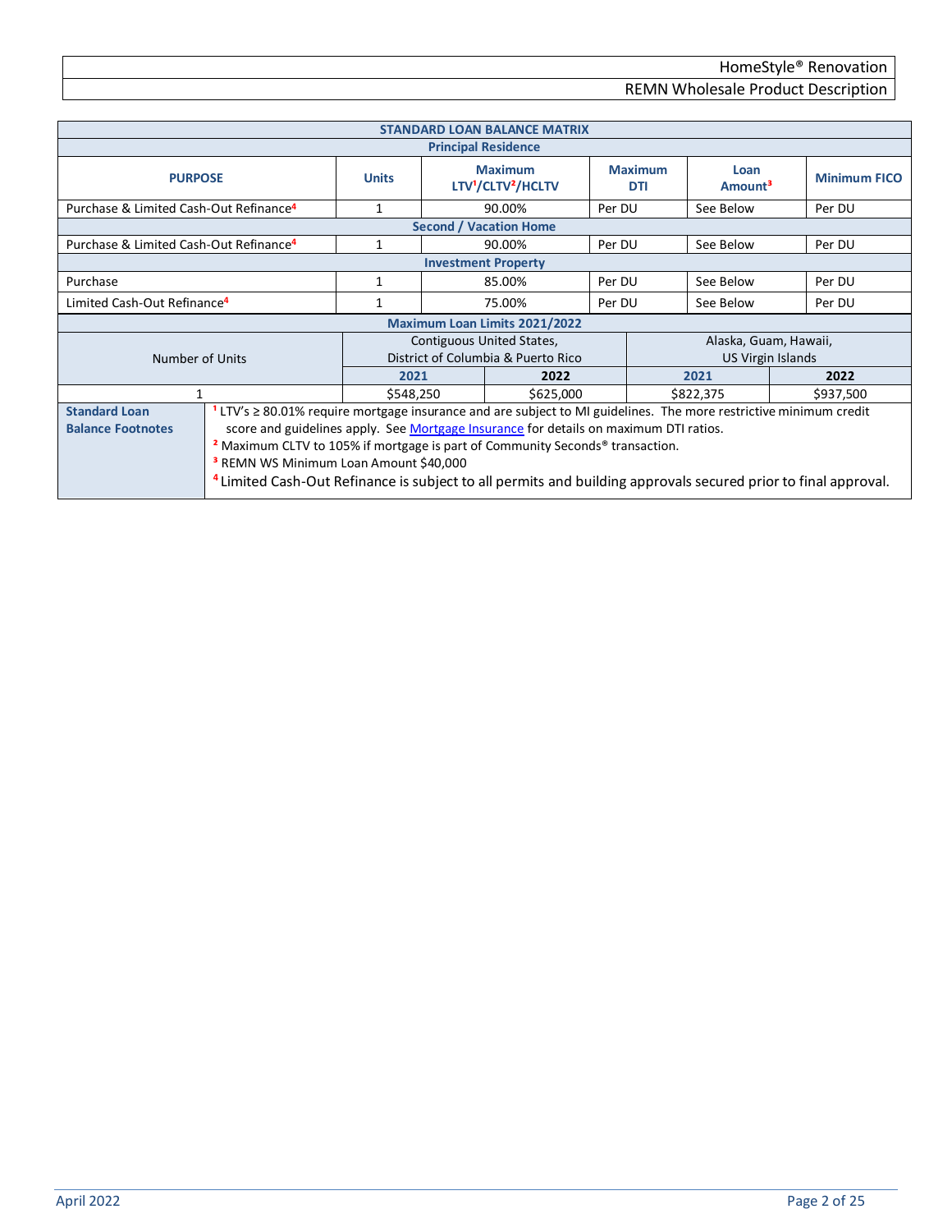<span id="page-1-5"></span><span id="page-1-4"></span><span id="page-1-3"></span><span id="page-1-2"></span><span id="page-1-1"></span><span id="page-1-0"></span>

|                                                    |                                                                                                                           |              |                                                              | <b>STANDARD LOAN BALANCE MATRIX</b> |           |                       |                             |                     |
|----------------------------------------------------|---------------------------------------------------------------------------------------------------------------------------|--------------|--------------------------------------------------------------|-------------------------------------|-----------|-----------------------|-----------------------------|---------------------|
|                                                    |                                                                                                                           |              |                                                              | <b>Principal Residence</b>          |           |                       |                             |                     |
| <b>PURPOSE</b>                                     |                                                                                                                           | <b>Units</b> | <b>Maximum</b><br>LTV <sup>1</sup> /CLTV <sup>2</sup> /HCLTV |                                     |           | <b>Maximum</b><br>DTI | Loan<br>Amount <sup>3</sup> | <b>Minimum FICO</b> |
| Purchase & Limited Cash-Out Refinance <sup>4</sup> |                                                                                                                           | 1            |                                                              | 90.00%                              | Per DU    |                       | See Below                   | Per DU              |
|                                                    |                                                                                                                           |              |                                                              | <b>Second / Vacation Home</b>       |           |                       |                             |                     |
| Purchase & Limited Cash-Out Refinance <sup>4</sup> |                                                                                                                           |              |                                                              | 90.00%                              | Per DU    |                       | See Below                   | Per DU              |
|                                                    |                                                                                                                           |              |                                                              | <b>Investment Property</b>          |           |                       |                             |                     |
| Purchase                                           |                                                                                                                           | 1            |                                                              | 85.00%                              | Per DU    |                       | See Below                   | Per DU              |
| Limited Cash-Out Refinance <sup>4</sup>            |                                                                                                                           |              |                                                              | 75.00%<br>Per DU                    |           | See Below             | Per DU                      |                     |
|                                                    |                                                                                                                           |              |                                                              | Maximum Loan Limits 2021/2022       |           |                       |                             |                     |
|                                                    |                                                                                                                           |              |                                                              | Contiguous United States,           |           |                       | Alaska, Guam, Hawaii,       |                     |
| Number of Units                                    |                                                                                                                           |              |                                                              | District of Columbia & Puerto Rico  |           | US Virgin Islands     |                             |                     |
|                                                    |                                                                                                                           | 2021         |                                                              | 2022                                |           |                       | 2021                        | 2022                |
| \$548,250<br>\$625,000                             |                                                                                                                           |              |                                                              |                                     | \$822,375 | \$937,500             |                             |                     |
| <b>Standard Loan</b>                               | $LTV's \geq 80.01\%$ require mortgage insurance and are subject to MI guidelines. The more restrictive minimum credit     |              |                                                              |                                     |           |                       |                             |                     |
| <b>Balance Footnotes</b>                           | score and guidelines apply. See Mortgage Insurance for details on maximum DTI ratios.                                     |              |                                                              |                                     |           |                       |                             |                     |
|                                                    | <sup>2</sup> Maximum CLTV to 105% if mortgage is part of Community Seconds <sup>®</sup> transaction.                      |              |                                                              |                                     |           |                       |                             |                     |
|                                                    | <sup>3</sup> REMN WS Minimum Loan Amount \$40,000                                                                         |              |                                                              |                                     |           |                       |                             |                     |
|                                                    |                                                                                                                           |              |                                                              |                                     |           |                       |                             |                     |
|                                                    | <sup>4</sup> Limited Cash-Out Refinance is subject to all permits and building approvals secured prior to final approval. |              |                                                              |                                     |           |                       |                             |                     |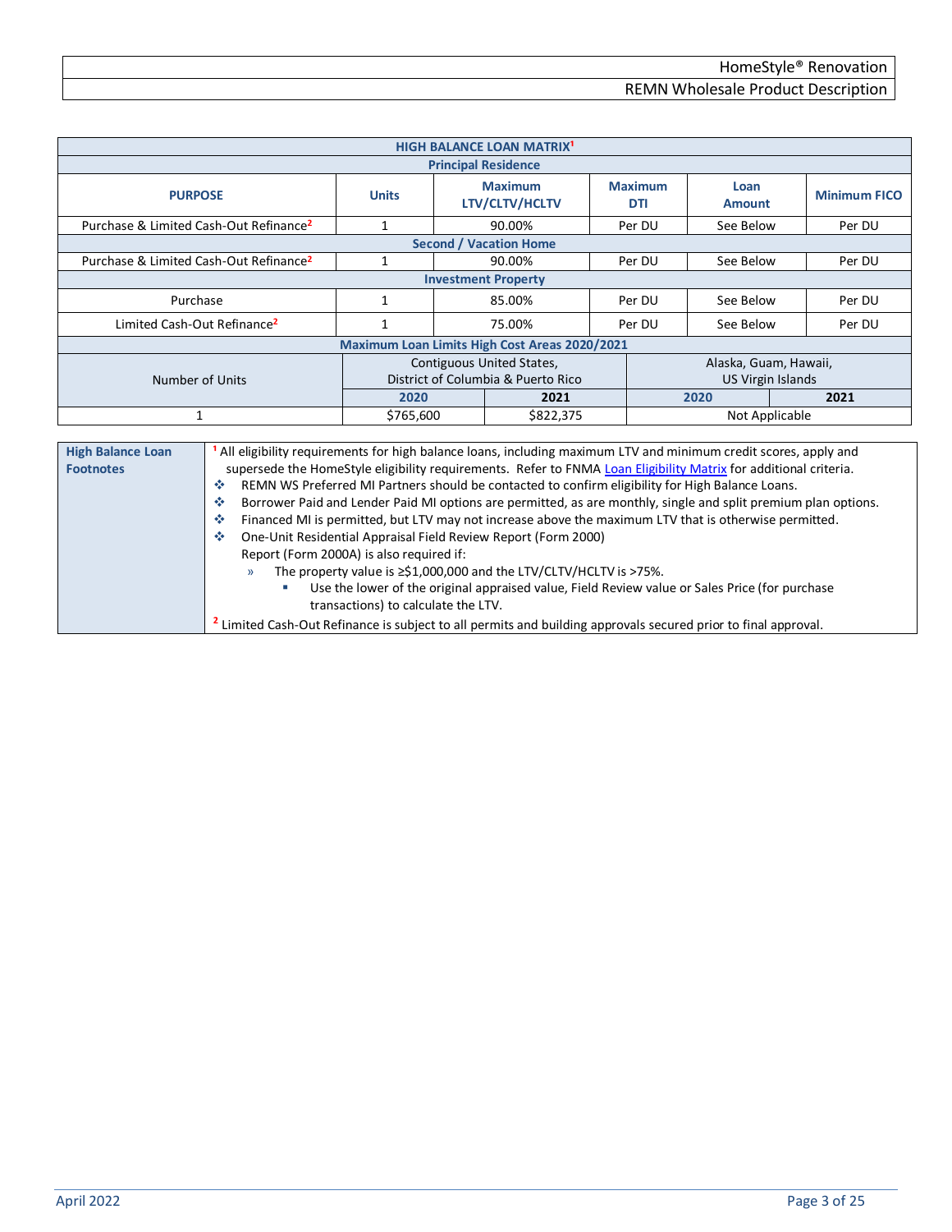<span id="page-2-4"></span><span id="page-2-3"></span><span id="page-2-2"></span><span id="page-2-1"></span><span id="page-2-0"></span>

| <b>HIGH BALANCE LOAN MATRIX<sup>1</sup></b>        |                                                                                                                                                                                                                                                                                                                                                                                                                                                                                                                                                                                                                                                           |              |  |                                    |  |                              |                          |                     |
|----------------------------------------------------|-----------------------------------------------------------------------------------------------------------------------------------------------------------------------------------------------------------------------------------------------------------------------------------------------------------------------------------------------------------------------------------------------------------------------------------------------------------------------------------------------------------------------------------------------------------------------------------------------------------------------------------------------------------|--------------|--|------------------------------------|--|------------------------------|--------------------------|---------------------|
| <b>Principal Residence</b>                         |                                                                                                                                                                                                                                                                                                                                                                                                                                                                                                                                                                                                                                                           |              |  |                                    |  |                              |                          |                     |
| <b>PURPOSE</b>                                     |                                                                                                                                                                                                                                                                                                                                                                                                                                                                                                                                                                                                                                                           | <b>Units</b> |  | <b>Maximum</b><br>LTV/CLTV/HCLTV   |  | <b>Maximum</b><br><b>DTI</b> | Loan<br><b>Amount</b>    | <b>Minimum FICO</b> |
| Purchase & Limited Cash-Out Refinance <sup>2</sup> |                                                                                                                                                                                                                                                                                                                                                                                                                                                                                                                                                                                                                                                           | 1            |  | 90.00%                             |  | Per DU                       | See Below                | Per DU              |
|                                                    |                                                                                                                                                                                                                                                                                                                                                                                                                                                                                                                                                                                                                                                           |              |  | <b>Second / Vacation Home</b>      |  |                              |                          |                     |
| Purchase & Limited Cash-Out Refinance <sup>2</sup> |                                                                                                                                                                                                                                                                                                                                                                                                                                                                                                                                                                                                                                                           | $\mathbf{1}$ |  | 90.00%                             |  | Per DU                       | See Below                | Per DU              |
|                                                    |                                                                                                                                                                                                                                                                                                                                                                                                                                                                                                                                                                                                                                                           |              |  | <b>Investment Property</b>         |  |                              |                          |                     |
| Purchase                                           |                                                                                                                                                                                                                                                                                                                                                                                                                                                                                                                                                                                                                                                           | 1            |  | 85.00%                             |  | Per DU                       | See Below                | Per DU              |
| Limited Cash-Out Refinance <sup>2</sup>            |                                                                                                                                                                                                                                                                                                                                                                                                                                                                                                                                                                                                                                                           | $\mathbf{1}$ |  | 75.00%<br>Per DU                   |  | See Below                    | Per DU                   |                     |
| Maximum Loan Limits High Cost Areas 2020/2021      |                                                                                                                                                                                                                                                                                                                                                                                                                                                                                                                                                                                                                                                           |              |  |                                    |  |                              |                          |                     |
|                                                    |                                                                                                                                                                                                                                                                                                                                                                                                                                                                                                                                                                                                                                                           |              |  | Contiguous United States,          |  |                              | Alaska, Guam, Hawaii,    |                     |
| Number of Units                                    |                                                                                                                                                                                                                                                                                                                                                                                                                                                                                                                                                                                                                                                           |              |  | District of Columbia & Puerto Rico |  |                              | <b>US Virgin Islands</b> |                     |
|                                                    |                                                                                                                                                                                                                                                                                                                                                                                                                                                                                                                                                                                                                                                           | 2020         |  | 2021                               |  |                              | 2020                     | 2021                |
| 1                                                  |                                                                                                                                                                                                                                                                                                                                                                                                                                                                                                                                                                                                                                                           | \$765,600    |  | \$822,375                          |  |                              | Not Applicable           |                     |
|                                                    |                                                                                                                                                                                                                                                                                                                                                                                                                                                                                                                                                                                                                                                           |              |  |                                    |  |                              |                          |                     |
| <b>High Balance Loan</b><br><b>Footnotes</b>       | All eligibility requirements for high balance loans, including maximum LTV and minimum credit scores, apply and<br>supersede the HomeStyle eligibility requirements. Refer to FNMA Loan Eligibility Matrix for additional criteria.<br>壘<br>REMN WS Preferred MI Partners should be contacted to confirm eligibility for High Balance Loans.<br>壘<br>Borrower Paid and Lender Paid MI options are permitted, as are monthly, single and split premium plan options.<br>Financed MI is permitted, but LTV may not increase above the maximum LTV that is otherwise permitted.<br>壘<br>One-Unit Residential Appraisal Field Review Report (Form 2000)<br>-6 |              |  |                                    |  |                              |                          |                     |

<span id="page-2-5"></span>Report (Form 2000A) is also required if:

» The property value is ≥\$1,000,000 and the LTV/CLTV/HCLTV is >75%.

- Use the lower of the original appraised value, Field Review value or Sales Price (for purchase transactions) to calculate the LTV.
- **2** Limited Cash-Out Refinance is subject to all permits and building approvals secured prior to final approval.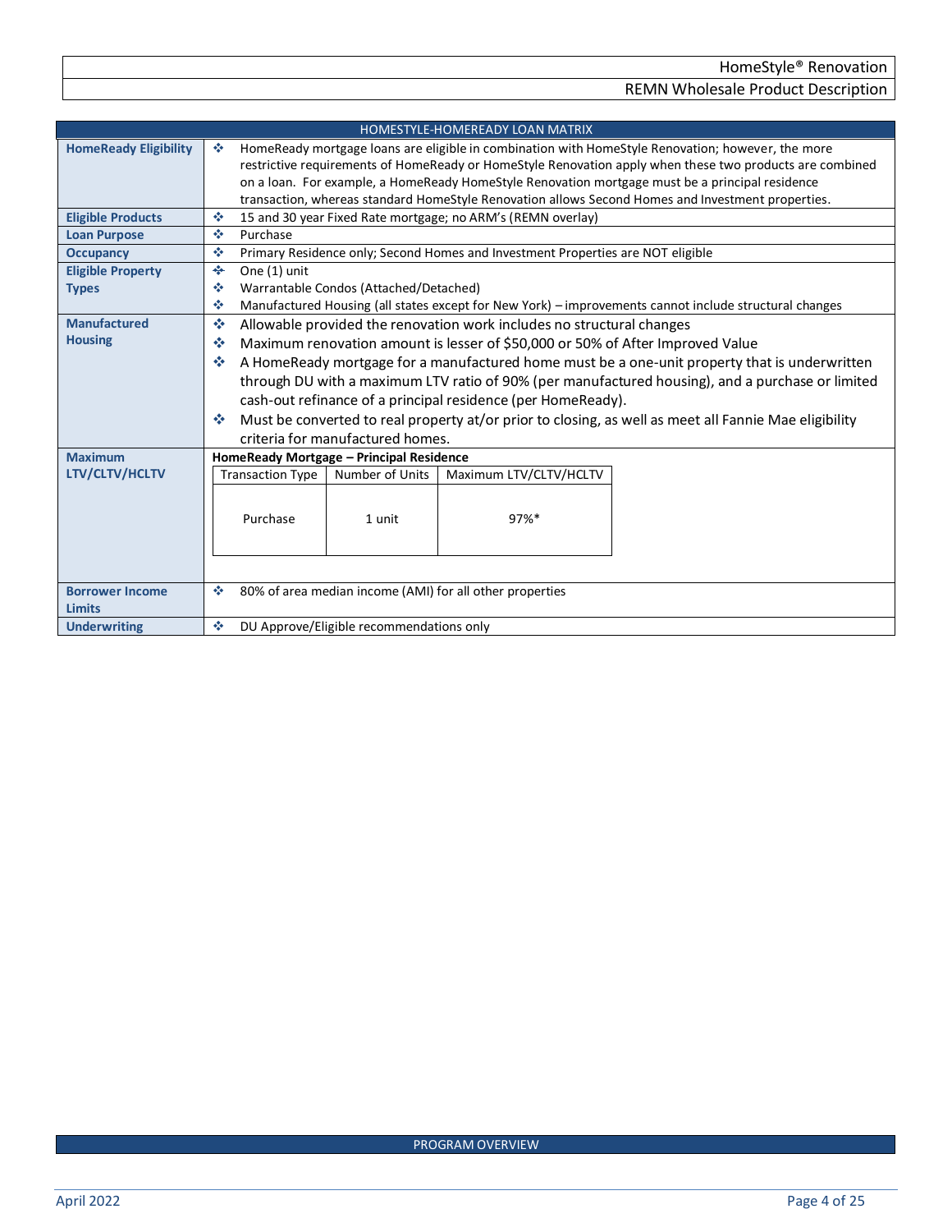<span id="page-3-8"></span><span id="page-3-7"></span><span id="page-3-6"></span><span id="page-3-5"></span><span id="page-3-4"></span><span id="page-3-3"></span><span id="page-3-2"></span><span id="page-3-1"></span><span id="page-3-0"></span>

|                              | <b>HOMESTYLE-HOMEREADY LOAN MATRIX</b>                                                                      |  |  |  |  |  |
|------------------------------|-------------------------------------------------------------------------------------------------------------|--|--|--|--|--|
| <b>HomeReady Eligibility</b> | HomeReady mortgage loans are eligible in combination with HomeStyle Renovation; however, the more<br>ൟ      |  |  |  |  |  |
|                              | restrictive requirements of HomeReady or HomeStyle Renovation apply when these two products are combined    |  |  |  |  |  |
|                              | on a loan. For example, a HomeReady HomeStyle Renovation mortgage must be a principal residence             |  |  |  |  |  |
|                              | transaction, whereas standard HomeStyle Renovation allows Second Homes and Investment properties.           |  |  |  |  |  |
| <b>Eligible Products</b>     | 15 and 30 year Fixed Rate mortgage; no ARM's (REMN overlay)<br>壘                                            |  |  |  |  |  |
| <b>Loan Purpose</b>          | Purchase<br>泰                                                                                               |  |  |  |  |  |
| <b>Occupancy</b>             | ÷<br>Primary Residence only; Second Homes and Investment Properties are NOT eligible                        |  |  |  |  |  |
| <b>Eligible Property</b>     | One (1) unit<br>$\frac{d^2\mathbf{p}}{d\mathbf{p}}$                                                         |  |  |  |  |  |
| <b>Types</b>                 | Warrantable Condos (Attached/Detached)<br>❖                                                                 |  |  |  |  |  |
|                              | Manufactured Housing (all states except for New York) - improvements cannot include structural changes<br>٠ |  |  |  |  |  |
| <b>Manufactured</b>          | ÷<br>Allowable provided the renovation work includes no structural changes                                  |  |  |  |  |  |
| <b>Housing</b>               | Maximum renovation amount is lesser of \$50,000 or 50% of After Improved Value<br>❖                         |  |  |  |  |  |
|                              | A HomeReady mortgage for a manufactured home must be a one-unit property that is underwritten<br>榛          |  |  |  |  |  |
|                              | through DU with a maximum LTV ratio of 90% (per manufactured housing), and a purchase or limited            |  |  |  |  |  |
|                              | cash-out refinance of a principal residence (per HomeReady).                                                |  |  |  |  |  |
|                              | Must be converted to real property at/or prior to closing, as well as meet all Fannie Mae eligibility<br>榛  |  |  |  |  |  |
|                              | criteria for manufactured homes.                                                                            |  |  |  |  |  |
| <b>Maximum</b>               | HomeReady Mortgage - Principal Residence                                                                    |  |  |  |  |  |
| LTV/CLTV/HCLTV               | <b>Transaction Type</b><br>Number of Units<br>Maximum LTV/CLTV/HCLTV                                        |  |  |  |  |  |
|                              |                                                                                                             |  |  |  |  |  |
|                              |                                                                                                             |  |  |  |  |  |
|                              | Purchase<br>97%*<br>1 unit                                                                                  |  |  |  |  |  |
|                              |                                                                                                             |  |  |  |  |  |
|                              |                                                                                                             |  |  |  |  |  |
|                              |                                                                                                             |  |  |  |  |  |
| <b>Borrower Income</b>       | 80% of area median income (AMI) for all other properties<br>❖                                               |  |  |  |  |  |
| <b>Limits</b>                |                                                                                                             |  |  |  |  |  |
| <b>Underwriting</b>          | DU Approve/Eligible recommendations only<br>壘                                                               |  |  |  |  |  |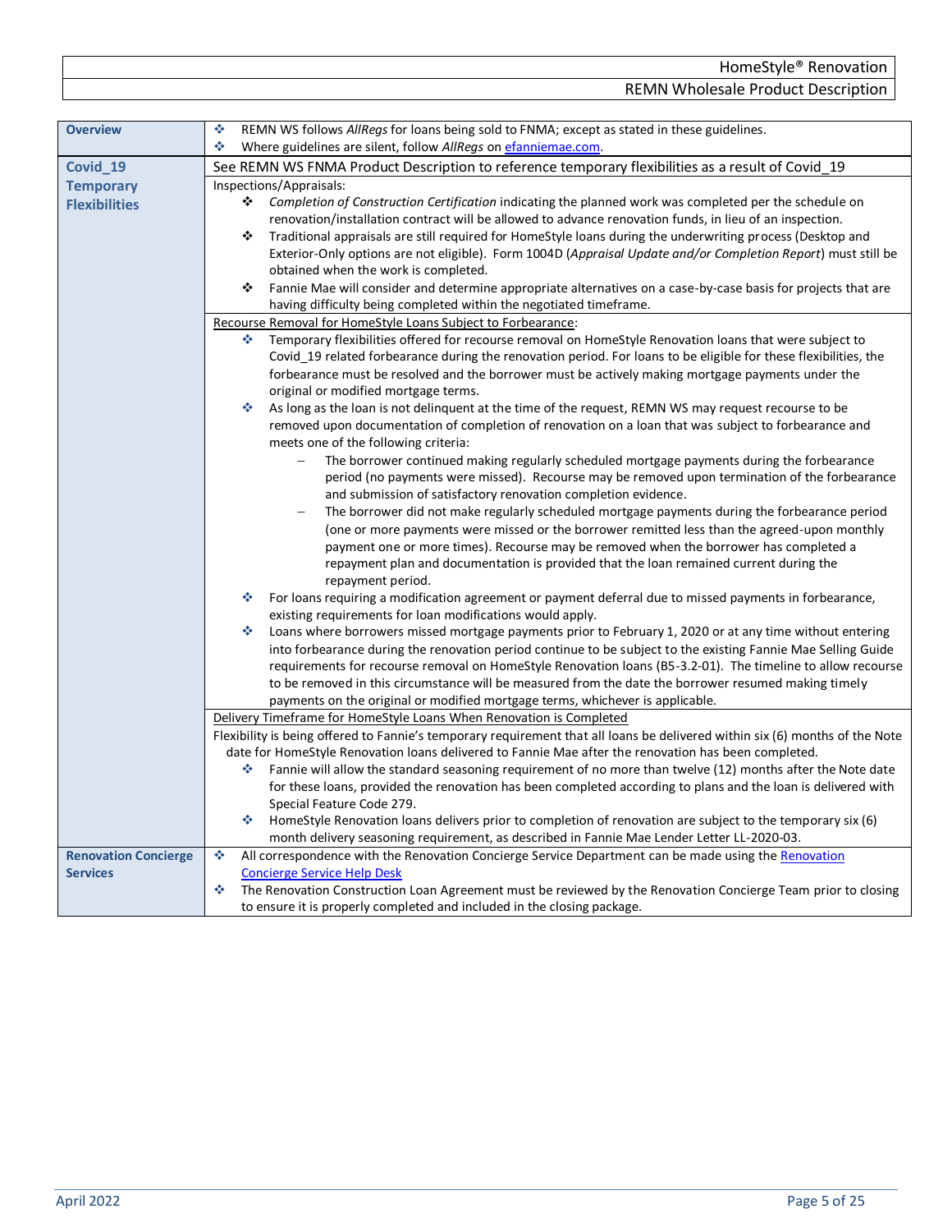<span id="page-4-2"></span><span id="page-4-1"></span><span id="page-4-0"></span>

| <b>Overview</b>             | 壘<br>REMN WS follows AllRegs for loans being sold to FNMA; except as stated in these guidelines.                             |  |  |  |  |  |  |
|-----------------------------|------------------------------------------------------------------------------------------------------------------------------|--|--|--|--|--|--|
|                             | ٠<br>Where guidelines are silent, follow AllRegs on efanniemae.com.                                                          |  |  |  |  |  |  |
| Covid_19                    | See REMN WS FNMA Product Description to reference temporary flexibilities as a result of Covid_19                            |  |  |  |  |  |  |
| <b>Temporary</b>            | Inspections/Appraisals:                                                                                                      |  |  |  |  |  |  |
| <b>Flexibilities</b>        | ❖<br>Completion of Construction Certification indicating the planned work was completed per the schedule on                  |  |  |  |  |  |  |
|                             | renovation/installation contract will be allowed to advance renovation funds, in lieu of an inspection.                      |  |  |  |  |  |  |
|                             | ❖<br>Traditional appraisals are still required for HomeStyle loans during the underwriting process (Desktop and              |  |  |  |  |  |  |
|                             | Exterior-Only options are not eligible). Form 1004D (Appraisal Update and/or Completion Report) must still be                |  |  |  |  |  |  |
|                             | obtained when the work is completed.                                                                                         |  |  |  |  |  |  |
|                             | ❖<br>Fannie Mae will consider and determine appropriate alternatives on a case-by-case basis for projects that are           |  |  |  |  |  |  |
|                             | having difficulty being completed within the negotiated timeframe.                                                           |  |  |  |  |  |  |
|                             | Recourse Removal for HomeStyle Loans Subject to Forbearance:                                                                 |  |  |  |  |  |  |
|                             | Temporary flexibilities offered for recourse removal on HomeStyle Renovation loans that were subject to<br>÷                 |  |  |  |  |  |  |
|                             | Covid 19 related forbearance during the renovation period. For loans to be eligible for these flexibilities, the             |  |  |  |  |  |  |
|                             | forbearance must be resolved and the borrower must be actively making mortgage payments under the                            |  |  |  |  |  |  |
|                             | original or modified mortgage terms.                                                                                         |  |  |  |  |  |  |
|                             | As long as the loan is not delinquent at the time of the request, REMN WS may request recourse to be<br>❖                    |  |  |  |  |  |  |
|                             | removed upon documentation of completion of renovation on a loan that was subject to forbearance and                         |  |  |  |  |  |  |
|                             | meets one of the following criteria:                                                                                         |  |  |  |  |  |  |
|                             | The borrower continued making regularly scheduled mortgage payments during the forbearance<br>$\qquad \qquad -$              |  |  |  |  |  |  |
|                             | period (no payments were missed). Recourse may be removed upon termination of the forbearance                                |  |  |  |  |  |  |
|                             | and submission of satisfactory renovation completion evidence.                                                               |  |  |  |  |  |  |
|                             |                                                                                                                              |  |  |  |  |  |  |
|                             | The borrower did not make regularly scheduled mortgage payments during the forbearance period<br>$\overline{\phantom{m}}$    |  |  |  |  |  |  |
|                             | (one or more payments were missed or the borrower remitted less than the agreed-upon monthly                                 |  |  |  |  |  |  |
|                             | payment one or more times). Recourse may be removed when the borrower has completed a                                        |  |  |  |  |  |  |
|                             | repayment plan and documentation is provided that the loan remained current during the                                       |  |  |  |  |  |  |
|                             | repayment period.                                                                                                            |  |  |  |  |  |  |
|                             | ٠<br>For loans requiring a modification agreement or payment deferral due to missed payments in forbearance,                 |  |  |  |  |  |  |
|                             | existing requirements for loan modifications would apply.                                                                    |  |  |  |  |  |  |
|                             | Loans where borrowers missed mortgage payments prior to February 1, 2020 or at any time without entering<br>❖                |  |  |  |  |  |  |
|                             | into forbearance during the renovation period continue to be subject to the existing Fannie Mae Selling Guide                |  |  |  |  |  |  |
|                             | requirements for recourse removal on HomeStyle Renovation loans (B5-3.2-01). The timeline to allow recourse                  |  |  |  |  |  |  |
|                             | to be removed in this circumstance will be measured from the date the borrower resumed making timely                         |  |  |  |  |  |  |
|                             | payments on the original or modified mortgage terms, whichever is applicable.                                                |  |  |  |  |  |  |
|                             | Delivery Timeframe for HomeStyle Loans When Renovation is Completed                                                          |  |  |  |  |  |  |
|                             | Flexibility is being offered to Fannie's temporary requirement that all loans be delivered within six (6) months of the Note |  |  |  |  |  |  |
|                             | date for HomeStyle Renovation loans delivered to Fannie Mae after the renovation has been completed.                         |  |  |  |  |  |  |
|                             | Fannie will allow the standard seasoning requirement of no more than twelve (12) months after the Note date<br>٠             |  |  |  |  |  |  |
|                             | for these loans, provided the renovation has been completed according to plans and the loan is delivered with                |  |  |  |  |  |  |
|                             | Special Feature Code 279.                                                                                                    |  |  |  |  |  |  |
|                             | ٠<br>HomeStyle Renovation loans delivers prior to completion of renovation are subject to the temporary six (6)              |  |  |  |  |  |  |
|                             | month delivery seasoning requirement, as described in Fannie Mae Lender Letter LL-2020-03.                                   |  |  |  |  |  |  |
| <b>Renovation Concierge</b> | 壘<br>All correspondence with the Renovation Concierge Service Department can be made using the Renovation                    |  |  |  |  |  |  |
| <b>Services</b>             | <b>Concierge Service Help Desk</b>                                                                                           |  |  |  |  |  |  |
|                             | 壘<br>The Renovation Construction Loan Agreement must be reviewed by the Renovation Concierge Team prior to closing           |  |  |  |  |  |  |
|                             | to ensure it is properly completed and included in the closing package.                                                      |  |  |  |  |  |  |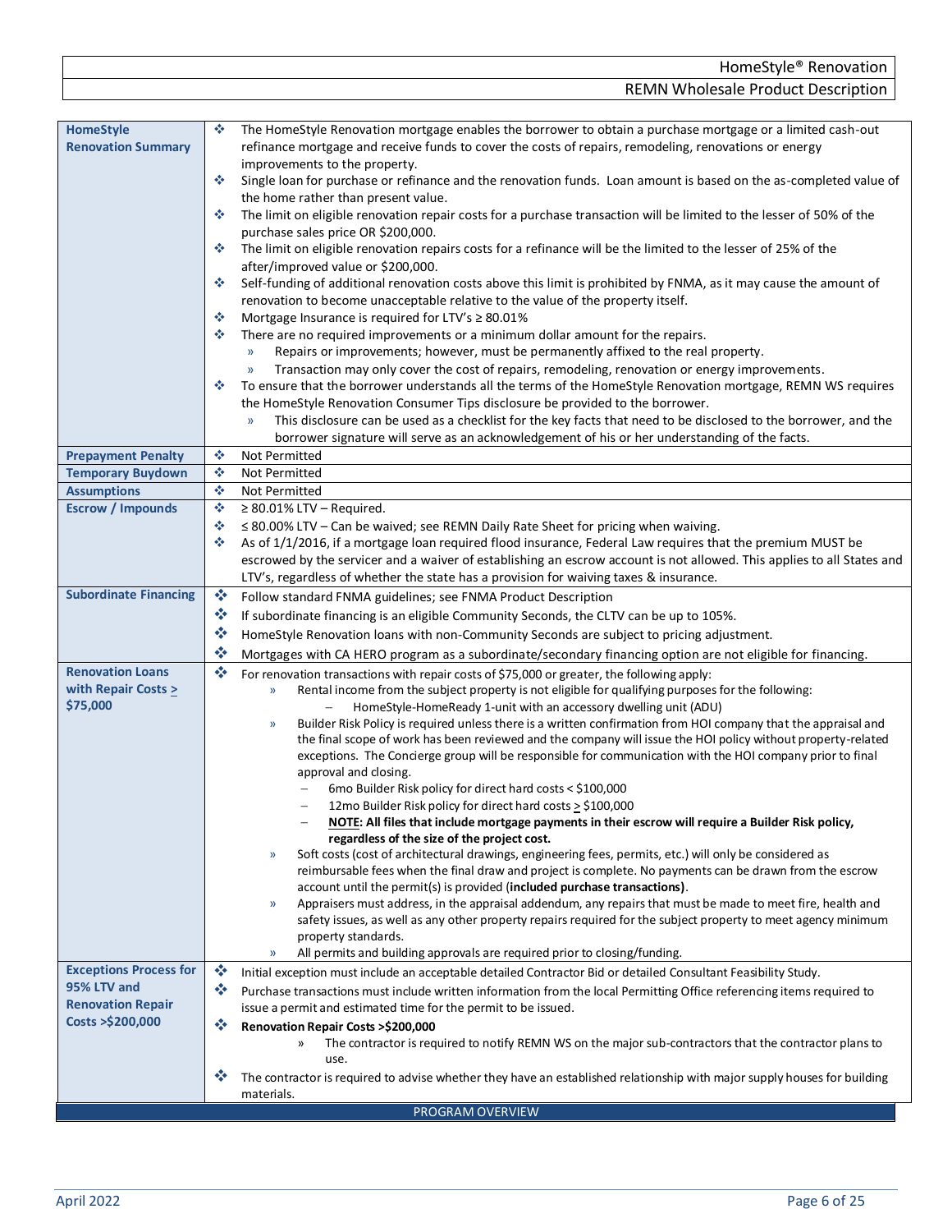|                           | HomeStyle <sup>®</sup> Renovation                                                                                                                                                                                                                         |
|---------------------------|-----------------------------------------------------------------------------------------------------------------------------------------------------------------------------------------------------------------------------------------------------------|
|                           | <b>REMN Wholesale Product Description</b>                                                                                                                                                                                                                 |
|                           |                                                                                                                                                                                                                                                           |
| vle<br><b>ion Summary</b> | The HomeStyle Renovation mortgage enables the borrower to obtain a purchase mortgage or a limited cash-out<br>※<br>refinance mortgage and receive funds to cover the costs of repairs, remodeling, renovations or energy<br>improvements to the property. |
|                           | Single loan for purchase or refinance and the renovation funds. Loan amount is based on the as-completed value of<br>壘<br>the home rather than present value.                                                                                             |
|                           | The limit on eligible renovation repair costs for a purchase transaction will be limited to the lesser of 50% of the<br>-6<br>purchase sales price OR \$200,000.                                                                                          |
|                           | The limit on eligible renovation repairs costs for a refinance will be the limited to the lesser of 25% of the<br>樂<br>after/improved value or \$200,000.                                                                                                 |
|                           | Self-funding of additional renovation costs above this limit is prohibited by FNMA, as it may cause the amount of<br>泰<br>renovation to become unacceptable relative to the value of the property itself.                                                 |
|                           | Mortgage Insurance is required for LTV's $\geq 80.01\%$<br>-6                                                                                                                                                                                             |
|                           | There are no required improvements or a minimum dollar amount for the repairs.<br>壘                                                                                                                                                                       |
|                           | Repairs or improvements; however, must be permanently affixed to the real property.<br>$\rightarrow$                                                                                                                                                      |

- » Transaction may only cover the cost of repairs, remodeling, renovation or energy improvements.
- ❖ To ensure that the borrower understands all the terms of the HomeStyle Renovation mortgage, REMN WS requires the HomeStyle Renovation Consumer Tips disclosure be provided to the borrower.
- » This disclosure can be used as a checklist for the key facts that need to be disclosed to the borrower, and the borrower signature will serve as an acknowledgement of his or her understanding of the facts. **Prepayment Penalty** ↓ **↓** Not Permitted
- <span id="page-5-6"></span><span id="page-5-5"></span><span id="page-5-4"></span><span id="page-5-3"></span><span id="page-5-2"></span><span id="page-5-1"></span>**Temporary Buydown** ❖ Not Permitted **Assumptions** ❖ Not Permitted **Escrow / Impounds** ❖ ≥ 80.01% LTV – Required. ❖ ≤ 80.00% LTV – Can be waived; see REMN Daily Rate Sheet for pricing when waiving. ❖ As of 1/1/2016, if a mortgage loan required flood insurance, Federal Law requires that the premium MUST be escrowed by the servicer and a waiver of establishing an escrow account is not allowed. This applies to all States and LTV's, regardless of whether the state has a provision for waiving taxes & insurance. **Subordinate Financing** ❖ Follow standard FNMA guidelines; see FNMA Product Description ❖ If subordinate financing is an eligible Community Seconds, the CLTV can be up to 105%. ❖ HomeStyle Renovation loans with non-Community Seconds are subject to pricing adjustment. ❖ Mortgages with CA HERO program as a subordinate/secondary financing option are not eligible for financing. **Renovation Loans with Repair Costs > \$75,000** For renovation transactions with repair costs of \$75,000 or greater, the following apply: » Rental income from the subject property is not eligible for qualifying purposes for the following: − HomeStyle-HomeReady 1-unit with an accessory dwelling unit (ADU) » Builder Risk Policy is required unless there is a written confirmation from HOI company that the appraisal and the final scope of work has been reviewed and the company will issue the HOI policy without property-related exceptions. The Concierge group will be responsible for communication with the HOI company prior to final approval and closing. − 6mo Builder Risk policy for direct hard costs < \$100,000 − 12mo Builder Risk policy for direct hard costs > \$100,000 − **NOTE: All files that include mortgage payments in their escrow will require a Builder Risk policy, regardless of the size of the project cost.**  » Soft costs (cost of architectural drawings, engineering fees, permits, etc.) will only be considered as reimbursable fees when the final draw and project is complete. No payments can be drawn from the escrow account until the permit(s) is provided (**included purchase transactions)**. » Appraisers must address, in the appraisal addendum, any repairs that must be made to meet fire, health and safety issues, as well as any other property repairs required for the subject property to meet agency minimum property standards. » All permits and building approvals are required prior to closing/funding.
- <span id="page-5-7"></span>**Exceptions Process for 95% LTV and Renovation Repair Costs >\$200,000** ❖ Initial exception must include an acceptable detailed Contractor Bid or detailed Consultant Feasibility Study. ❖ Purchase transactions must include written information from the local Permitting Office referencing items required to issue a permit and estimated time for the permit to be issued. ❖ **Renovation Repair Costs >\$200,000** » The contractor is required to notify REMN WS on the major sub-contractors that the contractor plans to use. ❖ The contractor is required to advise whether they have an established relationship with major supply houses for building materials.

<span id="page-5-0"></span>**HomeSty Renovat**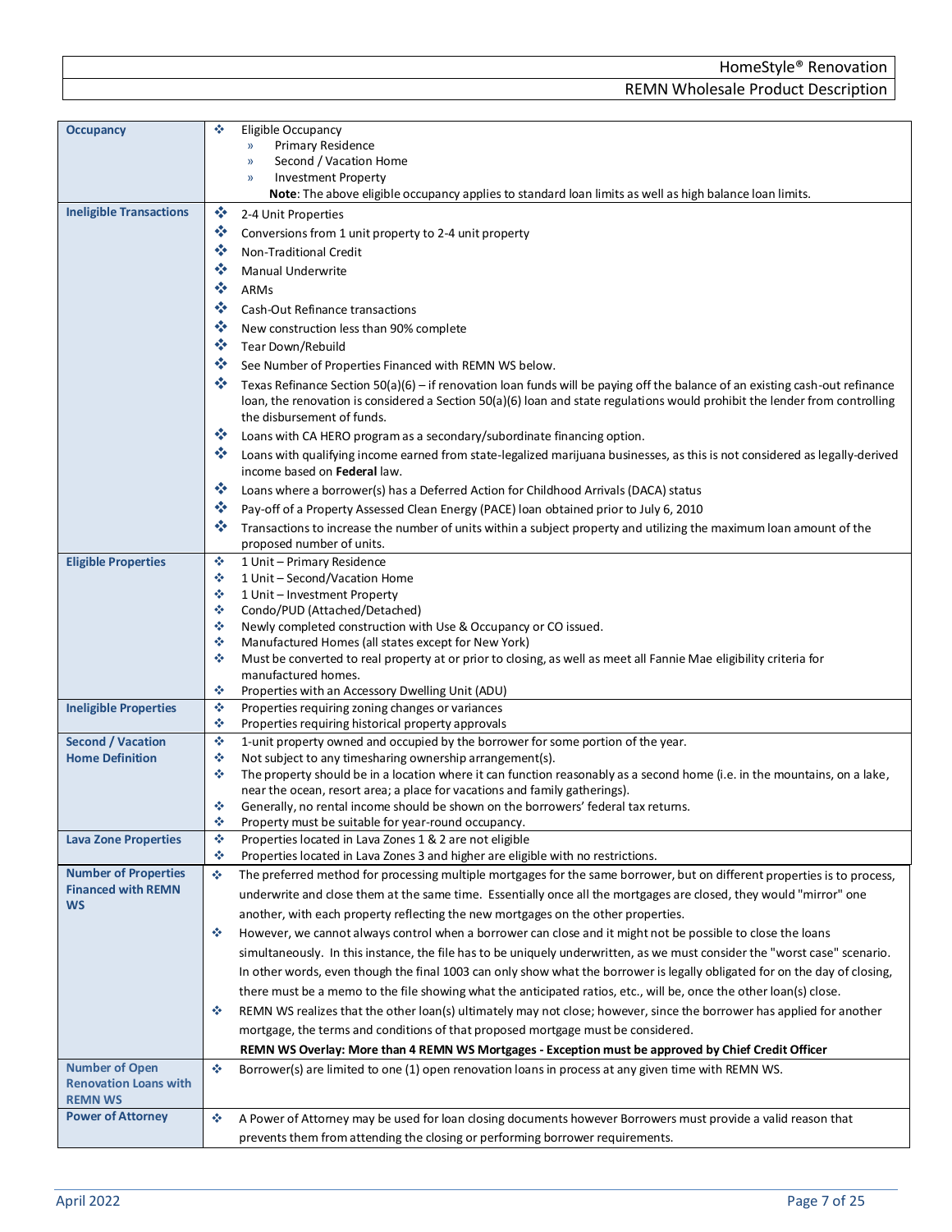<span id="page-6-8"></span><span id="page-6-7"></span><span id="page-6-6"></span><span id="page-6-5"></span><span id="page-6-4"></span><span id="page-6-3"></span><span id="page-6-2"></span><span id="page-6-1"></span><span id="page-6-0"></span>

| <b>Occupancy</b>               | ❖<br>Eligible Occupancy                                                                                                                                                                                                                                                                          |
|--------------------------------|--------------------------------------------------------------------------------------------------------------------------------------------------------------------------------------------------------------------------------------------------------------------------------------------------|
|                                | Primary Residence<br>$\mathcal{Y}$                                                                                                                                                                                                                                                               |
|                                | Second / Vacation Home<br>$\mathcal{Y}$                                                                                                                                                                                                                                                          |
|                                | <b>Investment Property</b><br>$\mathcal{Y}$<br>Note: The above eligible occupancy applies to standard loan limits as well as high balance loan limits.                                                                                                                                           |
| <b>Ineligible Transactions</b> | 豪<br>2-4 Unit Properties                                                                                                                                                                                                                                                                         |
|                                | ❖<br>Conversions from 1 unit property to 2-4 unit property                                                                                                                                                                                                                                       |
|                                | 豪                                                                                                                                                                                                                                                                                                |
|                                | Non-Traditional Credit<br>❖                                                                                                                                                                                                                                                                      |
|                                | <b>Manual Underwrite</b><br>榛                                                                                                                                                                                                                                                                    |
|                                | ARMs<br>豪                                                                                                                                                                                                                                                                                        |
|                                | Cash-Out Refinance transactions                                                                                                                                                                                                                                                                  |
|                                | 豪<br>New construction less than 90% complete                                                                                                                                                                                                                                                     |
|                                | 豪<br>Tear Down/Rebuild                                                                                                                                                                                                                                                                           |
|                                | 豪<br>See Number of Properties Financed with REMN WS below.                                                                                                                                                                                                                                       |
|                                | ÷<br>Texas Refinance Section $50(a)(6)$ – if renovation loan funds will be paying off the balance of an existing cash-out refinance<br>loan, the renovation is considered a Section 50(a)(6) loan and state regulations would prohibit the lender from controlling<br>the disbursement of funds. |
|                                | 豪<br>Loans with CA HERO program as a secondary/subordinate financing option.                                                                                                                                                                                                                     |
|                                | ≪<br>Loans with qualifying income earned from state-legalized marijuana businesses, as this is not considered as legally-derived<br>income based on Federal law.                                                                                                                                 |
|                                | 豪<br>Loans where a borrower(s) has a Deferred Action for Childhood Arrivals (DACA) status                                                                                                                                                                                                        |
|                                | ∙<br>Pay-off of a Property Assessed Clean Energy (PACE) loan obtained prior to July 6, 2010                                                                                                                                                                                                      |
|                                | ❖<br>Transactions to increase the number of units within a subject property and utilizing the maximum loan amount of the                                                                                                                                                                         |
|                                | proposed number of units.                                                                                                                                                                                                                                                                        |
| <b>Eligible Properties</b>     | ٠<br>1 Unit - Primary Residence                                                                                                                                                                                                                                                                  |
|                                | ٠<br>1 Unit - Second/Vacation Home<br>٠<br>1 Unit - Investment Property                                                                                                                                                                                                                          |
|                                | ٠<br>Condo/PUD (Attached/Detached)                                                                                                                                                                                                                                                               |
|                                | ٠<br>Newly completed construction with Use & Occupancy or CO issued.                                                                                                                                                                                                                             |
|                                | ٠<br>Manufactured Homes (all states except for New York)                                                                                                                                                                                                                                         |
|                                | ٠<br>Must be converted to real property at or prior to closing, as well as meet all Fannie Mae eligibility criteria for                                                                                                                                                                          |
|                                | manufactured homes.                                                                                                                                                                                                                                                                              |
|                                | ٠<br>Properties with an Accessory Dwelling Unit (ADU)<br>壘                                                                                                                                                                                                                                       |
| <b>Ineligible Properties</b>   | Properties requiring zoning changes or variances<br>٠<br>Properties requiring historical property approvals                                                                                                                                                                                      |
| <b>Second / Vacation</b>       | 壘<br>1-unit property owned and occupied by the borrower for some portion of the year.                                                                                                                                                                                                            |
| <b>Home Definition</b>         | ٠<br>Not subject to any timesharing ownership arrangement(s).                                                                                                                                                                                                                                    |
|                                | The property should be in a location where it can function reasonably as a second home (i.e. in the mountains, on a lake,<br>٠                                                                                                                                                                   |
|                                | near the ocean, resort area; a place for vacations and family gatherings).                                                                                                                                                                                                                       |
|                                | Generally, no rental income should be shown on the borrowers' federal tax returns.<br>٠<br>Property must be suitable for year-round occupancy.                                                                                                                                                   |
| <b>Lava Zone Properties</b>    | ÷<br>壘<br>Properties located in Lava Zones 1 & 2 are not eligible                                                                                                                                                                                                                                |
|                                | 壘<br>Properties located in Lava Zones 3 and higher are eligible with no restrictions.                                                                                                                                                                                                            |
| <b>Number of Properties</b>    | 壘<br>The preferred method for processing multiple mortgages for the same borrower, but on different properties is to process,                                                                                                                                                                    |
| <b>Financed with REMN</b>      | underwrite and close them at the same time. Essentially once all the mortgages are closed, they would "mirror" one                                                                                                                                                                               |
| <b>WS</b>                      | another, with each property reflecting the new mortgages on the other properties.                                                                                                                                                                                                                |
|                                | However, we cannot always control when a borrower can close and it might not be possible to close the loans<br>÷                                                                                                                                                                                 |
|                                | simultaneously. In this instance, the file has to be uniquely underwritten, as we must consider the "worst case" scenario.                                                                                                                                                                       |
|                                | In other words, even though the final 1003 can only show what the borrower is legally obligated for on the day of closing,                                                                                                                                                                       |
|                                | there must be a memo to the file showing what the anticipated ratios, etc., will be, once the other loan(s) close.                                                                                                                                                                               |
|                                | REMN WS realizes that the other loan(s) ultimately may not close; however, since the borrower has applied for another<br>÷                                                                                                                                                                       |
|                                | mortgage, the terms and conditions of that proposed mortgage must be considered.                                                                                                                                                                                                                 |
|                                | REMN WS Overlay: More than 4 REMN WS Mortgages - Exception must be approved by Chief Credit Officer                                                                                                                                                                                              |
| <b>Number of Open</b>          | ٠<br>Borrower(s) are limited to one (1) open renovation loans in process at any given time with REMN WS.                                                                                                                                                                                         |
| <b>Renovation Loans with</b>   |                                                                                                                                                                                                                                                                                                  |
| <b>REMN WS</b>                 |                                                                                                                                                                                                                                                                                                  |
| <b>Power of Attorney</b>       | ٠<br>A Power of Attorney may be used for loan closing documents however Borrowers must provide a valid reason that                                                                                                                                                                               |
|                                | prevents them from attending the closing or performing borrower requirements.                                                                                                                                                                                                                    |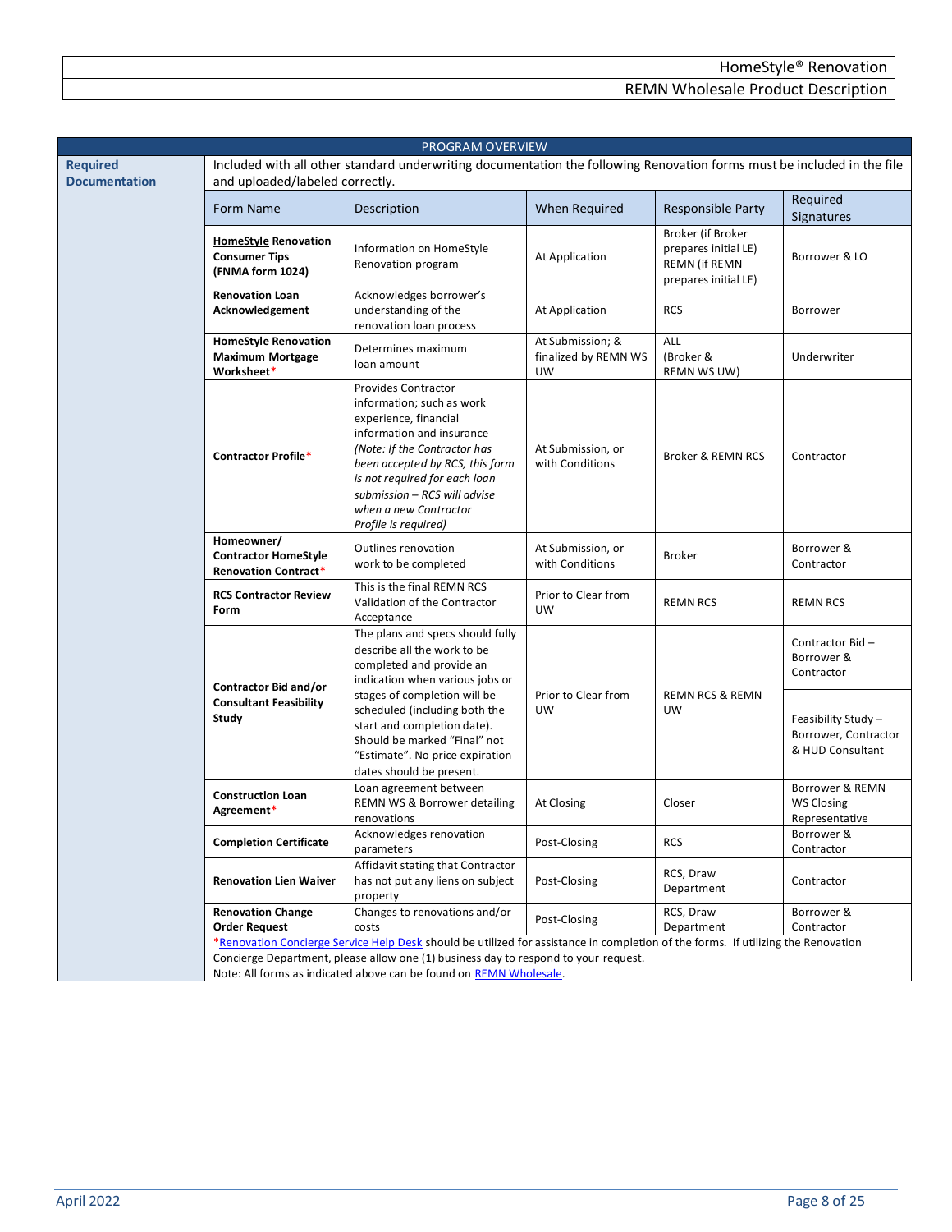<span id="page-7-0"></span>

| PROGRAM OVERVIEW                        |                                                                                                                                                                                                                                                                                                |                                                                                                                                                                                                                                                                                                    |                                                       |                                                                                           |                                                                                            |  |  |
|-----------------------------------------|------------------------------------------------------------------------------------------------------------------------------------------------------------------------------------------------------------------------------------------------------------------------------------------------|----------------------------------------------------------------------------------------------------------------------------------------------------------------------------------------------------------------------------------------------------------------------------------------------------|-------------------------------------------------------|-------------------------------------------------------------------------------------------|--------------------------------------------------------------------------------------------|--|--|
| <b>Required</b><br><b>Documentation</b> | Included with all other standard underwriting documentation the following Renovation forms must be included in the file<br>and uploaded/labeled correctly.                                                                                                                                     |                                                                                                                                                                                                                                                                                                    |                                                       |                                                                                           |                                                                                            |  |  |
|                                         | Form Name                                                                                                                                                                                                                                                                                      | Description                                                                                                                                                                                                                                                                                        | When Required                                         | <b>Responsible Party</b>                                                                  | Required<br>Signatures                                                                     |  |  |
|                                         | <b>HomeStyle Renovation</b><br><b>Consumer Tips</b><br>(FNMA form 1024)                                                                                                                                                                                                                        | Information on HomeStyle<br>Renovation program                                                                                                                                                                                                                                                     | At Application                                        | Broker (if Broker<br>prepares initial LE)<br><b>REMN (if REMN</b><br>prepares initial LE) | Borrower & LO                                                                              |  |  |
|                                         | <b>Renovation Loan</b><br>Acknowledgement                                                                                                                                                                                                                                                      | Acknowledges borrower's<br>understanding of the<br>renovation loan process                                                                                                                                                                                                                         | At Application                                        | <b>RCS</b>                                                                                | Borrower                                                                                   |  |  |
|                                         | <b>HomeStyle Renovation</b><br><b>Maximum Mortgage</b><br>Worksheet*                                                                                                                                                                                                                           | Determines maximum<br>loan amount                                                                                                                                                                                                                                                                  | At Submission; &<br>finalized by REMN WS<br><b>UW</b> | ALL<br>(Broker &<br>REMN WS UW)                                                           | Underwriter                                                                                |  |  |
|                                         | <b>Contractor Profile*</b>                                                                                                                                                                                                                                                                     | <b>Provides Contractor</b><br>information; such as work<br>experience, financial<br>information and insurance<br>(Note: If the Contractor has<br>been accepted by RCS, this form<br>is not required for each loan<br>submission - RCS will advise<br>when a new Contractor<br>Profile is required) | At Submission, or<br>with Conditions                  | <b>Broker &amp; REMN RCS</b>                                                              | Contractor                                                                                 |  |  |
|                                         | Homeowner/<br><b>Contractor HomeStyle</b><br><b>Renovation Contract*</b>                                                                                                                                                                                                                       | Outlines renovation<br>work to be completed                                                                                                                                                                                                                                                        | At Submission, or<br>with Conditions                  | <b>Broker</b>                                                                             | Borrower &<br>Contractor                                                                   |  |  |
|                                         | <b>RCS Contractor Review</b><br>Form                                                                                                                                                                                                                                                           | This is the final REMN RCS<br>Validation of the Contractor<br>Acceptance                                                                                                                                                                                                                           | Prior to Clear from<br><b>UW</b>                      | <b>REMN RCS</b>                                                                           | <b>REMN RCS</b>                                                                            |  |  |
|                                         | <b>Contractor Bid and/or</b><br><b>Consultant Feasibility</b><br>Study                                                                                                                                                                                                                         | The plans and specs should fully<br>describe all the work to be<br>completed and provide an<br>indication when various jobs or<br>stages of completion will be<br>scheduled (including both the<br>start and completion date).<br>Should be marked "Final" not                                     | Prior to Clear from<br><b>UW</b>                      | <b>REMN RCS &amp; REMN</b><br>UW                                                          | Contractor Bid-<br>Borrower &<br>Contractor<br>Feasibility Study -<br>Borrower, Contractor |  |  |
|                                         |                                                                                                                                                                                                                                                                                                | "Estimate". No price expiration<br>dates should be present.                                                                                                                                                                                                                                        |                                                       |                                                                                           | & HUD Consultant                                                                           |  |  |
|                                         | <b>Construction Loan</b><br>Agreement*                                                                                                                                                                                                                                                         | Loan agreement between<br>REMN WS & Borrower detailing<br>renovations                                                                                                                                                                                                                              | At Closing                                            | Closer                                                                                    | Borrower & REMN<br>WS Closing<br>Representative                                            |  |  |
|                                         | <b>Completion Certificate</b>                                                                                                                                                                                                                                                                  | Acknowledges renovation<br>parameters                                                                                                                                                                                                                                                              | Post-Closing                                          | <b>RCS</b>                                                                                | Borrower &<br>Contractor                                                                   |  |  |
|                                         | <b>Renovation Lien Waiver</b>                                                                                                                                                                                                                                                                  | Affidavit stating that Contractor<br>has not put any liens on subject<br>property                                                                                                                                                                                                                  | Post-Closing                                          | RCS, Draw<br>Department                                                                   | Contractor                                                                                 |  |  |
|                                         | <b>Renovation Change</b><br><b>Order Request</b>                                                                                                                                                                                                                                               | Changes to renovations and/or<br>costs                                                                                                                                                                                                                                                             | Post-Closing                                          | RCS, Draw<br>Department                                                                   | Borrower &<br>Contractor                                                                   |  |  |
|                                         | *Renovation Concierge Service Help Desk should be utilized for assistance in completion of the forms. If utilizing the Renovation<br>Concierge Department, please allow one (1) business day to respond to your request.<br>Note: All forms as indicated above can be found on REMN Wholesale. |                                                                                                                                                                                                                                                                                                    |                                                       |                                                                                           |                                                                                            |  |  |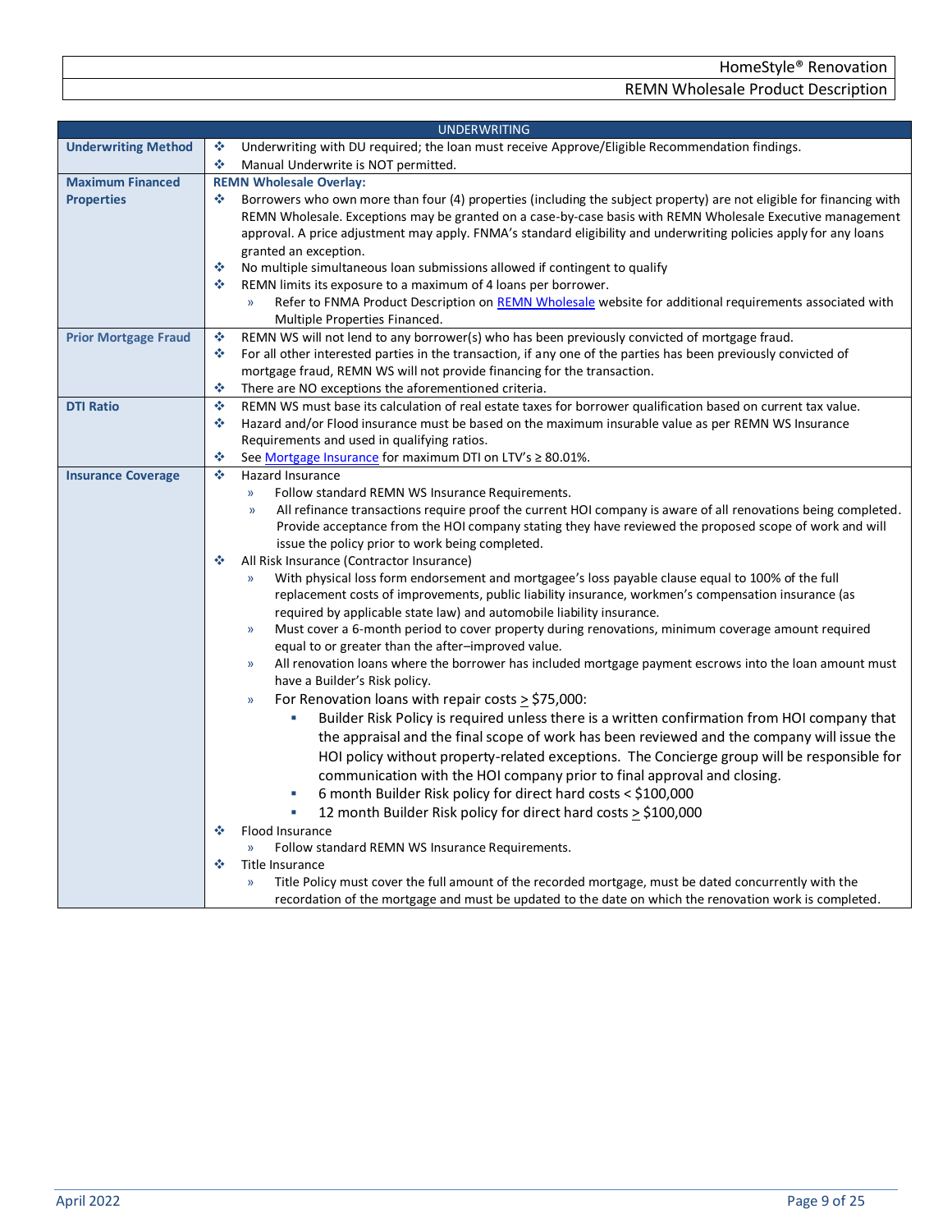<span id="page-8-4"></span><span id="page-8-3"></span><span id="page-8-2"></span><span id="page-8-1"></span><span id="page-8-0"></span>

| <b>UNDERWRITING</b>         |                                                                                                                                                                 |  |  |  |
|-----------------------------|-----------------------------------------------------------------------------------------------------------------------------------------------------------------|--|--|--|
| <b>Underwriting Method</b>  | ٠<br>Underwriting with DU required; the loan must receive Approve/Eligible Recommendation findings.                                                             |  |  |  |
|                             | ٠<br>Manual Underwrite is NOT permitted.                                                                                                                        |  |  |  |
| <b>Maximum Financed</b>     | <b>REMN Wholesale Overlay:</b>                                                                                                                                  |  |  |  |
| <b>Properties</b>           | ٠<br>Borrowers who own more than four (4) properties (including the subject property) are not eligible for financing with                                       |  |  |  |
|                             | REMN Wholesale. Exceptions may be granted on a case-by-case basis with REMN Wholesale Executive management                                                      |  |  |  |
|                             | approval. A price adjustment may apply. FNMA's standard eligibility and underwriting policies apply for any loans                                               |  |  |  |
|                             | granted an exception.                                                                                                                                           |  |  |  |
|                             | ٠<br>No multiple simultaneous loan submissions allowed if contingent to qualify                                                                                 |  |  |  |
|                             | ٠<br>REMN limits its exposure to a maximum of 4 loans per borrower.                                                                                             |  |  |  |
|                             | Refer to FNMA Product Description on REMN Wholesale website for additional requirements associated with<br>$\mathcal{Y}$                                        |  |  |  |
|                             | Multiple Properties Financed.                                                                                                                                   |  |  |  |
| <b>Prior Mortgage Fraud</b> | ٠<br>REMN WS will not lend to any borrower(s) who has been previously convicted of mortgage fraud.                                                              |  |  |  |
|                             | For all other interested parties in the transaction, if any one of the parties has been previously convicted of<br>٠                                            |  |  |  |
|                             | mortgage fraud, REMN WS will not provide financing for the transaction.                                                                                         |  |  |  |
|                             | ٠<br>There are NO exceptions the aforementioned criteria.                                                                                                       |  |  |  |
| <b>DTI Ratio</b>            | ٠<br>REMN WS must base its calculation of real estate taxes for borrower qualification based on current tax value.                                              |  |  |  |
|                             | Hazard and/or Flood insurance must be based on the maximum insurable value as per REMN WS Insurance<br>❖                                                        |  |  |  |
|                             | Requirements and used in qualifying ratios.                                                                                                                     |  |  |  |
|                             | ٠<br>See Mortgage Insurance for maximum DTI on LTV's ≥ 80.01%.                                                                                                  |  |  |  |
| <b>Insurance Coverage</b>   | ÷<br><b>Hazard Insurance</b>                                                                                                                                    |  |  |  |
|                             | Follow standard REMN WS Insurance Requirements.<br>$\mathcal{Y}$                                                                                                |  |  |  |
|                             | All refinance transactions require proof the current HOI company is aware of all renovations being completed.<br>$\mathcal{Y}$                                  |  |  |  |
|                             | Provide acceptance from the HOI company stating they have reviewed the proposed scope of work and will                                                          |  |  |  |
|                             | issue the policy prior to work being completed.<br>❖                                                                                                            |  |  |  |
|                             | All Risk Insurance (Contractor Insurance)<br>With physical loss form endorsement and mortgagee's loss payable clause equal to 100% of the full<br>$\mathcal{Y}$ |  |  |  |
|                             | replacement costs of improvements, public liability insurance, workmen's compensation insurance (as                                                             |  |  |  |
|                             | required by applicable state law) and automobile liability insurance.                                                                                           |  |  |  |
|                             | Must cover a 6-month period to cover property during renovations, minimum coverage amount required<br>$\rangle$                                                 |  |  |  |
|                             | equal to or greater than the after-improved value.                                                                                                              |  |  |  |
|                             | All renovation loans where the borrower has included mortgage payment escrows into the loan amount must<br>$\mathcal{Y}$                                        |  |  |  |
|                             | have a Builder's Risk policy.                                                                                                                                   |  |  |  |
|                             | For Renovation loans with repair costs $\ge$ \$75,000:<br>$\rangle\!\rangle$                                                                                    |  |  |  |
|                             | Builder Risk Policy is required unless there is a written confirmation from HOI company that                                                                    |  |  |  |
|                             | the appraisal and the final scope of work has been reviewed and the company will issue the                                                                      |  |  |  |
|                             | HOI policy without property-related exceptions. The Concierge group will be responsible for                                                                     |  |  |  |
|                             |                                                                                                                                                                 |  |  |  |
|                             | communication with the HOI company prior to final approval and closing.                                                                                         |  |  |  |
|                             | 6 month Builder Risk policy for direct hard costs < \$100,000                                                                                                   |  |  |  |
|                             | 12 month Builder Risk policy for direct hard costs > \$100,000                                                                                                  |  |  |  |
|                             | ❖<br>Flood Insurance                                                                                                                                            |  |  |  |
|                             | Follow standard REMN WS Insurance Requirements.<br>$\mathcal{Y}$                                                                                                |  |  |  |
|                             | ❖<br>Title Insurance                                                                                                                                            |  |  |  |
|                             | Title Policy must cover the full amount of the recorded mortgage, must be dated concurrently with the<br>$\mathcal{V}$                                          |  |  |  |
|                             | recordation of the mortgage and must be updated to the date on which the renovation work is completed.                                                          |  |  |  |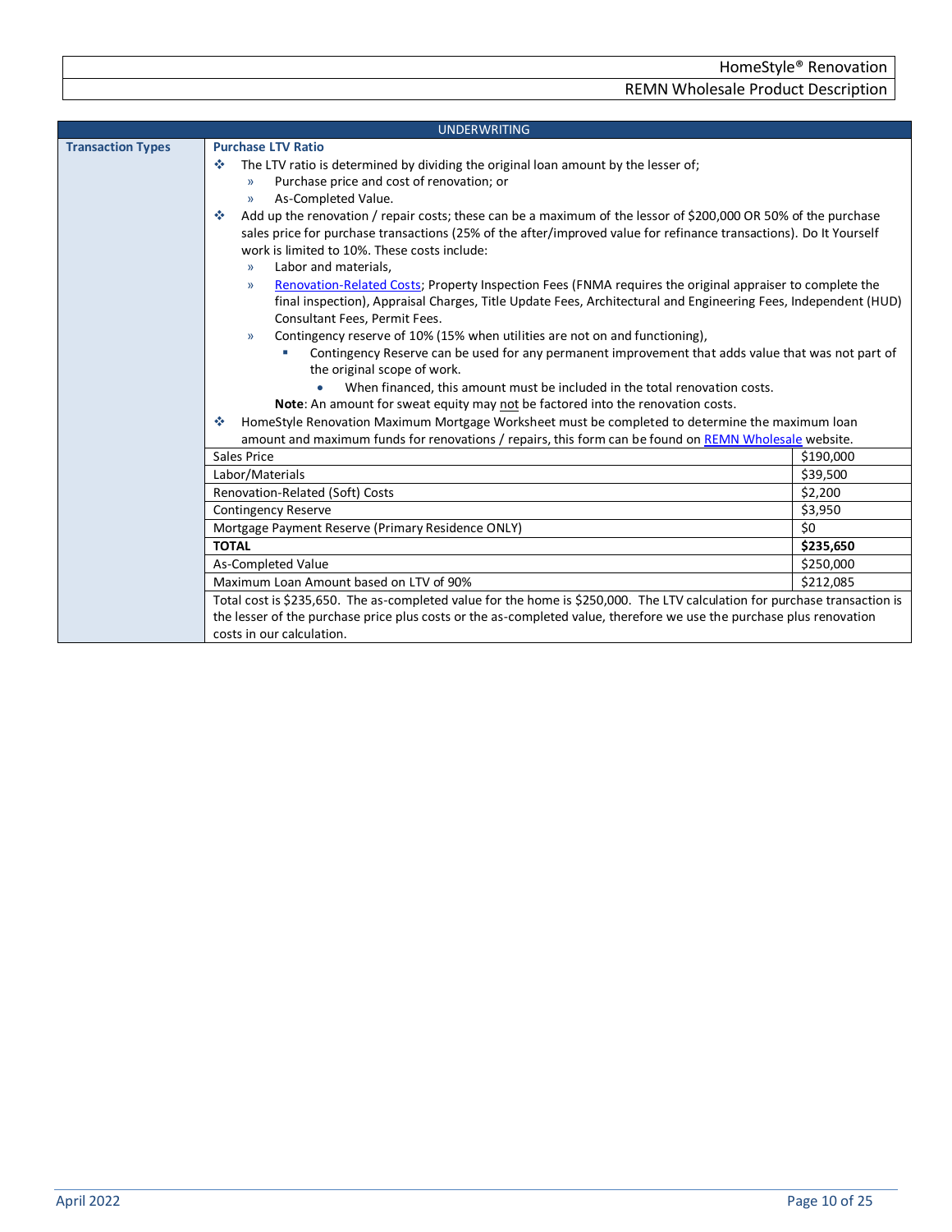<span id="page-9-1"></span><span id="page-9-0"></span>

|                                 | <b>UNDERWRITING</b>                                                                                                                                                                                                     |           |  |  |  |
|---------------------------------|-------------------------------------------------------------------------------------------------------------------------------------------------------------------------------------------------------------------------|-----------|--|--|--|
| <b>Transaction Types</b>        | <b>Purchase LTV Ratio</b>                                                                                                                                                                                               |           |  |  |  |
|                                 | The LTV ratio is determined by dividing the original loan amount by the lesser of;<br>※                                                                                                                                 |           |  |  |  |
|                                 | Purchase price and cost of renovation; or<br>$\mathcal{V}$                                                                                                                                                              |           |  |  |  |
|                                 | As-Completed Value.<br>$\mathcal{Y}$                                                                                                                                                                                    |           |  |  |  |
|                                 | Add up the renovation / repair costs; these can be a maximum of the lessor of \$200,000 OR 50% of the purchase<br>壘                                                                                                     |           |  |  |  |
|                                 | sales price for purchase transactions (25% of the after/improved value for refinance transactions). Do It Yourself                                                                                                      |           |  |  |  |
|                                 | work is limited to 10%. These costs include:                                                                                                                                                                            |           |  |  |  |
|                                 | Labor and materials,<br>$\mathcal{V}$                                                                                                                                                                                   |           |  |  |  |
|                                 | Renovation-Related Costs; Property Inspection Fees (FNMA requires the original appraiser to complete the<br>$\mathcal{Y}$                                                                                               |           |  |  |  |
|                                 | final inspection), Appraisal Charges, Title Update Fees, Architectural and Engineering Fees, Independent (HUD)                                                                                                          |           |  |  |  |
|                                 | Consultant Fees, Permit Fees.                                                                                                                                                                                           |           |  |  |  |
|                                 | Contingency reserve of 10% (15% when utilities are not on and functioning),<br>$\mathcal{Y}$                                                                                                                            |           |  |  |  |
|                                 | Contingency Reserve can be used for any permanent improvement that adds value that was not part of                                                                                                                      |           |  |  |  |
|                                 | the original scope of work.<br>When financed, this amount must be included in the total renovation costs.                                                                                                               |           |  |  |  |
|                                 |                                                                                                                                                                                                                         |           |  |  |  |
|                                 | Note: An amount for sweat equity may not be factored into the renovation costs.<br>壘                                                                                                                                    |           |  |  |  |
|                                 | HomeStyle Renovation Maximum Mortgage Worksheet must be completed to determine the maximum loan<br>amount and maximum funds for renovations / repairs, this form can be found on REMN Wholesale website.<br>Sales Price |           |  |  |  |
|                                 |                                                                                                                                                                                                                         |           |  |  |  |
|                                 |                                                                                                                                                                                                                         | \$190,000 |  |  |  |
|                                 | Labor/Materials                                                                                                                                                                                                         | \$39,500  |  |  |  |
|                                 | Renovation-Related (Soft) Costs                                                                                                                                                                                         | \$2,200   |  |  |  |
|                                 | <b>Contingency Reserve</b>                                                                                                                                                                                              | \$3,950   |  |  |  |
|                                 | Mortgage Payment Reserve (Primary Residence ONLY)                                                                                                                                                                       | \$0       |  |  |  |
|                                 | <b>TOTAL</b>                                                                                                                                                                                                            | \$235,650 |  |  |  |
| \$250,000<br>As-Completed Value |                                                                                                                                                                                                                         |           |  |  |  |
|                                 | Maximum Loan Amount based on LTV of 90%                                                                                                                                                                                 | \$212,085 |  |  |  |
|                                 | Total cost is \$235,650. The as-completed value for the home is \$250,000. The LTV calculation for purchase transaction is                                                                                              |           |  |  |  |
|                                 | the lesser of the purchase price plus costs or the as-completed value, therefore we use the purchase plus renovation                                                                                                    |           |  |  |  |
|                                 | costs in our calculation.                                                                                                                                                                                               |           |  |  |  |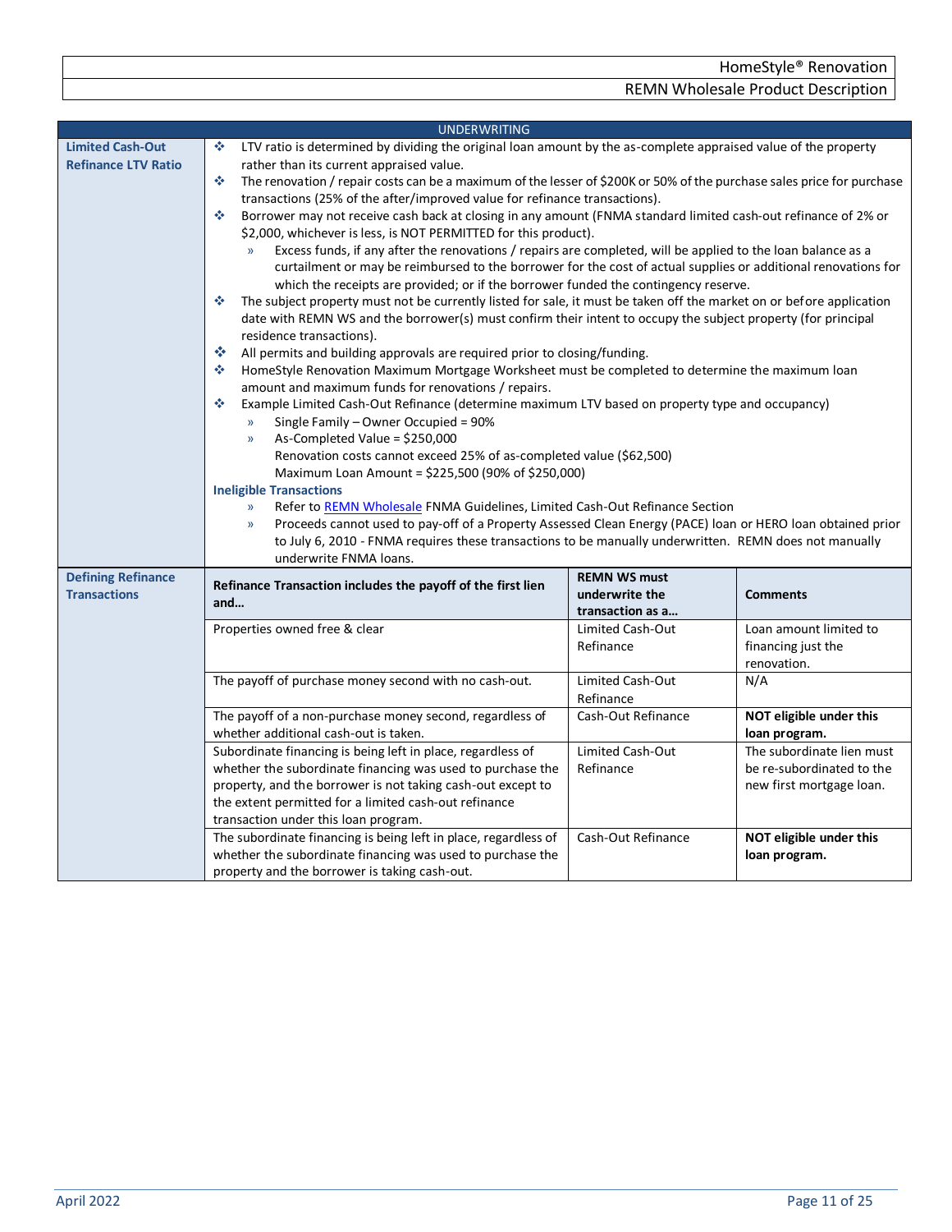<span id="page-10-2"></span><span id="page-10-1"></span><span id="page-10-0"></span>

| <b>UNDERWRITING</b>        |                                                                                                                                                         |                                                                                                                        |                           |  |  |  |  |  |
|----------------------------|---------------------------------------------------------------------------------------------------------------------------------------------------------|------------------------------------------------------------------------------------------------------------------------|---------------------------|--|--|--|--|--|
| <b>Limited Cash-Out</b>    | ٠                                                                                                                                                       | LTV ratio is determined by dividing the original loan amount by the as-complete appraised value of the property        |                           |  |  |  |  |  |
| <b>Refinance LTV Ratio</b> | rather than its current appraised value.                                                                                                                |                                                                                                                        |                           |  |  |  |  |  |
|                            | 壘                                                                                                                                                       | The renovation / repair costs can be a maximum of the lesser of \$200K or 50% of the purchase sales price for purchase |                           |  |  |  |  |  |
|                            |                                                                                                                                                         | transactions (25% of the after/improved value for refinance transactions).                                             |                           |  |  |  |  |  |
|                            | ※                                                                                                                                                       | Borrower may not receive cash back at closing in any amount (FNMA standard limited cash-out refinance of 2% or         |                           |  |  |  |  |  |
|                            | \$2,000, whichever is less, is NOT PERMITTED for this product).                                                                                         |                                                                                                                        |                           |  |  |  |  |  |
|                            | Excess funds, if any after the renovations / repairs are completed, will be applied to the loan balance as a                                            |                                                                                                                        |                           |  |  |  |  |  |
|                            | curtailment or may be reimbursed to the borrower for the cost of actual supplies or additional renovations for                                          |                                                                                                                        |                           |  |  |  |  |  |
|                            | which the receipts are provided; or if the borrower funded the contingency reserve.                                                                     |                                                                                                                        |                           |  |  |  |  |  |
|                            | 參                                                                                                                                                       | The subject property must not be currently listed for sale, it must be taken off the market on or before application   |                           |  |  |  |  |  |
|                            | date with REMN WS and the borrower(s) must confirm their intent to occupy the subject property (for principal                                           |                                                                                                                        |                           |  |  |  |  |  |
|                            | residence transactions).                                                                                                                                |                                                                                                                        |                           |  |  |  |  |  |
|                            | 樂<br>All permits and building approvals are required prior to closing/funding.                                                                          |                                                                                                                        |                           |  |  |  |  |  |
|                            | 壘<br>HomeStyle Renovation Maximum Mortgage Worksheet must be completed to determine the maximum loan                                                    |                                                                                                                        |                           |  |  |  |  |  |
|                            | amount and maximum funds for renovations / repairs.<br>٠                                                                                                |                                                                                                                        |                           |  |  |  |  |  |
|                            | Example Limited Cash-Out Refinance (determine maximum LTV based on property type and occupancy)<br>Single Family - Owner Occupied = 90%<br>$\mathbf{y}$ |                                                                                                                        |                           |  |  |  |  |  |
|                            | As-Completed Value = $$250,000$<br>$\mathcal{Y}$                                                                                                        |                                                                                                                        |                           |  |  |  |  |  |
|                            | Renovation costs cannot exceed 25% of as-completed value (\$62,500)                                                                                     |                                                                                                                        |                           |  |  |  |  |  |
|                            | Maximum Loan Amount = \$225,500 (90% of \$250,000)                                                                                                      |                                                                                                                        |                           |  |  |  |  |  |
|                            | <b>Ineligible Transactions</b>                                                                                                                          |                                                                                                                        |                           |  |  |  |  |  |
|                            | Refer to REMN Wholesale FNMA Guidelines, Limited Cash-Out Refinance Section<br>$\mathcal{Y}$                                                            |                                                                                                                        |                           |  |  |  |  |  |
|                            | Proceeds cannot used to pay-off of a Property Assessed Clean Energy (PACE) loan or HERO loan obtained prior<br>$\mathcal{Y}$                            |                                                                                                                        |                           |  |  |  |  |  |
|                            | to July 6, 2010 - FNMA requires these transactions to be manually underwritten. REMN does not manually                                                  |                                                                                                                        |                           |  |  |  |  |  |
|                            | underwrite FNMA loans.                                                                                                                                  |                                                                                                                        |                           |  |  |  |  |  |
| <b>Defining Refinance</b>  |                                                                                                                                                         | <b>REMN WS must</b>                                                                                                    |                           |  |  |  |  |  |
| <b>Transactions</b>        | Refinance Transaction includes the payoff of the first lien                                                                                             | underwrite the                                                                                                         | <b>Comments</b>           |  |  |  |  |  |
|                            | and                                                                                                                                                     | transaction as a                                                                                                       |                           |  |  |  |  |  |
|                            | Properties owned free & clear                                                                                                                           | Limited Cash-Out                                                                                                       | Loan amount limited to    |  |  |  |  |  |
|                            |                                                                                                                                                         | Refinance                                                                                                              | financing just the        |  |  |  |  |  |
|                            |                                                                                                                                                         |                                                                                                                        | renovation.               |  |  |  |  |  |
|                            | The payoff of purchase money second with no cash-out.                                                                                                   | Limited Cash-Out                                                                                                       | N/A                       |  |  |  |  |  |
|                            |                                                                                                                                                         | Refinance                                                                                                              |                           |  |  |  |  |  |
|                            | The payoff of a non-purchase money second, regardless of                                                                                                | Cash-Out Refinance                                                                                                     | NOT eligible under this   |  |  |  |  |  |
|                            | whether additional cash-out is taken.                                                                                                                   |                                                                                                                        | loan program.             |  |  |  |  |  |
|                            | Subordinate financing is being left in place, regardless of                                                                                             | Limited Cash-Out                                                                                                       | The subordinate lien must |  |  |  |  |  |
|                            | whether the subordinate financing was used to purchase the                                                                                              | Refinance                                                                                                              | be re-subordinated to the |  |  |  |  |  |
|                            | property, and the borrower is not taking cash-out except to                                                                                             |                                                                                                                        | new first mortgage loan.  |  |  |  |  |  |
|                            | the extent permitted for a limited cash-out refinance                                                                                                   |                                                                                                                        |                           |  |  |  |  |  |
|                            | transaction under this loan program.                                                                                                                    |                                                                                                                        |                           |  |  |  |  |  |
|                            | The subordinate financing is being left in place, regardless of                                                                                         | Cash-Out Refinance                                                                                                     | NOT eligible under this   |  |  |  |  |  |
|                            | whether the subordinate financing was used to purchase the                                                                                              |                                                                                                                        | loan program.             |  |  |  |  |  |
|                            | property and the borrower is taking cash-out.                                                                                                           |                                                                                                                        |                           |  |  |  |  |  |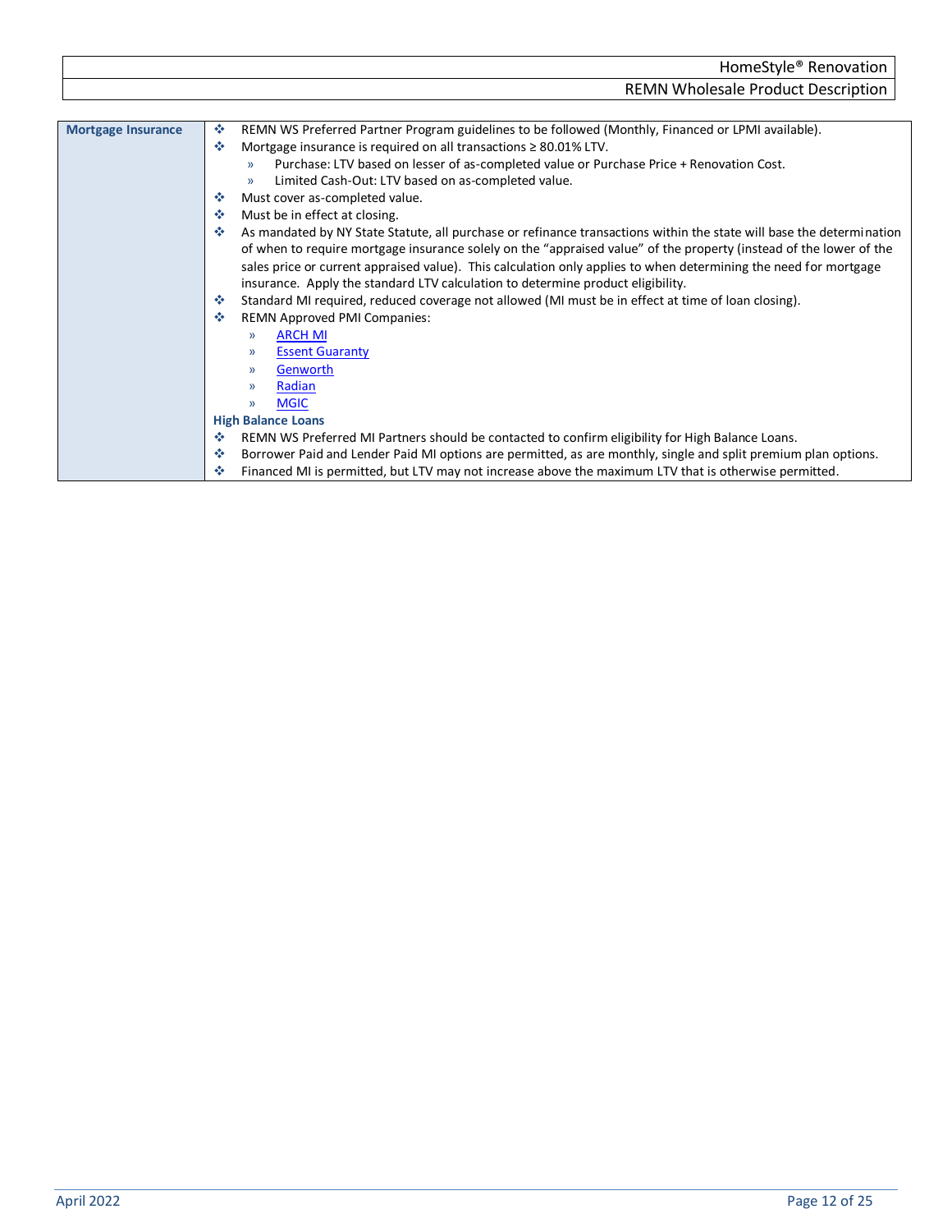<span id="page-11-0"></span>

|                           | <b>REMN Wholesale Product Description</b>                                                                                                                                                                                                                                                                                                                                                                                                                                                                                                                                                                                                                                                                                                                                                                                                                                                                                                                                                                                                                                                                                                                                           |
|---------------------------|-------------------------------------------------------------------------------------------------------------------------------------------------------------------------------------------------------------------------------------------------------------------------------------------------------------------------------------------------------------------------------------------------------------------------------------------------------------------------------------------------------------------------------------------------------------------------------------------------------------------------------------------------------------------------------------------------------------------------------------------------------------------------------------------------------------------------------------------------------------------------------------------------------------------------------------------------------------------------------------------------------------------------------------------------------------------------------------------------------------------------------------------------------------------------------------|
| <b>Mortgage Insurance</b> | 壘<br>REMN WS Preferred Partner Program guidelines to be followed (Monthly, Financed or LPMI available).<br>Mortgage insurance is required on all transactions $\geq 80.01\%$ LTV.<br>ൟ<br>Purchase: LTV based on lesser of as-completed value or Purchase Price + Renovation Cost.<br>$\mathcal{V}$<br>Limited Cash-Out: LTV based on as-completed value.<br>$\mathcal{Y}$<br>Must cover as-completed value.<br>❖<br>壘<br>Must be in effect at closing.<br>As mandated by NY State Statute, all purchase or refinance transactions within the state will base the determination<br>÷<br>of when to require mortgage insurance solely on the "appraised value" of the property (instead of the lower of the<br>sales price or current appraised value). This calculation only applies to when determining the need for mortgage<br>insurance. Apply the standard LTV calculation to determine product eligibility.<br>Standard MI required, reduced coverage not allowed (MI must be in effect at time of loan closing).<br>❖<br>÷<br><b>REMN Approved PMI Companies:</b><br><b>ARCH MI</b><br>$\mathcal{Y}$<br><b>Essent Guaranty</b><br>$\mathcal{Y}$<br>Genworth<br>$\mathcal{V}$ |
|                           | Radian<br>$\mathcal{Y}$                                                                                                                                                                                                                                                                                                                                                                                                                                                                                                                                                                                                                                                                                                                                                                                                                                                                                                                                                                                                                                                                                                                                                             |
|                           | <b>MGIC</b><br>$\mathcal{Y}$<br><b>High Balance Loans</b>                                                                                                                                                                                                                                                                                                                                                                                                                                                                                                                                                                                                                                                                                                                                                                                                                                                                                                                                                                                                                                                                                                                           |
|                           | REMN WS Preferred MI Partners should be contacted to confirm eligibility for High Balance Loans.                                                                                                                                                                                                                                                                                                                                                                                                                                                                                                                                                                                                                                                                                                                                                                                                                                                                                                                                                                                                                                                                                    |

<span id="page-11-1"></span>❖ Borrower Paid and Lender Paid MI options are permitted, as are monthly, single and split premium plan options. Financed MI is permitted, but LTV may not increase above the maximum LTV that is otherwise permitted.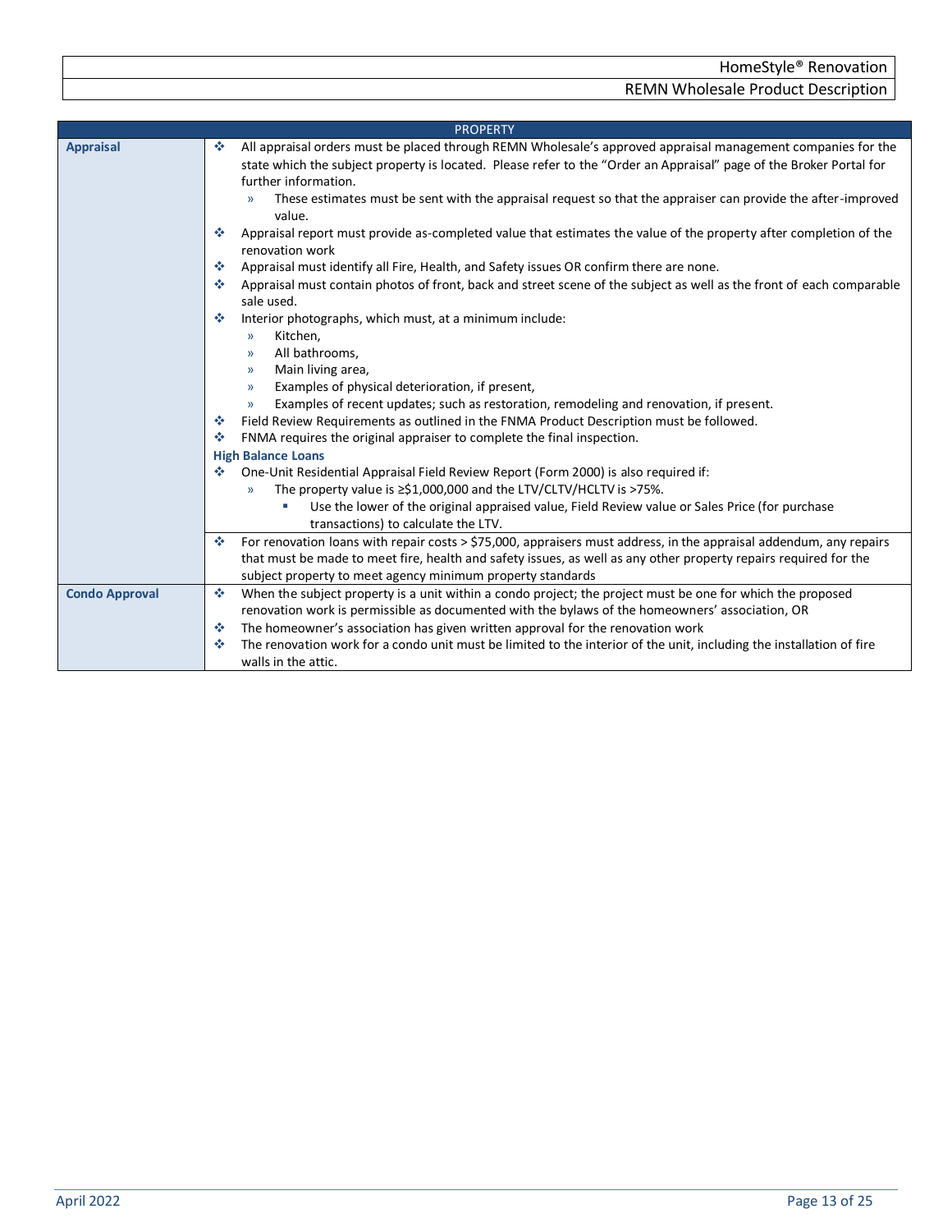<span id="page-12-2"></span><span id="page-12-1"></span><span id="page-12-0"></span>

|                       | <b>PROPERTY</b>                                                                                                                           |
|-----------------------|-------------------------------------------------------------------------------------------------------------------------------------------|
| <b>Appraisal</b>      | All appraisal orders must be placed through REMN Wholesale's approved appraisal management companies for the<br>÷                         |
|                       | state which the subject property is located. Please refer to the "Order an Appraisal" page of the Broker Portal for                       |
|                       | further information.                                                                                                                      |
|                       | These estimates must be sent with the appraisal request so that the appraiser can provide the after-improved<br>value.                    |
|                       | Appraisal report must provide as-completed value that estimates the value of the property after completion of the<br>÷<br>renovation work |
|                       | Appraisal must identify all Fire, Health, and Safety issues OR confirm there are none.<br>壘                                               |
|                       | Appraisal must contain photos of front, back and street scene of the subject as well as the front of each comparable<br>壘<br>sale used.   |
|                       | Interior photographs, which must, at a minimum include:<br>泰                                                                              |
|                       | Kitchen,<br>$\rightarrow$                                                                                                                 |
|                       | All bathrooms,<br>$\rightarrow$                                                                                                           |
|                       | Main living area,<br>$\rightarrow$                                                                                                        |
|                       | Examples of physical deterioration, if present,<br>$\rightarrow$                                                                          |
|                       | Examples of recent updates; such as restoration, remodeling and renovation, if present.<br>$\rightarrow$                                  |
|                       | Field Review Requirements as outlined in the FNMA Product Description must be followed.<br>❖                                              |
|                       | FNMA requires the original appraiser to complete the final inspection.<br>壘                                                               |
|                       | <b>High Balance Loans</b>                                                                                                                 |
|                       | One-Unit Residential Appraisal Field Review Report (Form 2000) is also required if:<br>壘                                                  |
|                       | The property value is $\geq$ \$1,000,000 and the LTV/CLTV/HCLTV is >75%.<br>$\mathcal{Y}$                                                 |
|                       | Use the lower of the original appraised value, Field Review value or Sales Price (for purchase                                            |
|                       | transactions) to calculate the LTV.                                                                                                       |
|                       | For renovation loans with repair costs > \$75,000, appraisers must address, in the appraisal addendum, any repairs<br>壘                   |
|                       | that must be made to meet fire, health and safety issues, as well as any other property repairs required for the                          |
|                       | subject property to meet agency minimum property standards                                                                                |
| <b>Condo Approval</b> | When the subject property is a unit within a condo project; the project must be one for which the proposed<br>壘                           |
|                       | renovation work is permissible as documented with the bylaws of the homeowners' association, OR                                           |
|                       | The homeowner's association has given written approval for the renovation work<br>壘                                                       |
|                       | The renovation work for a condo unit must be limited to the interior of the unit, including the installation of fire<br>❖                 |
|                       | walls in the attic.                                                                                                                       |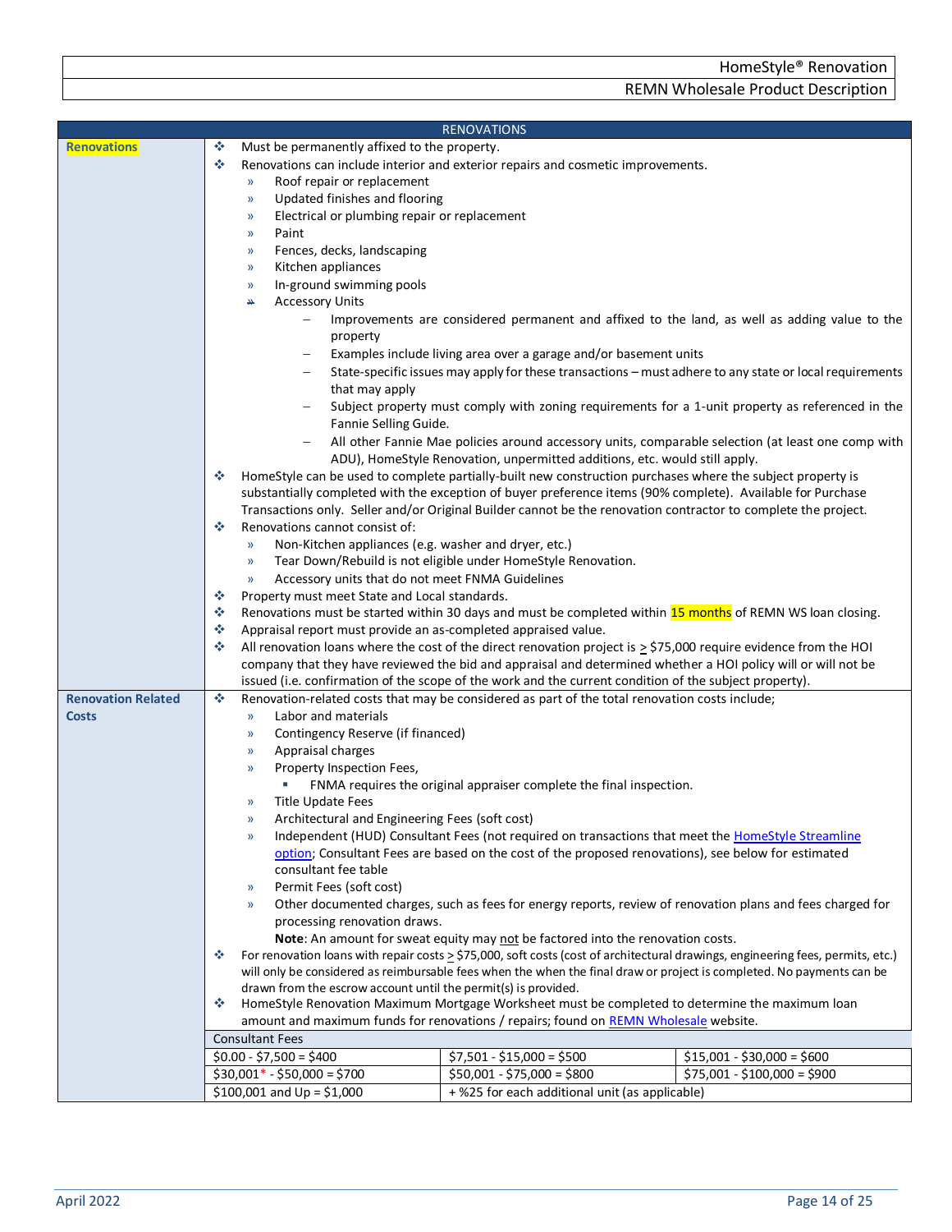<span id="page-13-1"></span><span id="page-13-0"></span>

|                           |                                                                       | <b>RENOVATIONS</b>                                                                                                    |                                                                                                                                      |
|---------------------------|-----------------------------------------------------------------------|-----------------------------------------------------------------------------------------------------------------------|--------------------------------------------------------------------------------------------------------------------------------------|
| <b>Renovations</b>        | ٠<br>Must be permanently affixed to the property.                     |                                                                                                                       |                                                                                                                                      |
|                           | ٠                                                                     | Renovations can include interior and exterior repairs and cosmetic improvements.                                      |                                                                                                                                      |
|                           | Roof repair or replacement<br>$\mathcal{Y}$                           |                                                                                                                       |                                                                                                                                      |
|                           | Updated finishes and flooring<br>$\rangle$                            |                                                                                                                       |                                                                                                                                      |
|                           | Electrical or plumbing repair or replacement<br>$\rangle$             |                                                                                                                       |                                                                                                                                      |
|                           | Paint<br>$\mathcal{Y}$                                                |                                                                                                                       |                                                                                                                                      |
|                           | Fences, decks, landscaping<br>$\rangle$                               |                                                                                                                       |                                                                                                                                      |
|                           | Kitchen appliances<br>$\rightarrow$                                   |                                                                                                                       |                                                                                                                                      |
|                           | In-ground swimming pools<br>$\rangle$                                 |                                                                                                                       |                                                                                                                                      |
|                           | <b>Accessory Units</b><br>₩                                           |                                                                                                                       |                                                                                                                                      |
|                           |                                                                       |                                                                                                                       | Improvements are considered permanent and affixed to the land, as well as adding value to the                                        |
|                           | property                                                              |                                                                                                                       |                                                                                                                                      |
|                           |                                                                       | Examples include living area over a garage and/or basement units                                                      |                                                                                                                                      |
|                           |                                                                       |                                                                                                                       | State-specific issues may apply for these transactions - must adhere to any state or local requirements                              |
|                           | that may apply                                                        |                                                                                                                       |                                                                                                                                      |
|                           |                                                                       |                                                                                                                       | Subject property must comply with zoning requirements for a 1-unit property as referenced in the                                     |
|                           | Fannie Selling Guide.                                                 |                                                                                                                       |                                                                                                                                      |
|                           |                                                                       | ADU), HomeStyle Renovation, unpermitted additions, etc. would still apply.                                            | All other Fannie Mae policies around accessory units, comparable selection (at least one comp with                                   |
|                           | ٠                                                                     | HomeStyle can be used to complete partially-built new construction purchases where the subject property is            |                                                                                                                                      |
|                           |                                                                       | substantially completed with the exception of buyer preference items (90% complete). Available for Purchase           |                                                                                                                                      |
|                           |                                                                       | Transactions only. Seller and/or Original Builder cannot be the renovation contractor to complete the project.        |                                                                                                                                      |
|                           | ※<br>Renovations cannot consist of:                                   |                                                                                                                       |                                                                                                                                      |
|                           | Non-Kitchen appliances (e.g. washer and dryer, etc.)<br>$\rightarrow$ |                                                                                                                       |                                                                                                                                      |
|                           | $\rightarrow$                                                         | Tear Down/Rebuild is not eligible under HomeStyle Renovation.                                                         |                                                                                                                                      |
|                           | Accessory units that do not meet FNMA Guidelines<br>$\mathcal{Y}$     |                                                                                                                       |                                                                                                                                      |
|                           | Property must meet State and Local standards.<br>❖                    |                                                                                                                       |                                                                                                                                      |
|                           | ❖                                                                     | Renovations must be started within 30 days and must be completed within 15 months of REMN WS loan closing.            |                                                                                                                                      |
|                           | Appraisal report must provide an as-completed appraised value.<br>❖   |                                                                                                                       |                                                                                                                                      |
|                           | ٠                                                                     | All renovation loans where the cost of the direct renovation project is $\ge$ \$75,000 require evidence from the HOI  |                                                                                                                                      |
|                           |                                                                       | company that they have reviewed the bid and appraisal and determined whether a HOI policy will or will not be         |                                                                                                                                      |
|                           |                                                                       | issued (i.e. confirmation of the scope of the work and the current condition of the subject property).                |                                                                                                                                      |
| <b>Renovation Related</b> | 壘                                                                     | Renovation-related costs that may be considered as part of the total renovation costs include;                        |                                                                                                                                      |
| <b>Costs</b>              | Labor and materials<br>$\mathcal{Y}$                                  |                                                                                                                       |                                                                                                                                      |
|                           | Contingency Reserve (if financed)<br>$\rangle$                        |                                                                                                                       |                                                                                                                                      |
|                           | Appraisal charges<br>$\rangle$                                        |                                                                                                                       |                                                                                                                                      |
|                           | Property Inspection Fees,<br>$\mathcal{Y}$<br>a.                      | FNMA requires the original appraiser complete the final inspection.                                                   |                                                                                                                                      |
|                           | <b>Title Update Fees</b><br>$\rightarrow$                             |                                                                                                                       |                                                                                                                                      |
|                           | Architectural and Engineering Fees (soft cost)<br>$\rangle$           |                                                                                                                       |                                                                                                                                      |
|                           | $\mathcal{Y}$                                                         | Independent (HUD) Consultant Fees (not required on transactions that meet the HomeStyle Streamline                    |                                                                                                                                      |
|                           |                                                                       | option; Consultant Fees are based on the cost of the proposed renovations), see below for estimated                   |                                                                                                                                      |
|                           | consultant fee table                                                  |                                                                                                                       |                                                                                                                                      |
|                           | Permit Fees (soft cost)<br>$\rangle$                                  |                                                                                                                       |                                                                                                                                      |
|                           | $\mathcal{Y}$                                                         | Other documented charges, such as fees for energy reports, review of renovation plans and fees charged for            |                                                                                                                                      |
|                           | processing renovation draws.                                          |                                                                                                                       |                                                                                                                                      |
|                           |                                                                       | Note: An amount for sweat equity may not be factored into the renovation costs.                                       |                                                                                                                                      |
|                           | ❖                                                                     |                                                                                                                       | For renovation loans with repair costs $\geq$ \$75,000, soft costs (cost of architectural drawings, engineering fees, permits, etc.) |
|                           |                                                                       | will only be considered as reimbursable fees when the when the final draw or project is completed. No payments can be |                                                                                                                                      |
|                           | drawn from the escrow account until the permit(s) is provided.        |                                                                                                                       |                                                                                                                                      |
|                           | ❖                                                                     | HomeStyle Renovation Maximum Mortgage Worksheet must be completed to determine the maximum loan                       |                                                                                                                                      |
|                           |                                                                       | amount and maximum funds for renovations / repairs; found on REMN Wholesale website.                                  |                                                                                                                                      |
|                           | <b>Consultant Fees</b>                                                |                                                                                                                       |                                                                                                                                      |
|                           | $$0.00 - $7,500 = $400$                                               | $$7,501 - $15,000 = $500$                                                                                             | $$15,001 - $30,000 = $600$                                                                                                           |
|                           | $$30,001* - $50,000 = $700$                                           | $$50,001 - $75,000 = $800$                                                                                            | $$75,001 - $100,000 = $900$                                                                                                          |
|                           | $$100,001$ and Up = \$1,000                                           | +%25 for each additional unit (as applicable)                                                                         |                                                                                                                                      |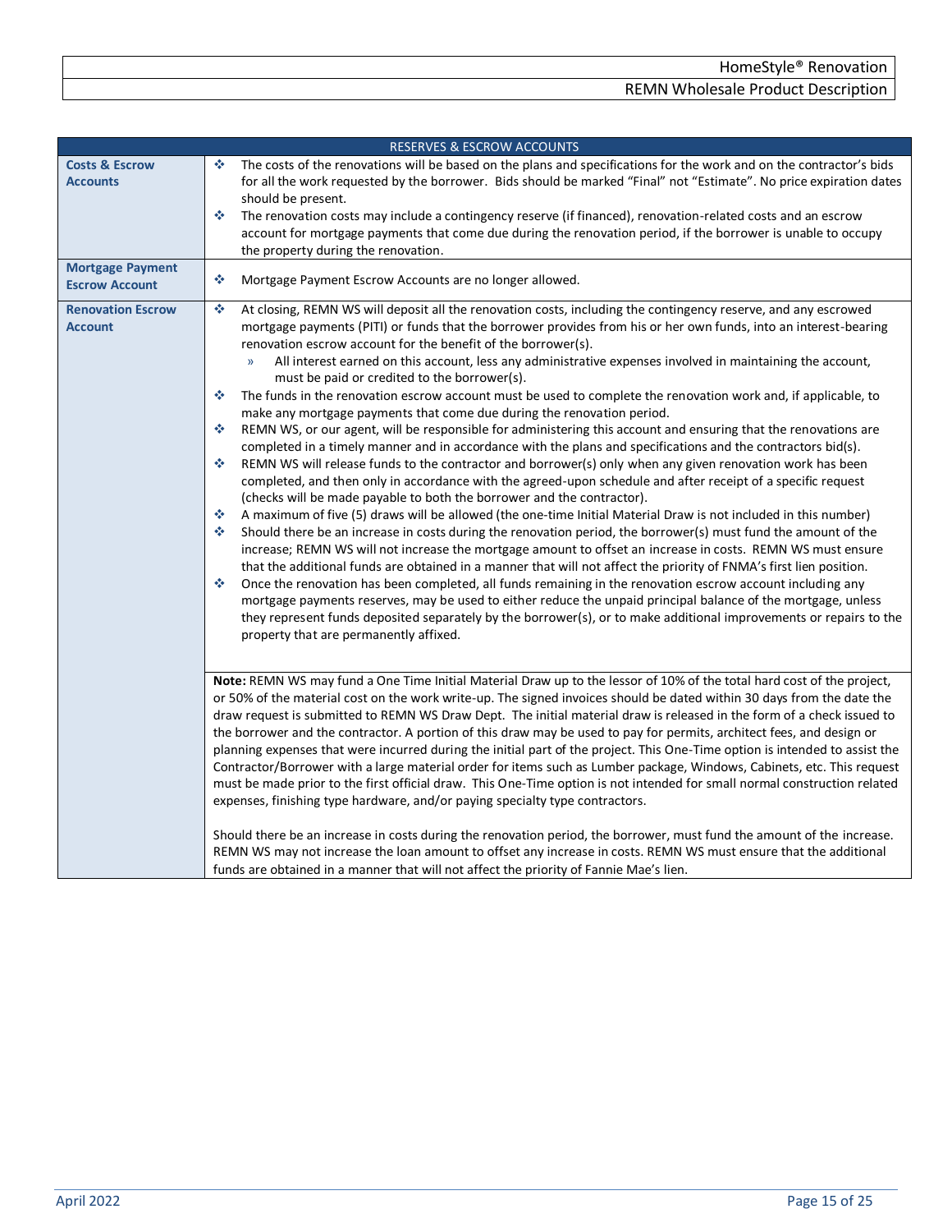<span id="page-14-2"></span><span id="page-14-1"></span><span id="page-14-0"></span>

|                                                  | <b>RESERVES &amp; ESCROW ACCOUNTS</b>                                                                                                                                                                                                                                                                                                                                                                                                                                                                                                                                                                                                                                                                                                                                                                                                                                                                                                                                                                                                                                                                                                                                                                                                                                                                                                                                                                                                                                                                                                                                                                                                                                                                                                                                                                                                                                                                                                                                                                                                                                                                                                 |
|--------------------------------------------------|---------------------------------------------------------------------------------------------------------------------------------------------------------------------------------------------------------------------------------------------------------------------------------------------------------------------------------------------------------------------------------------------------------------------------------------------------------------------------------------------------------------------------------------------------------------------------------------------------------------------------------------------------------------------------------------------------------------------------------------------------------------------------------------------------------------------------------------------------------------------------------------------------------------------------------------------------------------------------------------------------------------------------------------------------------------------------------------------------------------------------------------------------------------------------------------------------------------------------------------------------------------------------------------------------------------------------------------------------------------------------------------------------------------------------------------------------------------------------------------------------------------------------------------------------------------------------------------------------------------------------------------------------------------------------------------------------------------------------------------------------------------------------------------------------------------------------------------------------------------------------------------------------------------------------------------------------------------------------------------------------------------------------------------------------------------------------------------------------------------------------------------|
| <b>Costs &amp; Escrow</b><br><b>Accounts</b>     | ❖<br>The costs of the renovations will be based on the plans and specifications for the work and on the contractor's bids<br>for all the work requested by the borrower. Bids should be marked "Final" not "Estimate". No price expiration dates<br>should be present.<br>The renovation costs may include a contingency reserve (if financed), renovation-related costs and an escrow<br>壘<br>account for mortgage payments that come due during the renovation period, if the borrower is unable to occupy<br>the property during the renovation.                                                                                                                                                                                                                                                                                                                                                                                                                                                                                                                                                                                                                                                                                                                                                                                                                                                                                                                                                                                                                                                                                                                                                                                                                                                                                                                                                                                                                                                                                                                                                                                   |
| <b>Mortgage Payment</b><br><b>Escrow Account</b> | 壘<br>Mortgage Payment Escrow Accounts are no longer allowed.                                                                                                                                                                                                                                                                                                                                                                                                                                                                                                                                                                                                                                                                                                                                                                                                                                                                                                                                                                                                                                                                                                                                                                                                                                                                                                                                                                                                                                                                                                                                                                                                                                                                                                                                                                                                                                                                                                                                                                                                                                                                          |
| <b>Renovation Escrow</b><br><b>Account</b>       | 壘<br>At closing, REMN WS will deposit all the renovation costs, including the contingency reserve, and any escrowed<br>mortgage payments (PITI) or funds that the borrower provides from his or her own funds, into an interest-bearing<br>renovation escrow account for the benefit of the borrower(s).<br>All interest earned on this account, less any administrative expenses involved in maintaining the account,<br>$\mathcal{Y}$<br>must be paid or credited to the borrower(s).<br>※<br>The funds in the renovation escrow account must be used to complete the renovation work and, if applicable, to<br>make any mortgage payments that come due during the renovation period.<br>٠<br>REMN WS, or our agent, will be responsible for administering this account and ensuring that the renovations are<br>completed in a timely manner and in accordance with the plans and specifications and the contractors bid(s).<br>REMN WS will release funds to the contractor and borrower(s) only when any given renovation work has been<br>※<br>completed, and then only in accordance with the agreed-upon schedule and after receipt of a specific request<br>(checks will be made payable to both the borrower and the contractor).<br>壘<br>A maximum of five (5) draws will be allowed (the one-time Initial Material Draw is not included in this number)<br>壘<br>Should there be an increase in costs during the renovation period, the borrower(s) must fund the amount of the<br>increase; REMN WS will not increase the mortgage amount to offset an increase in costs. REMN WS must ensure<br>that the additional funds are obtained in a manner that will not affect the priority of FNMA's first lien position.<br>壘<br>Once the renovation has been completed, all funds remaining in the renovation escrow account including any<br>mortgage payments reserves, may be used to either reduce the unpaid principal balance of the mortgage, unless<br>they represent funds deposited separately by the borrower(s), or to make additional improvements or repairs to the<br>property that are permanently affixed. |
|                                                  | Note: REMN WS may fund a One Time Initial Material Draw up to the lessor of 10% of the total hard cost of the project,<br>or 50% of the material cost on the work write-up. The signed invoices should be dated within 30 days from the date the<br>draw request is submitted to REMN WS Draw Dept. The initial material draw is released in the form of a check issued to<br>the borrower and the contractor. A portion of this draw may be used to pay for permits, architect fees, and design or<br>planning expenses that were incurred during the initial part of the project. This One-Time option is intended to assist the<br>Contractor/Borrower with a large material order for items such as Lumber package, Windows, Cabinets, etc. This request<br>must be made prior to the first official draw. This One-Time option is not intended for small normal construction related<br>expenses, finishing type hardware, and/or paying specialty type contractors.<br>Should there be an increase in costs during the renovation period, the borrower, must fund the amount of the increase.<br>REMN WS may not increase the loan amount to offset any increase in costs. REMN WS must ensure that the additional<br>funds are obtained in a manner that will not affect the priority of Fannie Mae's lien.                                                                                                                                                                                                                                                                                                                                                                                                                                                                                                                                                                                                                                                                                                                                                                                                                    |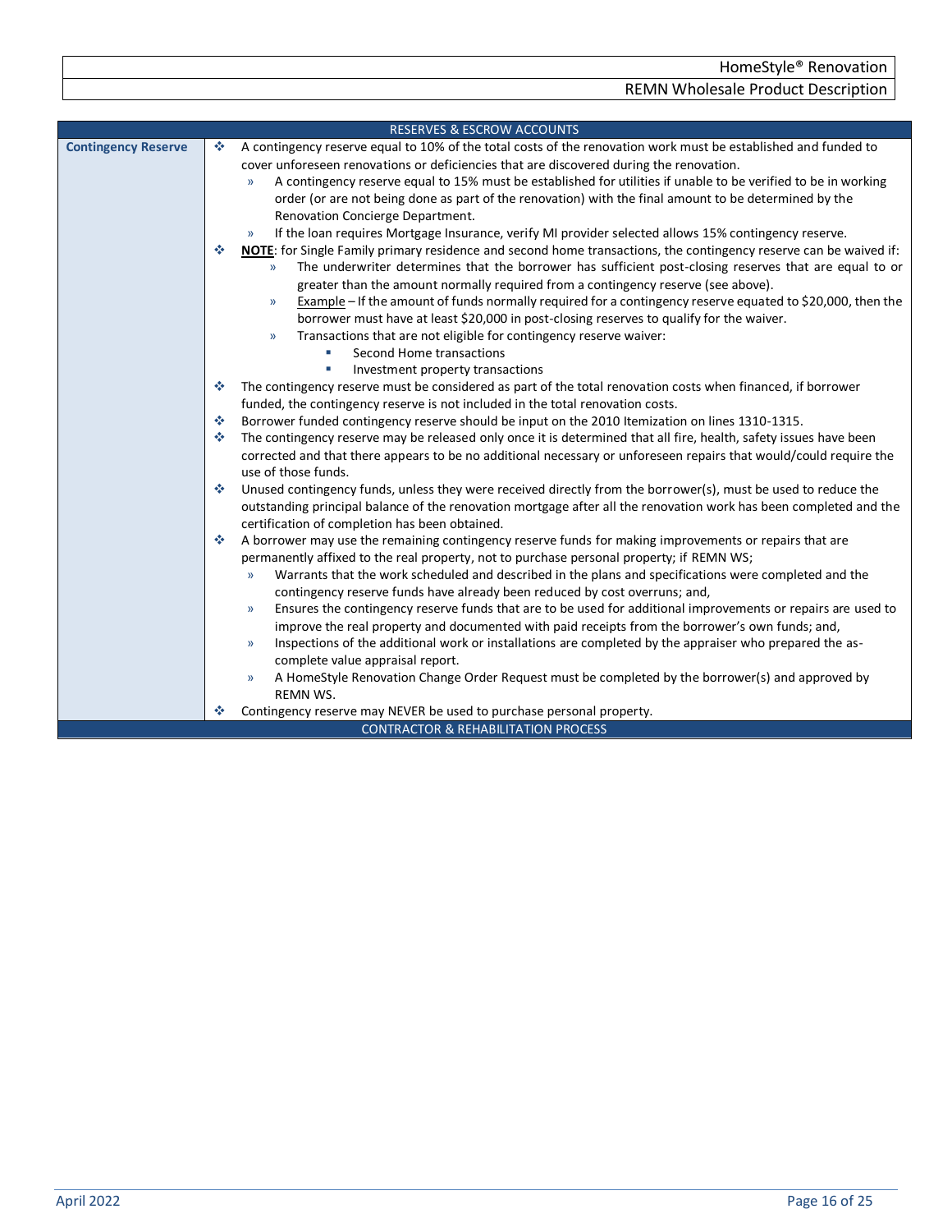<span id="page-15-0"></span>

| A contingency reserve equal to 10% of the total costs of the renovation work must be established and funded to<br><b>Contingency Reserve</b><br>÷<br>cover unforeseen renovations or deficiencies that are discovered during the renovation.<br>A contingency reserve equal to 15% must be established for utilities if unable to be verified to be in working<br>$\mathcal{Y}$<br>order (or are not being done as part of the renovation) with the final amount to be determined by the<br>Renovation Concierge Department.<br>If the loan requires Mortgage Insurance, verify MI provider selected allows 15% contingency reserve.<br>$\mathcal{Y}$<br>NOTE: for Single Family primary residence and second home transactions, the contingency reserve can be waived if:<br>÷<br>The underwriter determines that the borrower has sufficient post-closing reserves that are equal to or<br>$\mathcal{Y}$<br>greater than the amount normally required from a contingency reserve (see above).<br>Example - If the amount of funds normally required for a contingency reserve equated to \$20,000, then the<br>$\mathcal{Y}$<br>borrower must have at least \$20,000 in post-closing reserves to qualify for the waiver.<br>Transactions that are not eligible for contingency reserve waiver:<br>$\mathcal{Y}$<br>Second Home transactions<br>×<br>Investment property transactions<br>The contingency reserve must be considered as part of the total renovation costs when financed, if borrower<br>÷<br>funded, the contingency reserve is not included in the total renovation costs.<br>Borrower funded contingency reserve should be input on the 2010 Itemization on lines 1310-1315.<br>÷<br>The contingency reserve may be released only once it is determined that all fire, health, safety issues have been<br>壘<br>corrected and that there appears to be no additional necessary or unforeseen repairs that would/could require the<br>use of those funds.<br>Unused contingency funds, unless they were received directly from the borrower(s), must be used to reduce the<br>壘<br>outstanding principal balance of the renovation mortgage after all the renovation work has been completed and the |
|-----------------------------------------------------------------------------------------------------------------------------------------------------------------------------------------------------------------------------------------------------------------------------------------------------------------------------------------------------------------------------------------------------------------------------------------------------------------------------------------------------------------------------------------------------------------------------------------------------------------------------------------------------------------------------------------------------------------------------------------------------------------------------------------------------------------------------------------------------------------------------------------------------------------------------------------------------------------------------------------------------------------------------------------------------------------------------------------------------------------------------------------------------------------------------------------------------------------------------------------------------------------------------------------------------------------------------------------------------------------------------------------------------------------------------------------------------------------------------------------------------------------------------------------------------------------------------------------------------------------------------------------------------------------------------------------------------------------------------------------------------------------------------------------------------------------------------------------------------------------------------------------------------------------------------------------------------------------------------------------------------------------------------------------------------------------------------------------------------------------------------------------------------------------------------------------------------------------------|
|                                                                                                                                                                                                                                                                                                                                                                                                                                                                                                                                                                                                                                                                                                                                                                                                                                                                                                                                                                                                                                                                                                                                                                                                                                                                                                                                                                                                                                                                                                                                                                                                                                                                                                                                                                                                                                                                                                                                                                                                                                                                                                                                                                                                                       |
|                                                                                                                                                                                                                                                                                                                                                                                                                                                                                                                                                                                                                                                                                                                                                                                                                                                                                                                                                                                                                                                                                                                                                                                                                                                                                                                                                                                                                                                                                                                                                                                                                                                                                                                                                                                                                                                                                                                                                                                                                                                                                                                                                                                                                       |
|                                                                                                                                                                                                                                                                                                                                                                                                                                                                                                                                                                                                                                                                                                                                                                                                                                                                                                                                                                                                                                                                                                                                                                                                                                                                                                                                                                                                                                                                                                                                                                                                                                                                                                                                                                                                                                                                                                                                                                                                                                                                                                                                                                                                                       |
|                                                                                                                                                                                                                                                                                                                                                                                                                                                                                                                                                                                                                                                                                                                                                                                                                                                                                                                                                                                                                                                                                                                                                                                                                                                                                                                                                                                                                                                                                                                                                                                                                                                                                                                                                                                                                                                                                                                                                                                                                                                                                                                                                                                                                       |
|                                                                                                                                                                                                                                                                                                                                                                                                                                                                                                                                                                                                                                                                                                                                                                                                                                                                                                                                                                                                                                                                                                                                                                                                                                                                                                                                                                                                                                                                                                                                                                                                                                                                                                                                                                                                                                                                                                                                                                                                                                                                                                                                                                                                                       |
|                                                                                                                                                                                                                                                                                                                                                                                                                                                                                                                                                                                                                                                                                                                                                                                                                                                                                                                                                                                                                                                                                                                                                                                                                                                                                                                                                                                                                                                                                                                                                                                                                                                                                                                                                                                                                                                                                                                                                                                                                                                                                                                                                                                                                       |
|                                                                                                                                                                                                                                                                                                                                                                                                                                                                                                                                                                                                                                                                                                                                                                                                                                                                                                                                                                                                                                                                                                                                                                                                                                                                                                                                                                                                                                                                                                                                                                                                                                                                                                                                                                                                                                                                                                                                                                                                                                                                                                                                                                                                                       |
|                                                                                                                                                                                                                                                                                                                                                                                                                                                                                                                                                                                                                                                                                                                                                                                                                                                                                                                                                                                                                                                                                                                                                                                                                                                                                                                                                                                                                                                                                                                                                                                                                                                                                                                                                                                                                                                                                                                                                                                                                                                                                                                                                                                                                       |
|                                                                                                                                                                                                                                                                                                                                                                                                                                                                                                                                                                                                                                                                                                                                                                                                                                                                                                                                                                                                                                                                                                                                                                                                                                                                                                                                                                                                                                                                                                                                                                                                                                                                                                                                                                                                                                                                                                                                                                                                                                                                                                                                                                                                                       |
|                                                                                                                                                                                                                                                                                                                                                                                                                                                                                                                                                                                                                                                                                                                                                                                                                                                                                                                                                                                                                                                                                                                                                                                                                                                                                                                                                                                                                                                                                                                                                                                                                                                                                                                                                                                                                                                                                                                                                                                                                                                                                                                                                                                                                       |
|                                                                                                                                                                                                                                                                                                                                                                                                                                                                                                                                                                                                                                                                                                                                                                                                                                                                                                                                                                                                                                                                                                                                                                                                                                                                                                                                                                                                                                                                                                                                                                                                                                                                                                                                                                                                                                                                                                                                                                                                                                                                                                                                                                                                                       |
|                                                                                                                                                                                                                                                                                                                                                                                                                                                                                                                                                                                                                                                                                                                                                                                                                                                                                                                                                                                                                                                                                                                                                                                                                                                                                                                                                                                                                                                                                                                                                                                                                                                                                                                                                                                                                                                                                                                                                                                                                                                                                                                                                                                                                       |
|                                                                                                                                                                                                                                                                                                                                                                                                                                                                                                                                                                                                                                                                                                                                                                                                                                                                                                                                                                                                                                                                                                                                                                                                                                                                                                                                                                                                                                                                                                                                                                                                                                                                                                                                                                                                                                                                                                                                                                                                                                                                                                                                                                                                                       |
|                                                                                                                                                                                                                                                                                                                                                                                                                                                                                                                                                                                                                                                                                                                                                                                                                                                                                                                                                                                                                                                                                                                                                                                                                                                                                                                                                                                                                                                                                                                                                                                                                                                                                                                                                                                                                                                                                                                                                                                                                                                                                                                                                                                                                       |
|                                                                                                                                                                                                                                                                                                                                                                                                                                                                                                                                                                                                                                                                                                                                                                                                                                                                                                                                                                                                                                                                                                                                                                                                                                                                                                                                                                                                                                                                                                                                                                                                                                                                                                                                                                                                                                                                                                                                                                                                                                                                                                                                                                                                                       |
|                                                                                                                                                                                                                                                                                                                                                                                                                                                                                                                                                                                                                                                                                                                                                                                                                                                                                                                                                                                                                                                                                                                                                                                                                                                                                                                                                                                                                                                                                                                                                                                                                                                                                                                                                                                                                                                                                                                                                                                                                                                                                                                                                                                                                       |
|                                                                                                                                                                                                                                                                                                                                                                                                                                                                                                                                                                                                                                                                                                                                                                                                                                                                                                                                                                                                                                                                                                                                                                                                                                                                                                                                                                                                                                                                                                                                                                                                                                                                                                                                                                                                                                                                                                                                                                                                                                                                                                                                                                                                                       |
|                                                                                                                                                                                                                                                                                                                                                                                                                                                                                                                                                                                                                                                                                                                                                                                                                                                                                                                                                                                                                                                                                                                                                                                                                                                                                                                                                                                                                                                                                                                                                                                                                                                                                                                                                                                                                                                                                                                                                                                                                                                                                                                                                                                                                       |
|                                                                                                                                                                                                                                                                                                                                                                                                                                                                                                                                                                                                                                                                                                                                                                                                                                                                                                                                                                                                                                                                                                                                                                                                                                                                                                                                                                                                                                                                                                                                                                                                                                                                                                                                                                                                                                                                                                                                                                                                                                                                                                                                                                                                                       |
|                                                                                                                                                                                                                                                                                                                                                                                                                                                                                                                                                                                                                                                                                                                                                                                                                                                                                                                                                                                                                                                                                                                                                                                                                                                                                                                                                                                                                                                                                                                                                                                                                                                                                                                                                                                                                                                                                                                                                                                                                                                                                                                                                                                                                       |
|                                                                                                                                                                                                                                                                                                                                                                                                                                                                                                                                                                                                                                                                                                                                                                                                                                                                                                                                                                                                                                                                                                                                                                                                                                                                                                                                                                                                                                                                                                                                                                                                                                                                                                                                                                                                                                                                                                                                                                                                                                                                                                                                                                                                                       |
|                                                                                                                                                                                                                                                                                                                                                                                                                                                                                                                                                                                                                                                                                                                                                                                                                                                                                                                                                                                                                                                                                                                                                                                                                                                                                                                                                                                                                                                                                                                                                                                                                                                                                                                                                                                                                                                                                                                                                                                                                                                                                                                                                                                                                       |
| certification of completion has been obtained.                                                                                                                                                                                                                                                                                                                                                                                                                                                                                                                                                                                                                                                                                                                                                                                                                                                                                                                                                                                                                                                                                                                                                                                                                                                                                                                                                                                                                                                                                                                                                                                                                                                                                                                                                                                                                                                                                                                                                                                                                                                                                                                                                                        |
| A borrower may use the remaining contingency reserve funds for making improvements or repairs that are<br>壘                                                                                                                                                                                                                                                                                                                                                                                                                                                                                                                                                                                                                                                                                                                                                                                                                                                                                                                                                                                                                                                                                                                                                                                                                                                                                                                                                                                                                                                                                                                                                                                                                                                                                                                                                                                                                                                                                                                                                                                                                                                                                                           |
| permanently affixed to the real property, not to purchase personal property; if REMN WS;                                                                                                                                                                                                                                                                                                                                                                                                                                                                                                                                                                                                                                                                                                                                                                                                                                                                                                                                                                                                                                                                                                                                                                                                                                                                                                                                                                                                                                                                                                                                                                                                                                                                                                                                                                                                                                                                                                                                                                                                                                                                                                                              |
| Warrants that the work scheduled and described in the plans and specifications were completed and the<br>$\mathcal{V}$                                                                                                                                                                                                                                                                                                                                                                                                                                                                                                                                                                                                                                                                                                                                                                                                                                                                                                                                                                                                                                                                                                                                                                                                                                                                                                                                                                                                                                                                                                                                                                                                                                                                                                                                                                                                                                                                                                                                                                                                                                                                                                |
| contingency reserve funds have already been reduced by cost overruns; and,                                                                                                                                                                                                                                                                                                                                                                                                                                                                                                                                                                                                                                                                                                                                                                                                                                                                                                                                                                                                                                                                                                                                                                                                                                                                                                                                                                                                                                                                                                                                                                                                                                                                                                                                                                                                                                                                                                                                                                                                                                                                                                                                            |
| Ensures the contingency reserve funds that are to be used for additional improvements or repairs are used to<br>$\mathcal{Y}$                                                                                                                                                                                                                                                                                                                                                                                                                                                                                                                                                                                                                                                                                                                                                                                                                                                                                                                                                                                                                                                                                                                                                                                                                                                                                                                                                                                                                                                                                                                                                                                                                                                                                                                                                                                                                                                                                                                                                                                                                                                                                         |
| improve the real property and documented with paid receipts from the borrower's own funds; and,                                                                                                                                                                                                                                                                                                                                                                                                                                                                                                                                                                                                                                                                                                                                                                                                                                                                                                                                                                                                                                                                                                                                                                                                                                                                                                                                                                                                                                                                                                                                                                                                                                                                                                                                                                                                                                                                                                                                                                                                                                                                                                                       |
| Inspections of the additional work or installations are completed by the appraiser who prepared the as-<br>$\mathcal{Y}$                                                                                                                                                                                                                                                                                                                                                                                                                                                                                                                                                                                                                                                                                                                                                                                                                                                                                                                                                                                                                                                                                                                                                                                                                                                                                                                                                                                                                                                                                                                                                                                                                                                                                                                                                                                                                                                                                                                                                                                                                                                                                              |
| complete value appraisal report.                                                                                                                                                                                                                                                                                                                                                                                                                                                                                                                                                                                                                                                                                                                                                                                                                                                                                                                                                                                                                                                                                                                                                                                                                                                                                                                                                                                                                                                                                                                                                                                                                                                                                                                                                                                                                                                                                                                                                                                                                                                                                                                                                                                      |
| A HomeStyle Renovation Change Order Request must be completed by the borrower(s) and approved by<br>$\mathcal{V}$<br>REMN WS.                                                                                                                                                                                                                                                                                                                                                                                                                                                                                                                                                                                                                                                                                                                                                                                                                                                                                                                                                                                                                                                                                                                                                                                                                                                                                                                                                                                                                                                                                                                                                                                                                                                                                                                                                                                                                                                                                                                                                                                                                                                                                         |
| Contingency reserve may NEVER be used to purchase personal property.<br>❖                                                                                                                                                                                                                                                                                                                                                                                                                                                                                                                                                                                                                                                                                                                                                                                                                                                                                                                                                                                                                                                                                                                                                                                                                                                                                                                                                                                                                                                                                                                                                                                                                                                                                                                                                                                                                                                                                                                                                                                                                                                                                                                                             |
| <b>CONTRACTOR &amp; REHABILITATION PROCESS</b>                                                                                                                                                                                                                                                                                                                                                                                                                                                                                                                                                                                                                                                                                                                                                                                                                                                                                                                                                                                                                                                                                                                                                                                                                                                                                                                                                                                                                                                                                                                                                                                                                                                                                                                                                                                                                                                                                                                                                                                                                                                                                                                                                                        |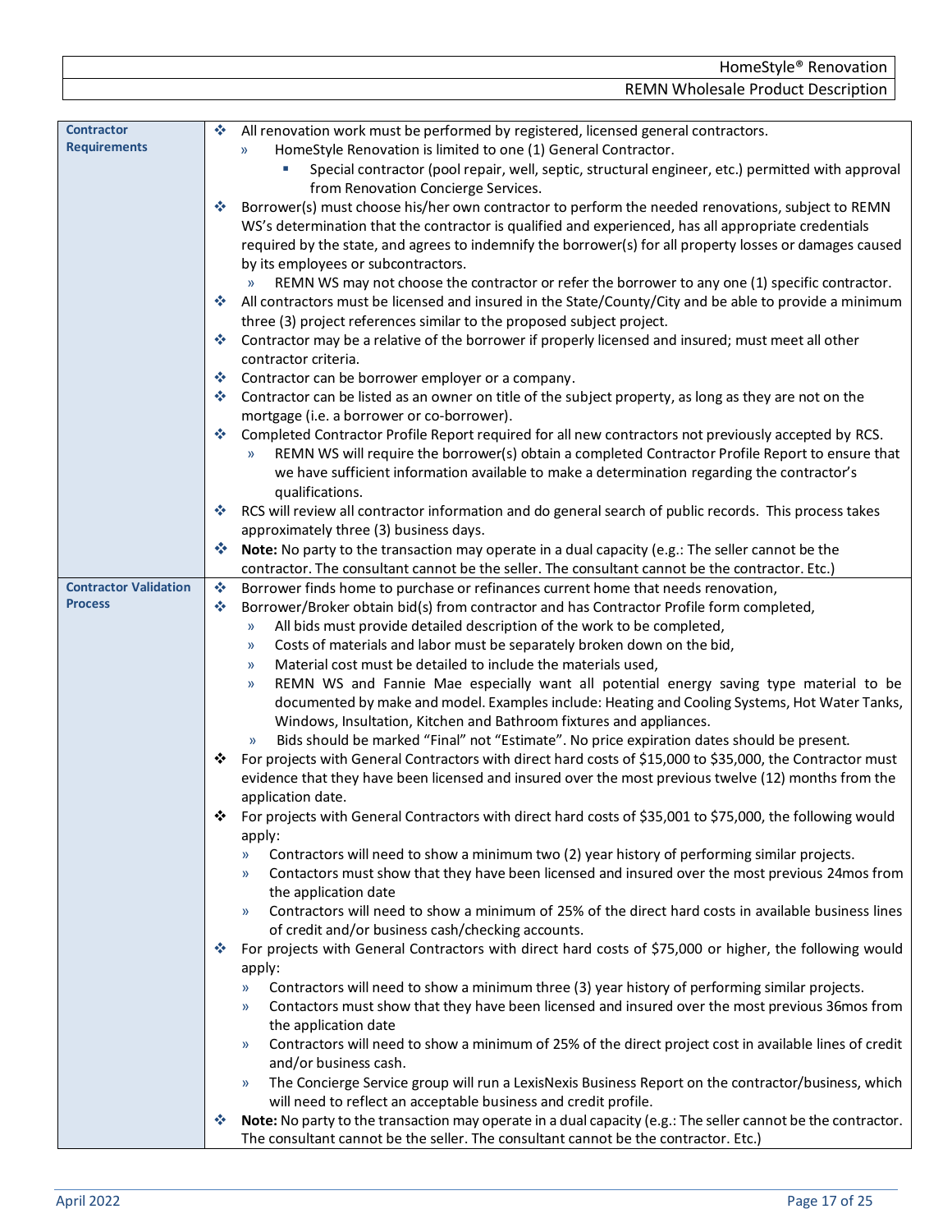<span id="page-16-1"></span><span id="page-16-0"></span>

|                                                | HomeStyle® Renovation                                                                                                                                                                |
|------------------------------------------------|--------------------------------------------------------------------------------------------------------------------------------------------------------------------------------------|
|                                                | <b>REMN Wholesale Product Description</b>                                                                                                                                            |
|                                                |                                                                                                                                                                                      |
| <b>Contractor</b>                              | All renovation work must be performed by registered, licensed general contractors.<br>❖                                                                                              |
| <b>Requirements</b>                            | HomeStyle Renovation is limited to one (1) General Contractor.<br>$\mathcal{Y}$                                                                                                      |
|                                                | Special contractor (pool repair, well, septic, structural engineer, etc.) permitted with approval                                                                                    |
|                                                | from Renovation Concierge Services.<br>Borrower(s) must choose his/her own contractor to perform the needed renovations, subject to REMN<br>❖                                        |
|                                                | WS's determination that the contractor is qualified and experienced, has all appropriate credentials                                                                                 |
|                                                | required by the state, and agrees to indemnify the borrower(s) for all property losses or damages caused                                                                             |
|                                                | by its employees or subcontractors.                                                                                                                                                  |
|                                                | REMN WS may not choose the contractor or refer the borrower to any one (1) specific contractor.<br>$\mathcal{Y}$                                                                     |
|                                                | All contractors must be licensed and insured in the State/County/City and be able to provide a minimum<br>參                                                                          |
|                                                | three (3) project references similar to the proposed subject project.                                                                                                                |
|                                                | Contractor may be a relative of the borrower if properly licensed and insured; must meet all other<br>幸                                                                              |
|                                                | contractor criteria.                                                                                                                                                                 |
|                                                | Contractor can be borrower employer or a company.<br>參                                                                                                                               |
|                                                | Contractor can be listed as an owner on title of the subject property, as long as they are not on the<br>參                                                                           |
|                                                | mortgage (i.e. a borrower or co-borrower).<br>Completed Contractor Profile Report required for all new contractors not previously accepted by RCS.<br>參                              |
|                                                | REMN WS will require the borrower(s) obtain a completed Contractor Profile Report to ensure that                                                                                     |
|                                                | we have sufficient information available to make a determination regarding the contractor's                                                                                          |
|                                                | qualifications.                                                                                                                                                                      |
|                                                | RCS will review all contractor information and do general search of public records. This process takes<br>參                                                                          |
|                                                | approximately three (3) business days.                                                                                                                                               |
|                                                | Note: No party to the transaction may operate in a dual capacity (e.g.: The seller cannot be the<br>參                                                                                |
|                                                | contractor. The consultant cannot be the seller. The consultant cannot be the contractor. Etc.)                                                                                      |
| <b>Contractor Validation</b><br><b>Process</b> | Borrower finds home to purchase or refinances current home that needs renovation,<br>參                                                                                               |
|                                                | Borrower/Broker obtain bid(s) from contractor and has Contractor Profile form completed,<br>❖                                                                                        |
|                                                | All bids must provide detailed description of the work to be completed,<br>$\mathcal{Y}$<br>Costs of materials and labor must be separately broken down on the bid,<br>$\mathcal{Y}$ |
|                                                | Material cost must be detailed to include the materials used,<br>$\mathcal{Y}$                                                                                                       |
|                                                | REMN WS and Fannie Mae especially want all potential energy saving type material to be<br>$\mathcal{Y}$                                                                              |
|                                                | documented by make and model. Examples include: Heating and Cooling Systems, Hot Water Tanks,                                                                                        |
|                                                | Windows, Insultation, Kitchen and Bathroom fixtures and appliances.                                                                                                                  |
|                                                | Bids should be marked "Final" not "Estimate". No price expiration dates should be present.<br>$\mathcal{V}$                                                                          |
|                                                | For projects with General Contractors with direct hard costs of \$15,000 to \$35,000, the Contractor must                                                                            |
|                                                | evidence that they have been licensed and insured over the most previous twelve (12) months from the                                                                                 |
|                                                | application date.<br>For projects with General Contractors with direct hard costs of \$35,001 to \$75,000, the following would<br>❖                                                  |
|                                                | apply:                                                                                                                                                                               |
|                                                | Contractors will need to show a minimum two (2) year history of performing similar projects.<br>»                                                                                    |
|                                                | Contactors must show that they have been licensed and insured over the most previous 24mos from<br>$\mathcal{Y}$                                                                     |
|                                                | the application date                                                                                                                                                                 |
|                                                | Contractors will need to show a minimum of 25% of the direct hard costs in available business lines<br>$\mathcal{Y}$                                                                 |
|                                                | of credit and/or business cash/checking accounts.                                                                                                                                    |
|                                                | For projects with General Contractors with direct hard costs of \$75,000 or higher, the following would<br>參                                                                         |
|                                                | apply:                                                                                                                                                                               |
|                                                | Contractors will need to show a minimum three (3) year history of performing similar projects.<br>))                                                                                 |
|                                                | Contactors must show that they have been licensed and insured over the most previous 36mos from<br>))                                                                                |
|                                                | the application date<br>Contractors will need to show a minimum of 25% of the direct project cost in available lines of credit<br>))                                                 |
|                                                | and/or business cash.                                                                                                                                                                |
|                                                | The Concierge Service group will run a LexisNexis Business Report on the contractor/business, which<br>$\mathcal{Y}$                                                                 |
|                                                | will need to reflect an acceptable business and credit profile.                                                                                                                      |
|                                                | Note: No party to the transaction may operate in a dual capacity (e.g.: The seller cannot be the contractor.<br>❖                                                                    |
|                                                | The consultant cannot be the seller. The consultant cannot be the contractor. Etc.)                                                                                                  |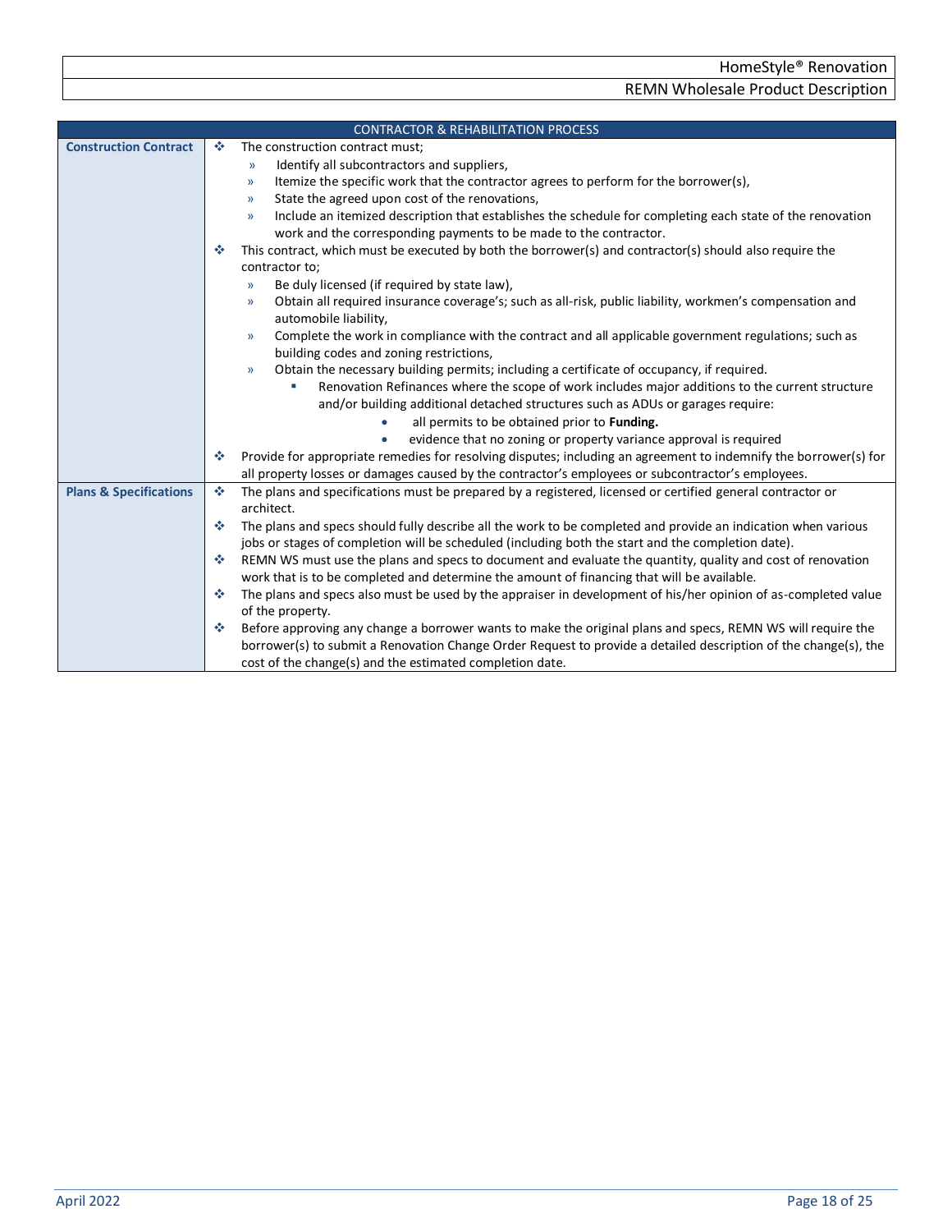<span id="page-17-1"></span><span id="page-17-0"></span>

|                                   | <b>CONTRACTOR &amp; REHABILITATION PROCESS</b>                                                                                |
|-----------------------------------|-------------------------------------------------------------------------------------------------------------------------------|
| <b>Construction Contract</b>      | The construction contract must;<br>壘                                                                                          |
|                                   | Identify all subcontractors and suppliers,<br>$\mathcal{Y}$                                                                   |
|                                   | Itemize the specific work that the contractor agrees to perform for the borrower(s),<br>$\mathcal{Y}$                         |
|                                   | State the agreed upon cost of the renovations,<br>$\mathcal{Y}$                                                               |
|                                   | Include an itemized description that establishes the schedule for completing each state of the renovation<br>$\mathcal{Y}$    |
|                                   | work and the corresponding payments to be made to the contractor.                                                             |
|                                   | This contract, which must be executed by both the borrower(s) and contractor(s) should also require the<br>泰                  |
|                                   | contractor to;                                                                                                                |
|                                   | Be duly licensed (if required by state law),<br>$\mathcal{Y}$                                                                 |
|                                   | Obtain all required insurance coverage's; such as all-risk, public liability, workmen's compensation and<br>$\mathcal{Y}$     |
|                                   | automobile liability,                                                                                                         |
|                                   | Complete the work in compliance with the contract and all applicable government regulations; such as<br>$\mathcal{Y}$         |
|                                   | building codes and zoning restrictions,                                                                                       |
|                                   | Obtain the necessary building permits; including a certificate of occupancy, if required.<br>$\mathcal{Y}$                    |
|                                   | Renovation Refinances where the scope of work includes major additions to the current structure                               |
|                                   | and/or building additional detached structures such as ADUs or garages require:                                               |
|                                   | all permits to be obtained prior to Funding.                                                                                  |
|                                   | evidence that no zoning or property variance approval is required                                                             |
|                                   | Provide for appropriate remedies for resolving disputes; including an agreement to indemnify the borrower(s) for<br>❖         |
|                                   | all property losses or damages caused by the contractor's employees or subcontractor's employees.                             |
| <b>Plans &amp; Specifications</b> | The plans and specifications must be prepared by a registered, licensed or certified general contractor or<br>参<br>architect. |
|                                   | The plans and specs should fully describe all the work to be completed and provide an indication when various<br>壘            |
|                                   | jobs or stages of completion will be scheduled (including both the start and the completion date).                            |
|                                   | REMN WS must use the plans and specs to document and evaluate the quantity, quality and cost of renovation<br>壘               |
|                                   | work that is to be completed and determine the amount of financing that will be available.                                    |
|                                   | The plans and specs also must be used by the appraiser in development of his/her opinion of as-completed value<br>壘           |
|                                   | of the property.                                                                                                              |
|                                   | Before approving any change a borrower wants to make the original plans and specs, REMN WS will require the<br>壘              |
|                                   | borrower(s) to submit a Renovation Change Order Request to provide a detailed description of the change(s), the               |
|                                   | cost of the change(s) and the estimated completion date.                                                                      |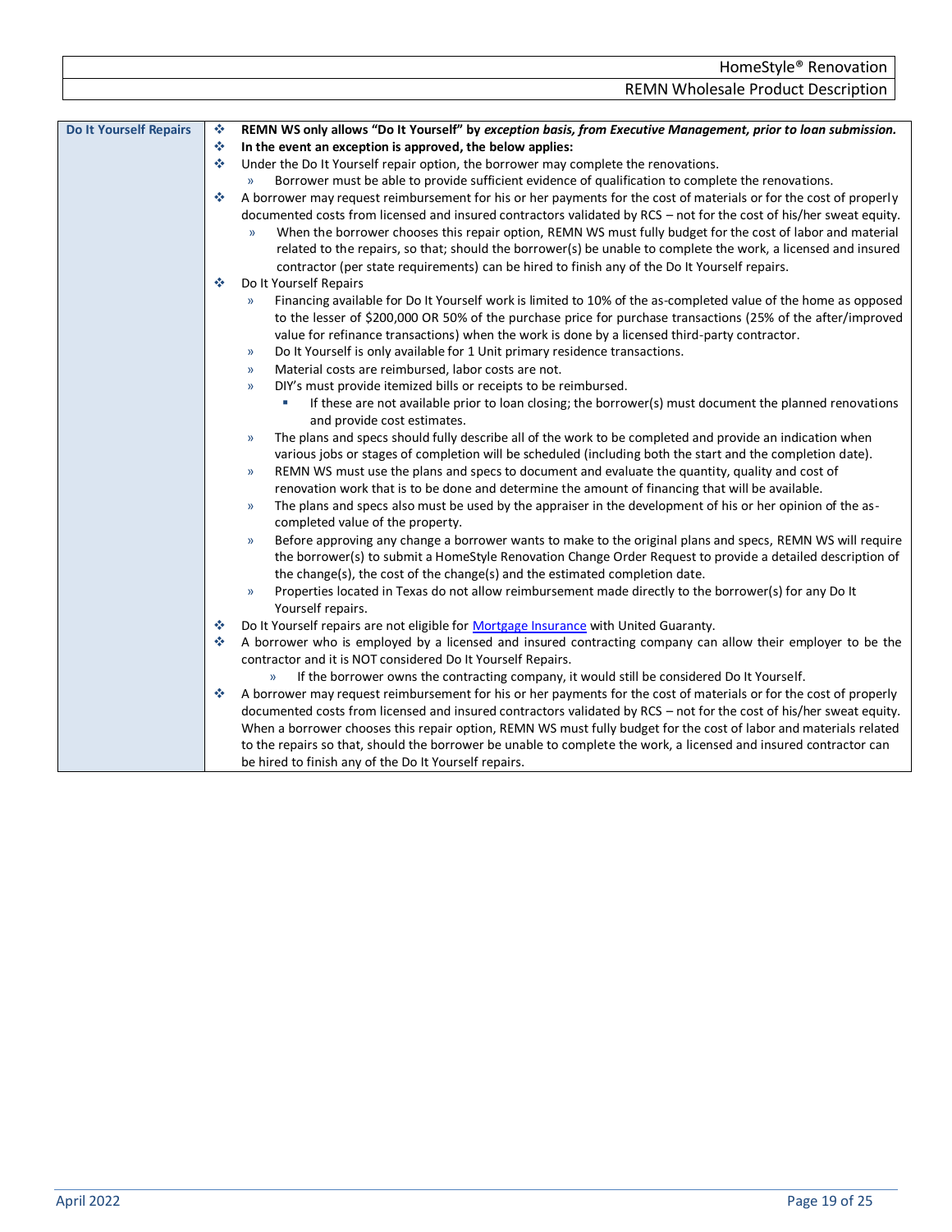<span id="page-18-0"></span>

| <b>Do It Yourself Repairs</b> | REMN WS only allows "Do It Yourself" by exception basis, from Executive Management, prior to loan submission.<br>豪              |
|-------------------------------|---------------------------------------------------------------------------------------------------------------------------------|
|                               | $\mathcal{L}_{\mathcal{S}^{\mathcal{S}}}$<br>In the event an exception is approved, the below applies:                          |
|                               | Under the Do It Yourself repair option, the borrower may complete the renovations.<br>❖                                         |
|                               | Borrower must be able to provide sufficient evidence of qualification to complete the renovations.<br>$\mathcal{Y}$             |
|                               | A borrower may request reimbursement for his or her payments for the cost of materials or for the cost of properly<br>÷         |
|                               | documented costs from licensed and insured contractors validated by RCS - not for the cost of his/her sweat equity.             |
|                               | When the borrower chooses this repair option, REMN WS must fully budget for the cost of labor and material<br>y)                |
|                               | related to the repairs, so that; should the borrower(s) be unable to complete the work, a licensed and insured                  |
|                               | contractor (per state requirements) can be hired to finish any of the Do It Yourself repairs.                                   |
|                               | Do It Yourself Repairs<br>❖                                                                                                     |
|                               | Financing available for Do It Yourself work is limited to 10% of the as-completed value of the home as opposed<br>$\mathcal{Y}$ |
|                               | to the lesser of \$200,000 OR 50% of the purchase price for purchase transactions (25% of the after/improved                    |
|                               | value for refinance transactions) when the work is done by a licensed third-party contractor.                                   |
|                               | Do It Yourself is only available for 1 Unit primary residence transactions.<br>$\mathcal{Y}$                                    |
|                               | Material costs are reimbursed, labor costs are not.<br>$\mathcal{Y}$                                                            |
|                               | DIY's must provide itemized bills or receipts to be reimbursed.<br>$\mathcal{Y}$                                                |
|                               | If these are not available prior to loan closing; the borrower(s) must document the planned renovations                         |
|                               | and provide cost estimates.                                                                                                     |
|                               | The plans and specs should fully describe all of the work to be completed and provide an indication when<br>$\mathcal{Y}$       |
|                               | various jobs or stages of completion will be scheduled (including both the start and the completion date).                      |
|                               | REMN WS must use the plans and specs to document and evaluate the quantity, quality and cost of<br>$\rangle$                    |
|                               | renovation work that is to be done and determine the amount of financing that will be available.                                |
|                               | The plans and specs also must be used by the appraiser in the development of his or her opinion of the as-<br>$\mathcal{Y}$     |
|                               | completed value of the property.                                                                                                |
|                               | Before approving any change a borrower wants to make to the original plans and specs, REMN WS will require<br>$\mathcal{Y}$     |
|                               | the borrower(s) to submit a HomeStyle Renovation Change Order Request to provide a detailed description of                      |
|                               | the change(s), the cost of the change(s) and the estimated completion date.                                                     |
|                               | Properties located in Texas do not allow reimbursement made directly to the borrower(s) for any Do It<br>$\rangle\!\rangle$     |
|                               | Yourself repairs.                                                                                                               |
|                               | Do It Yourself repairs are not eligible for Mortgage Insurance with United Guaranty.<br>❖                                       |
|                               | A borrower who is employed by a licensed and insured contracting company can allow their employer to be the<br>❖                |
|                               | contractor and it is NOT considered Do It Yourself Repairs.                                                                     |
|                               | If the borrower owns the contracting company, it would still be considered Do It Yourself.<br>$\mathcal{Y}$                     |
|                               | A borrower may request reimbursement for his or her payments for the cost of materials or for the cost of properly<br>參         |
|                               | documented costs from licensed and insured contractors validated by RCS - not for the cost of his/her sweat equity.             |
|                               | When a borrower chooses this repair option, REMN WS must fully budget for the cost of labor and materials related               |
|                               | to the repairs so that, should the borrower be unable to complete the work, a licensed and insured contractor can               |
|                               | be hired to finish any of the Do It Yourself repairs.                                                                           |
|                               |                                                                                                                                 |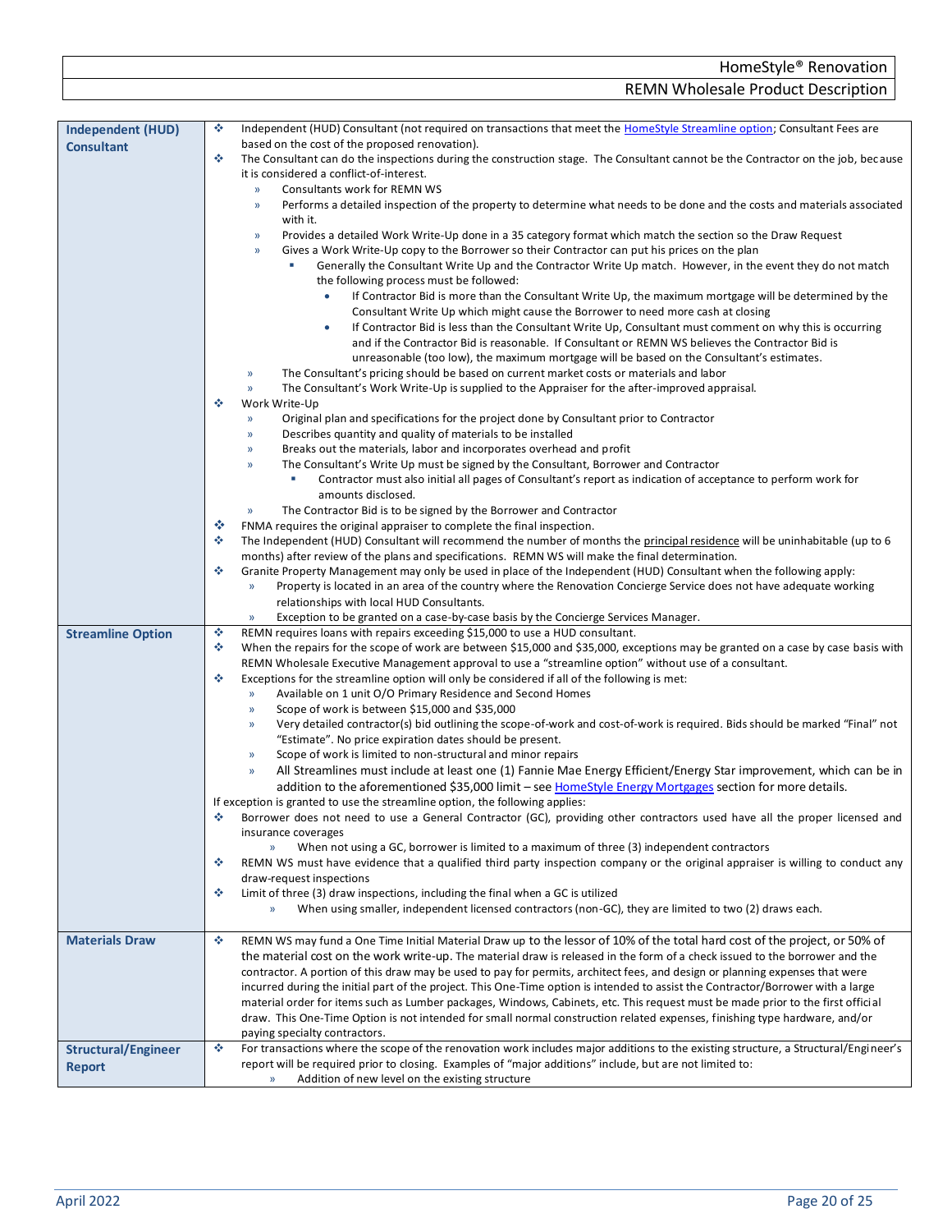<span id="page-19-0"></span>

|                          | <b>REMN Wholesale Product Description</b>                                                                                                                               |
|--------------------------|-------------------------------------------------------------------------------------------------------------------------------------------------------------------------|
|                          |                                                                                                                                                                         |
| Independent (HUD)        | ٠<br>Independent (HUD) Consultant (not required on transactions that meet the HomeStyle Streamline option; Consultant Fees are                                          |
| <b>Consultant</b>        | based on the cost of the proposed renovation).                                                                                                                          |
|                          | ٠<br>The Consultant can do the inspections during the construction stage. The Consultant cannot be the Contractor on the job, because                                   |
|                          | it is considered a conflict-of-interest.                                                                                                                                |
|                          | Consultants work for REMN WS<br>$\mathcal{V}$                                                                                                                           |
|                          | Performs a detailed inspection of the property to determine what needs to be done and the costs and materials associated<br>$\rangle\!\rangle$<br>with it.              |
|                          | Provides a detailed Work Write-Up done in a 35 category format which match the section so the Draw Request<br>$\rangle$                                                 |
|                          | Gives a Work Write-Up copy to the Borrower so their Contractor can put his prices on the plan<br>$\mathcal{Y}$                                                          |
|                          | Generally the Consultant Write Up and the Contractor Write Up match. However, in the event they do not match                                                            |
|                          | the following process must be followed:                                                                                                                                 |
|                          | If Contractor Bid is more than the Consultant Write Up, the maximum mortgage will be determined by the<br>$\bullet$                                                     |
|                          | Consultant Write Up which might cause the Borrower to need more cash at closing                                                                                         |
|                          | If Contractor Bid is less than the Consultant Write Up, Consultant must comment on why this is occurring<br>$\bullet$                                                   |
|                          | and if the Contractor Bid is reasonable. If Consultant or REMN WS believes the Contractor Bid is                                                                        |
|                          | unreasonable (too low), the maximum mortgage will be based on the Consultant's estimates.                                                                               |
|                          | The Consultant's pricing should be based on current market costs or materials and labor<br>$\mathcal{Y}$                                                                |
|                          | The Consultant's Work Write-Up is supplied to the Appraiser for the after-improved appraisal.<br>$\mathcal{V}$                                                          |
|                          | ٠<br>Work Write-Up                                                                                                                                                      |
|                          | Original plan and specifications for the project done by Consultant prior to Contractor<br>$\mathcal{D}$                                                                |
|                          | Describes quantity and quality of materials to be installed<br>$\mathcal{V}$                                                                                            |
|                          | Breaks out the materials, labor and incorporates overhead and profit<br>$\mathcal{Y}$                                                                                   |
|                          | The Consultant's Write Up must be signed by the Consultant, Borrower and Contractor<br>$\mathcal{V}$                                                                    |
|                          | Contractor must also initial all pages of Consultant's report as indication of acceptance to perform work for                                                           |
|                          | amounts disclosed.                                                                                                                                                      |
|                          | The Contractor Bid is to be signed by the Borrower and Contractor<br>$\rangle\!\rangle$                                                                                 |
|                          | ❖<br>FNMA requires the original appraiser to complete the final inspection.                                                                                             |
|                          | ٠<br>The Independent (HUD) Consultant will recommend the number of months the principal residence will be uninhabitable (up to 6                                        |
|                          | months) after review of the plans and specifications. REMN WS will make the final determination.                                                                        |
|                          | ٠<br>Granite Property Management may only be used in place of the Independent (HUD) Consultant when the following apply:                                                |
|                          | Property is located in an area of the country where the Renovation Concierge Service does not have adequate working<br>$\mathcal{V}$                                    |
|                          | relationships with local HUD Consultants.                                                                                                                               |
|                          | Exception to be granted on a case-by-case basis by the Concierge Services Manager.<br>»                                                                                 |
| <b>Streamline Option</b> | ٠<br>REMN requires loans with repairs exceeding \$15,000 to use a HUD consultant.                                                                                       |
|                          | ٠<br>When the repairs for the scope of work are between \$15,000 and \$35,000, exceptions may be granted on a case by case basis with                                   |
|                          | REMN Wholesale Executive Management approval to use a "streamline option" without use of a consultant.<br>٠                                                             |
|                          | Exceptions for the streamline option will only be considered if all of the following is met:<br>Available on 1 unit O/O Primary Residence and Second Homes<br>$\lambda$ |
|                          | Scope of work is between \$15,000 and \$35,000<br>y)                                                                                                                    |
|                          | Very detailed contractor(s) bid outlining the scope-of-work and cost-of-work is required. Bids should be marked "Final" not<br>$\mathcal{V}$                            |
|                          | "Estimate". No price expiration dates should be present.                                                                                                                |
|                          | Scope of work is limited to non-structural and minor repairs<br>$\mathcal{V}$                                                                                           |
|                          | All Streamlines must include at least one (1) Fannie Mae Energy Efficient/Energy Star improvement, which can be in<br>$\mathcal{V}$                                     |
|                          | addition to the aforementioned \$35,000 limit - see HomeStyle Energy Mortgages section for more details.                                                                |
|                          | If exception is granted to use the streamline option, the following applies:                                                                                            |
|                          | Borrower does not need to use a General Contractor (GC), providing other contractors used have all the proper licensed and<br>٠                                         |
|                          | insurance coverages                                                                                                                                                     |
|                          | When not using a GC, borrower is limited to a maximum of three (3) independent contractors<br>$\mathcal{V}$                                                             |
|                          | REMN WS must have evidence that a qualified third party inspection company or the original appraiser is willing to conduct any<br>٠                                     |
|                          | draw-request inspections                                                                                                                                                |
|                          | ٠<br>Limit of three (3) draw inspections, including the final when a GC is utilized                                                                                     |

» When using smaller, independent licensed contractors (non-GC), they are limited to two (2) draws each.

<span id="page-19-3"></span><span id="page-19-2"></span><span id="page-19-1"></span>

| <b>Materials Draw</b>                | REMN WS may fund a One Time Initial Material Draw up to the lessor of 10% of the total hard cost of the project, or 50% of<br>❖<br>the material cost on the work write-up. The material draw is released in the form of a check issued to the borrower and the<br>contractor. A portion of this draw may be used to pay for permits, architect fees, and design or planning expenses that were<br>incurred during the initial part of the project. This One-Time option is intended to assist the Contractor/Borrower with a large<br>material order for items such as Lumber packages, Windows, Cabinets, etc. This request must be made prior to the first official<br>draw. This One-Time Option is not intended for small normal construction related expenses, finishing type hardware, and/or<br>paying specialty contractors. |
|--------------------------------------|--------------------------------------------------------------------------------------------------------------------------------------------------------------------------------------------------------------------------------------------------------------------------------------------------------------------------------------------------------------------------------------------------------------------------------------------------------------------------------------------------------------------------------------------------------------------------------------------------------------------------------------------------------------------------------------------------------------------------------------------------------------------------------------------------------------------------------------|
| <b>Structural/Engineer</b><br>Report | For transactions where the scope of the renovation work includes major additions to the existing structure, a Structural/Engineer's<br>÷<br>report will be required prior to closing. Examples of "major additions" include, but are not limited to:<br>Addition of new level on the existing structure                                                                                                                                                                                                                                                                                                                                                                                                                                                                                                                              |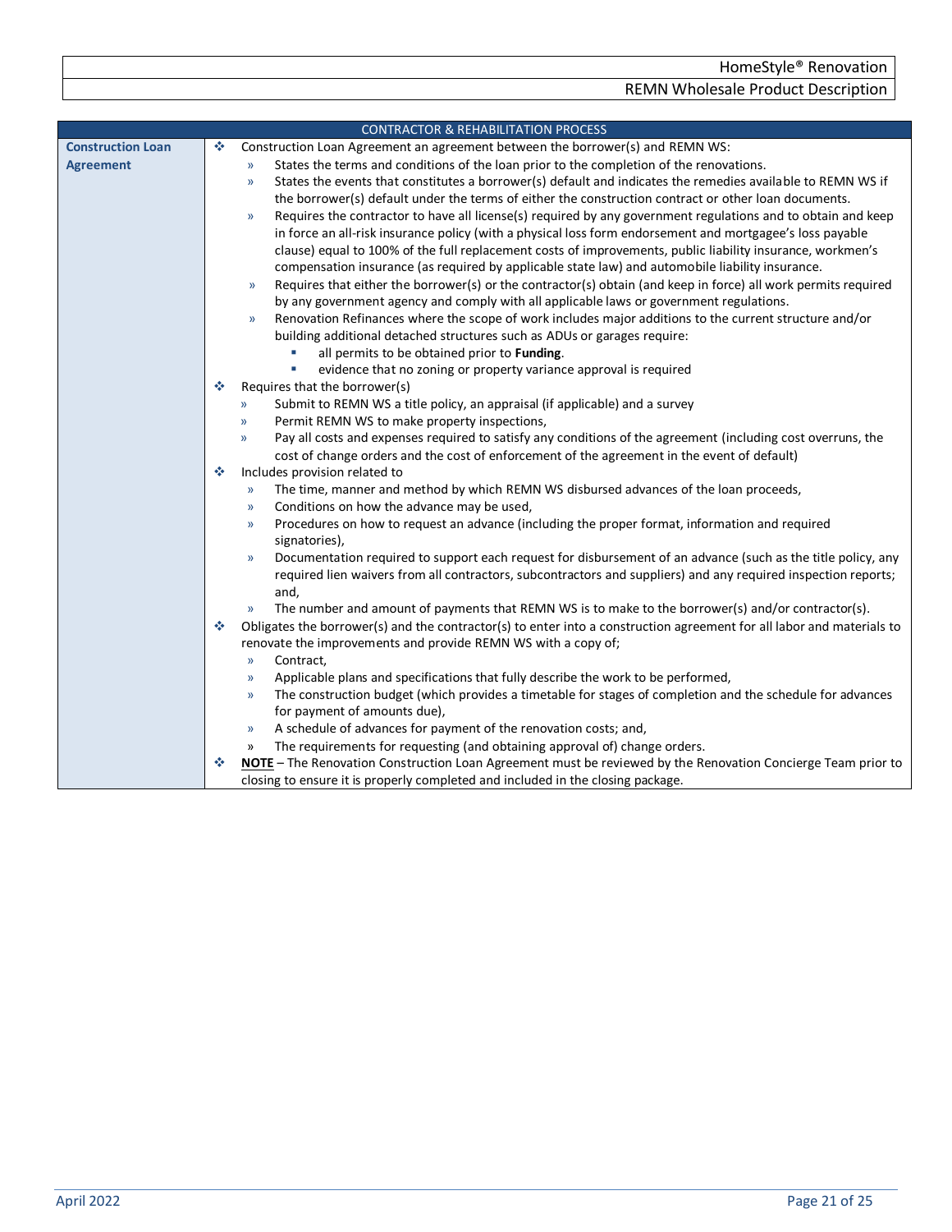<span id="page-20-0"></span>

|                          |   | <b>CONTRACTOR &amp; REHABILITATION PROCESS</b>                                                                                                              |
|--------------------------|---|-------------------------------------------------------------------------------------------------------------------------------------------------------------|
| <b>Construction Loan</b> | ❖ | Construction Loan Agreement an agreement between the borrower(s) and REMN WS:                                                                               |
| <b>Agreement</b>         |   | States the terms and conditions of the loan prior to the completion of the renovations.<br>$\mathcal{Y}$                                                    |
|                          |   | States the events that constitutes a borrower(s) default and indicates the remedies available to REMN WS if<br>$\mathcal{Y}$                                |
|                          |   | the borrower(s) default under the terms of either the construction contract or other loan documents.                                                        |
|                          |   | Requires the contractor to have all license(s) required by any government regulations and to obtain and keep<br>$\mathcal{Y}$                               |
|                          |   | in force an all-risk insurance policy (with a physical loss form endorsement and mortgagee's loss payable                                                   |
|                          |   | clause) equal to 100% of the full replacement costs of improvements, public liability insurance, workmen's                                                  |
|                          |   | compensation insurance (as required by applicable state law) and automobile liability insurance.                                                            |
|                          |   | Requires that either the borrower(s) or the contractor(s) obtain (and keep in force) all work permits required<br>$\mathcal{V}$                             |
|                          |   | by any government agency and comply with all applicable laws or government regulations.                                                                     |
|                          |   | Renovation Refinances where the scope of work includes major additions to the current structure and/or<br>$\mathcal{Y}$                                     |
|                          |   | building additional detached structures such as ADUs or garages require:                                                                                    |
|                          |   | all permits to be obtained prior to Funding.                                                                                                                |
|                          |   | ×<br>evidence that no zoning or property variance approval is required                                                                                      |
|                          | ※ | Requires that the borrower(s)                                                                                                                               |
|                          |   | Submit to REMN WS a title policy, an appraisal (if applicable) and a survey<br>$\mathcal{P}$                                                                |
|                          |   | Permit REMN WS to make property inspections,<br>$\mathcal{Y}$                                                                                               |
|                          |   | Pay all costs and expenses required to satisfy any conditions of the agreement (including cost overruns, the<br>$\mathcal{Y}$                               |
|                          |   | cost of change orders and the cost of enforcement of the agreement in the event of default)                                                                 |
|                          | ❖ | Includes provision related to                                                                                                                               |
|                          |   | The time, manner and method by which REMN WS disbursed advances of the loan proceeds,<br>$\rightarrow$                                                      |
|                          |   | Conditions on how the advance may be used,<br>$\mathcal{Y}$                                                                                                 |
|                          |   | Procedures on how to request an advance (including the proper format, information and required<br>$\mathcal{V}$                                             |
|                          |   | signatories),                                                                                                                                               |
|                          |   | Documentation required to support each request for disbursement of an advance (such as the title policy, any<br>$\mathcal{Y}$                               |
|                          |   | required lien waivers from all contractors, subcontractors and suppliers) and any required inspection reports;                                              |
|                          |   | and,                                                                                                                                                        |
|                          |   | The number and amount of payments that REMN WS is to make to the borrower(s) and/or contractor(s).<br>$\mathcal{Y}$                                         |
|                          | 壘 | Obligates the borrower(s) and the contractor(s) to enter into a construction agreement for all labor and materials to                                       |
|                          |   | renovate the improvements and provide REMN WS with a copy of;                                                                                               |
|                          |   | Contract,<br>$\mathcal{Y}$                                                                                                                                  |
|                          |   | Applicable plans and specifications that fully describe the work to be performed,<br>$\mathcal{Y}$                                                          |
|                          |   | The construction budget (which provides a timetable for stages of completion and the schedule for advances<br>$\mathcal{Y}$<br>for payment of amounts due), |
|                          |   |                                                                                                                                                             |
|                          |   | A schedule of advances for payment of the renovation costs; and,<br>$\rangle$<br>The requirements for requesting (and obtaining approval of) change orders. |
|                          |   | »<br>NOTE - The Renovation Construction Loan Agreement must be reviewed by the Renovation Concierge Team prior to                                           |
|                          |   | closing to ensure it is properly completed and included in the closing package.                                                                             |
|                          |   |                                                                                                                                                             |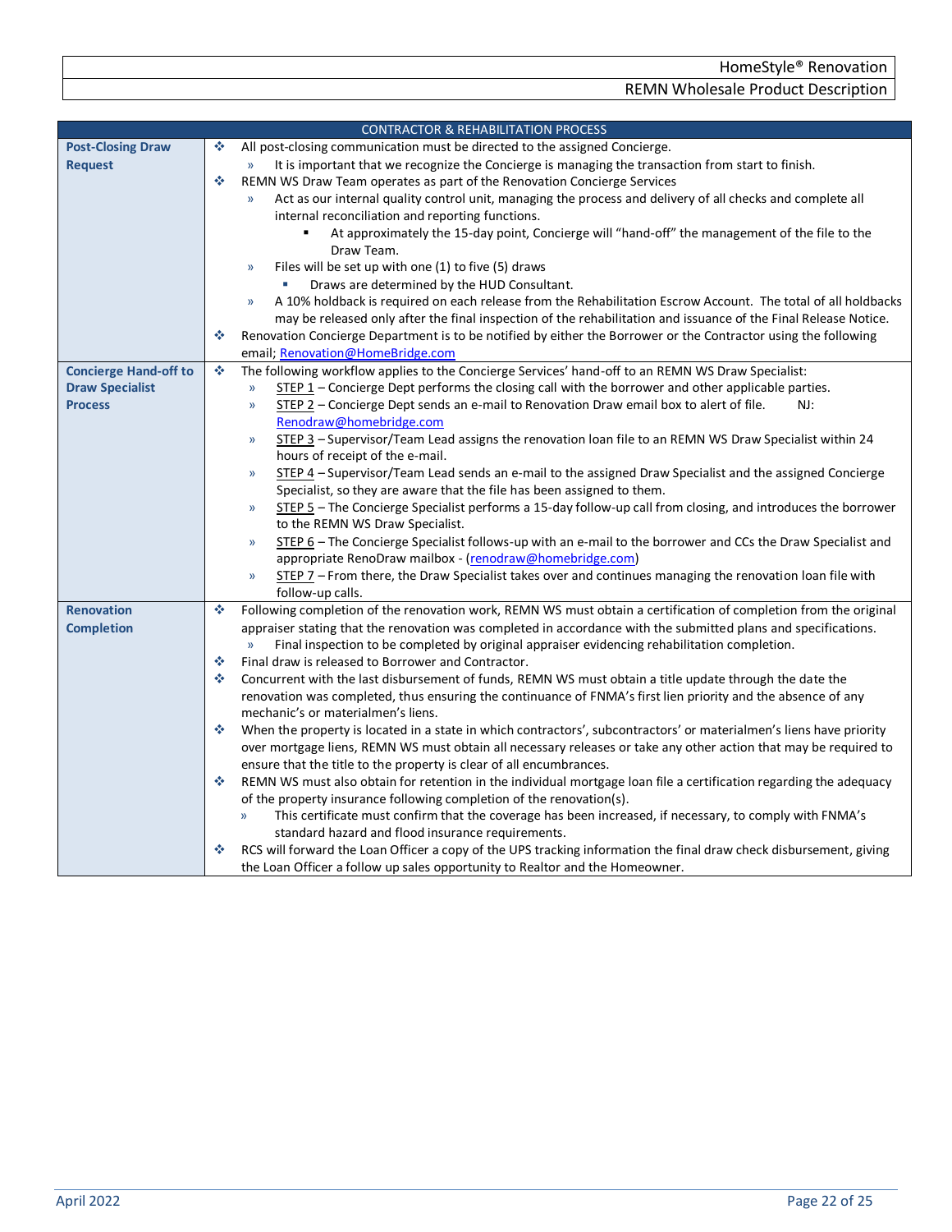<span id="page-21-2"></span><span id="page-21-1"></span><span id="page-21-0"></span>

|                              | <b>CONTRACTOR &amp; REHABILITATION PROCESS</b>                                                                                 |
|------------------------------|--------------------------------------------------------------------------------------------------------------------------------|
| <b>Post-Closing Draw</b>     | All post-closing communication must be directed to the assigned Concierge.<br>٠                                                |
| <b>Request</b>               | It is important that we recognize the Concierge is managing the transaction from start to finish.<br>$\mathcal{Y}$             |
|                              | ٠<br>REMN WS Draw Team operates as part of the Renovation Concierge Services                                                   |
|                              | Act as our internal quality control unit, managing the process and delivery of all checks and complete all<br>$\mathcal{Y}$    |
|                              | internal reconciliation and reporting functions.                                                                               |
|                              | At approximately the 15-day point, Concierge will "hand-off" the management of the file to the                                 |
|                              | Draw Team.                                                                                                                     |
|                              | Files will be set up with one (1) to five (5) draws<br>$\mathcal{Y}$                                                           |
|                              | Draws are determined by the HUD Consultant.                                                                                    |
|                              | A 10% holdback is required on each release from the Rehabilitation Escrow Account. The total of all holdbacks<br>$\mathcal{Y}$ |
|                              | may be released only after the final inspection of the rehabilitation and issuance of the Final Release Notice.                |
|                              | ٠<br>Renovation Concierge Department is to be notified by either the Borrower or the Contractor using the following            |
|                              | email; Renovation@HomeBridge.com                                                                                               |
| <b>Concierge Hand-off to</b> | ٠<br>The following workflow applies to the Concierge Services' hand-off to an REMN WS Draw Specialist:                         |
| <b>Draw Specialist</b>       | $STEP 1$ – Concierge Dept performs the closing call with the borrower and other applicable parties.<br>$\mathcal{Y}$           |
| <b>Process</b>               | STEP 2 - Concierge Dept sends an e-mail to Renovation Draw email box to alert of file.<br>NJ:<br>$\mathcal{V}$                 |
|                              | Renodraw@homebridge.com                                                                                                        |
|                              | STEP 3 - Supervisor/Team Lead assigns the renovation loan file to an REMN WS Draw Specialist within 24<br>$\mathcal{V}$        |
|                              | hours of receipt of the e-mail.                                                                                                |
|                              | STEP 4 - Supervisor/Team Lead sends an e-mail to the assigned Draw Specialist and the assigned Concierge<br>$\rangle$          |
|                              | Specialist, so they are aware that the file has been assigned to them.                                                         |
|                              | STEP 5 - The Concierge Specialist performs a 15-day follow-up call from closing, and introduces the borrower<br>$\mathcal{Y}$  |
|                              | to the REMN WS Draw Specialist.                                                                                                |
|                              | STEP 6 - The Concierge Specialist follows-up with an e-mail to the borrower and CCs the Draw Specialist and<br>$\mathcal{V}$   |
|                              | appropriate RenoDraw mailbox - (renodraw@homebridge.com)                                                                       |
|                              | STEP 7 - From there, the Draw Specialist takes over and continues managing the renovation loan file with<br>$\mathcal{Y}$      |
|                              | follow-up calls.                                                                                                               |
| <b>Renovation</b>            | Following completion of the renovation work, REMN WS must obtain a certification of completion from the original<br>٠          |
| <b>Completion</b>            | appraiser stating that the renovation was completed in accordance with the submitted plans and specifications.                 |
|                              | Final inspection to be completed by original appraiser evidencing rehabilitation completion.<br>$\mathcal{Y}$                  |
|                              | ٠<br>Final draw is released to Borrower and Contractor.                                                                        |
|                              | ٠<br>Concurrent with the last disbursement of funds, REMN WS must obtain a title update through the date the                   |
|                              | renovation was completed, thus ensuring the continuance of FNMA's first lien priority and the absence of any                   |
|                              | mechanic's or materialmen's liens.                                                                                             |
|                              | When the property is located in a state in which contractors', subcontractors' or materialmen's liens have priority<br>❖       |
|                              | over mortgage liens, REMN WS must obtain all necessary releases or take any other action that may be required to               |
|                              | ensure that the title to the property is clear of all encumbrances.                                                            |
|                              | ❖<br>REMN WS must also obtain for retention in the individual mortgage loan file a certification regarding the adequacy        |
|                              | of the property insurance following completion of the renovation(s).                                                           |
|                              | This certificate must confirm that the coverage has been increased, if necessary, to comply with FNMA's<br>$\mathcal{Y}$       |
|                              | standard hazard and flood insurance requirements.                                                                              |
|                              | RCS will forward the Loan Officer a copy of the UPS tracking information the final draw check disbursement, giving             |
|                              | the Loan Officer a follow up sales opportunity to Realtor and the Homeowner.                                                   |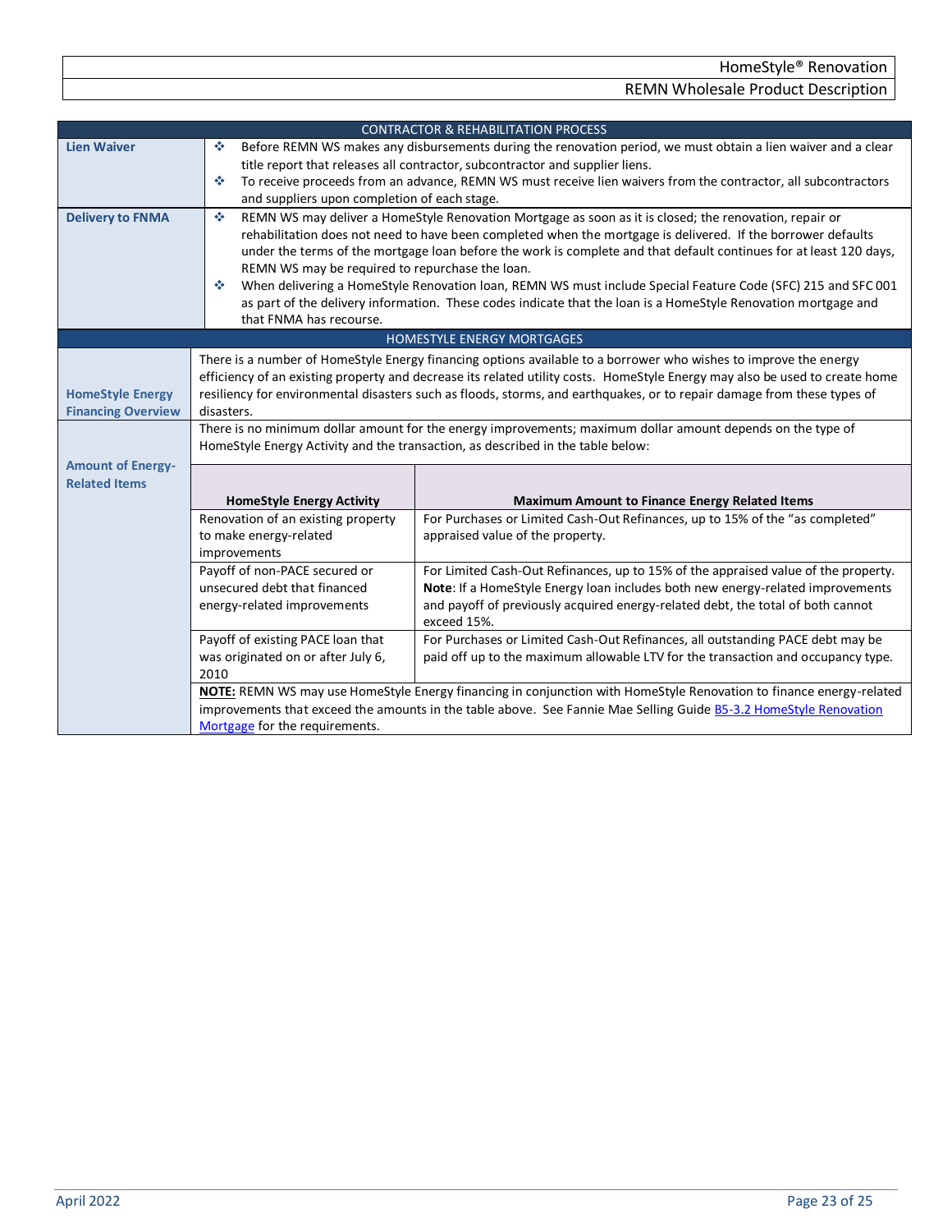<span id="page-22-3"></span><span id="page-22-2"></span><span id="page-22-1"></span><span id="page-22-0"></span>

| <b>CONTRACTOR &amp; REHABILITATION PROCESS</b> |                                                                                                                                                                                                                                                        |                                                                                                                     |  |
|------------------------------------------------|--------------------------------------------------------------------------------------------------------------------------------------------------------------------------------------------------------------------------------------------------------|---------------------------------------------------------------------------------------------------------------------|--|
| <b>Lien Waiver</b>                             | ❖                                                                                                                                                                                                                                                      | Before REMN WS makes any disbursements during the renovation period, we must obtain a lien waiver and a clear       |  |
|                                                |                                                                                                                                                                                                                                                        | title report that releases all contractor, subcontractor and supplier liens.                                        |  |
|                                                | ❖<br>and suppliers upon completion of each stage.                                                                                                                                                                                                      | To receive proceeds from an advance, REMN WS must receive lien waivers from the contractor, all subcontractors      |  |
| <b>Delivery to FNMA</b>                        | $\mathcal{L}_{\mathcal{C}}$                                                                                                                                                                                                                            | REMN WS may deliver a HomeStyle Renovation Mortgage as soon as it is closed; the renovation, repair or              |  |
|                                                |                                                                                                                                                                                                                                                        | rehabilitation does not need to have been completed when the mortgage is delivered. If the borrower defaults        |  |
|                                                |                                                                                                                                                                                                                                                        | under the terms of the mortgage loan before the work is complete and that default continues for at least 120 days,  |  |
|                                                | REMN WS may be required to repurchase the loan.                                                                                                                                                                                                        |                                                                                                                     |  |
|                                                | ❖                                                                                                                                                                                                                                                      | When delivering a HomeStyle Renovation Ioan, REMN WS must include Special Feature Code (SFC) 215 and SFC 001        |  |
|                                                | that FNMA has recourse.                                                                                                                                                                                                                                | as part of the delivery information. These codes indicate that the loan is a HomeStyle Renovation mortgage and      |  |
|                                                |                                                                                                                                                                                                                                                        | HOMESTYLE ENERGY MORTGAGES                                                                                          |  |
|                                                |                                                                                                                                                                                                                                                        |                                                                                                                     |  |
|                                                |                                                                                                                                                                                                                                                        | There is a number of HomeStyle Energy financing options available to a borrower who wishes to improve the energy    |  |
| <b>HomeStyle Energy</b>                        | efficiency of an existing property and decrease its related utility costs. HomeStyle Energy may also be used to create home<br>resiliency for environmental disasters such as floods, storms, and earthquakes, or to repair damage from these types of |                                                                                                                     |  |
| <b>Financing Overview</b>                      | disasters.                                                                                                                                                                                                                                             |                                                                                                                     |  |
|                                                | There is no minimum dollar amount for the energy improvements; maximum dollar amount depends on the type of                                                                                                                                            |                                                                                                                     |  |
|                                                | HomeStyle Energy Activity and the transaction, as described in the table below:                                                                                                                                                                        |                                                                                                                     |  |
| <b>Amount of Energy-</b>                       |                                                                                                                                                                                                                                                        |                                                                                                                     |  |
| <b>Related Items</b>                           |                                                                                                                                                                                                                                                        |                                                                                                                     |  |
|                                                | <b>HomeStyle Energy Activity</b>                                                                                                                                                                                                                       | <b>Maximum Amount to Finance Energy Related Items</b>                                                               |  |
|                                                | Renovation of an existing property<br>to make energy-related                                                                                                                                                                                           | For Purchases or Limited Cash-Out Refinances, up to 15% of the "as completed"<br>appraised value of the property.   |  |
|                                                | improvements                                                                                                                                                                                                                                           |                                                                                                                     |  |
|                                                | Payoff of non-PACE secured or                                                                                                                                                                                                                          | For Limited Cash-Out Refinances, up to 15% of the appraised value of the property.                                  |  |
|                                                | unsecured debt that financed                                                                                                                                                                                                                           | Note: If a HomeStyle Energy loan includes both new energy-related improvements                                      |  |
|                                                | energy-related improvements                                                                                                                                                                                                                            | and payoff of previously acquired energy-related debt, the total of both cannot                                     |  |
|                                                |                                                                                                                                                                                                                                                        | exceed 15%.                                                                                                         |  |
|                                                | Payoff of existing PACE loan that                                                                                                                                                                                                                      | For Purchases or Limited Cash-Out Refinances, all outstanding PACE debt may be                                      |  |
|                                                | was originated on or after July 6,<br>2010                                                                                                                                                                                                             | paid off up to the maximum allowable LTV for the transaction and occupancy type.                                    |  |
|                                                |                                                                                                                                                                                                                                                        | NOTE: REMN WS may use HomeStyle Energy financing in conjunction with HomeStyle Renovation to finance energy-related |  |
|                                                |                                                                                                                                                                                                                                                        | improvements that exceed the amounts in the table above. See Fannie Mae Selling Guide B5-3.2 HomeStyle Renovation   |  |
|                                                | Mortgage for the requirements.                                                                                                                                                                                                                         |                                                                                                                     |  |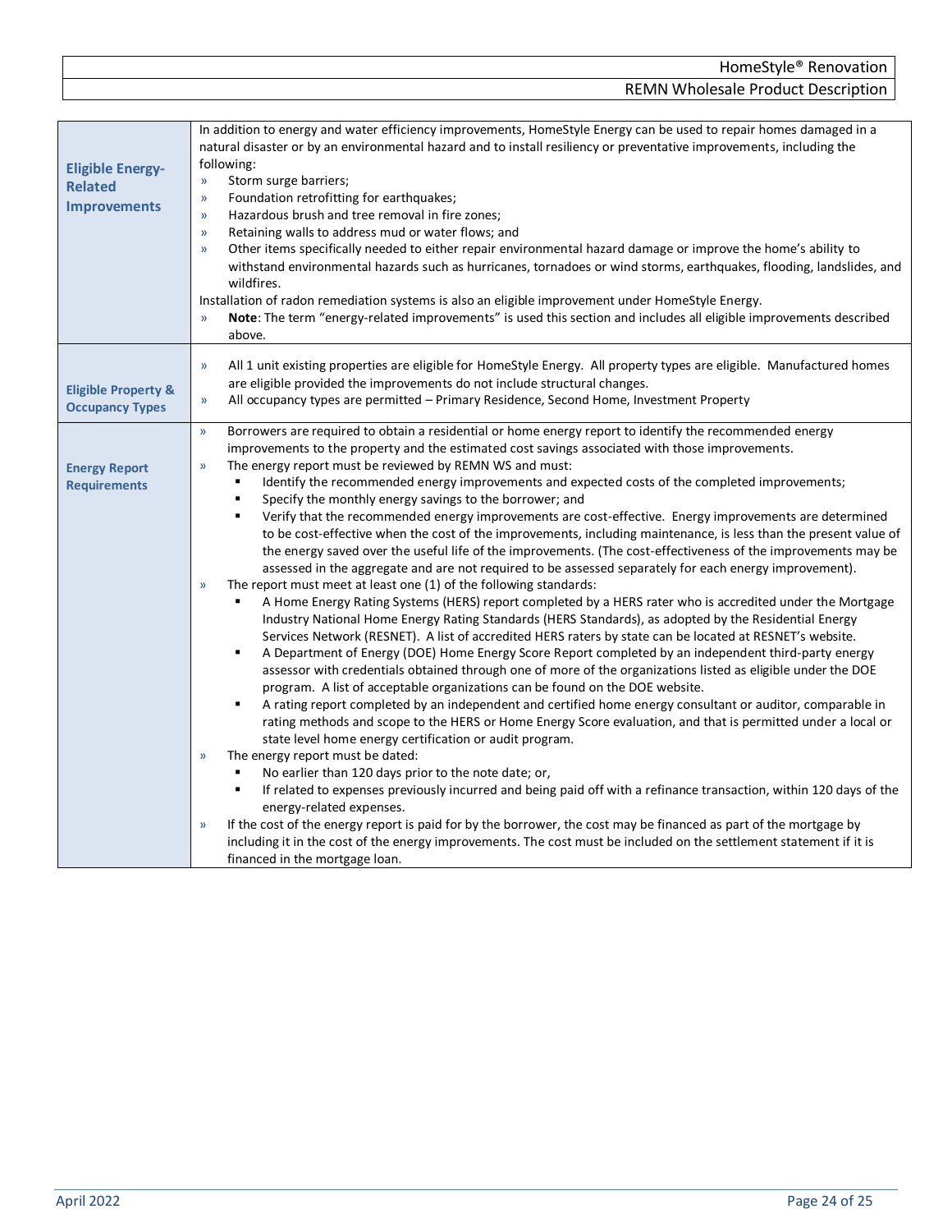<span id="page-23-2"></span><span id="page-23-1"></span><span id="page-23-0"></span>

| <b>Eligible Energy-</b><br><b>Related</b><br><b>Improvements</b> | In addition to energy and water efficiency improvements, HomeStyle Energy can be used to repair homes damaged in a<br>natural disaster or by an environmental hazard and to install resiliency or preventative improvements, including the<br>following:<br>Storm surge barriers;<br>$\mathcal{Y}$<br>Foundation retrofitting for earthquakes;<br>$\mathcal{Y}$<br>Hazardous brush and tree removal in fire zones;<br>$\mathcal{Y}$<br>Retaining walls to address mud or water flows; and<br>$\mathcal{Y}$<br>Other items specifically needed to either repair environmental hazard damage or improve the home's ability to<br>$\mathcal{V}$<br>withstand environmental hazards such as hurricanes, tornadoes or wind storms, earthquakes, flooding, landslides, and<br>wildfires.<br>Installation of radon remediation systems is also an eligible improvement under HomeStyle Energy.<br>Note: The term "energy-related improvements" is used this section and includes all eligible improvements described<br>$\mathcal{Y}$<br>above.                                                                                                                                                                                                                                                                                                                                                                                                                                                                                                                                                                                                                                                                                                                                                                                                                                                                                                                                                                                                                                                                                                                                                                                                                                                                                                                                                                                                                                                                                                      |
|------------------------------------------------------------------|-----------------------------------------------------------------------------------------------------------------------------------------------------------------------------------------------------------------------------------------------------------------------------------------------------------------------------------------------------------------------------------------------------------------------------------------------------------------------------------------------------------------------------------------------------------------------------------------------------------------------------------------------------------------------------------------------------------------------------------------------------------------------------------------------------------------------------------------------------------------------------------------------------------------------------------------------------------------------------------------------------------------------------------------------------------------------------------------------------------------------------------------------------------------------------------------------------------------------------------------------------------------------------------------------------------------------------------------------------------------------------------------------------------------------------------------------------------------------------------------------------------------------------------------------------------------------------------------------------------------------------------------------------------------------------------------------------------------------------------------------------------------------------------------------------------------------------------------------------------------------------------------------------------------------------------------------------------------------------------------------------------------------------------------------------------------------------------------------------------------------------------------------------------------------------------------------------------------------------------------------------------------------------------------------------------------------------------------------------------------------------------------------------------------------------------------------------------------------------------------------------------------------------------------------|
| <b>Eligible Property &amp;</b><br><b>Occupancy Types</b>         | All 1 unit existing properties are eligible for HomeStyle Energy. All property types are eligible. Manufactured homes<br>$\mathcal{Y}$<br>are eligible provided the improvements do not include structural changes.<br>All occupancy types are permitted - Primary Residence, Second Home, Investment Property<br>$\mathcal{Y}$                                                                                                                                                                                                                                                                                                                                                                                                                                                                                                                                                                                                                                                                                                                                                                                                                                                                                                                                                                                                                                                                                                                                                                                                                                                                                                                                                                                                                                                                                                                                                                                                                                                                                                                                                                                                                                                                                                                                                                                                                                                                                                                                                                                                               |
| <b>Energy Report</b><br><b>Requirements</b>                      | Borrowers are required to obtain a residential or home energy report to identify the recommended energy<br>$\mathcal{Y}$<br>improvements to the property and the estimated cost savings associated with those improvements.<br>The energy report must be reviewed by REMN WS and must:<br>$\mathcal{Y}$<br>Identify the recommended energy improvements and expected costs of the completed improvements;<br>Specify the monthly energy savings to the borrower; and<br>Verify that the recommended energy improvements are cost-effective. Energy improvements are determined<br>٠<br>to be cost-effective when the cost of the improvements, including maintenance, is less than the present value of<br>the energy saved over the useful life of the improvements. (The cost-effectiveness of the improvements may be<br>assessed in the aggregate and are not required to be assessed separately for each energy improvement).<br>The report must meet at least one (1) of the following standards:<br>$\mathcal{Y}$<br>A Home Energy Rating Systems (HERS) report completed by a HERS rater who is accredited under the Mortgage<br>Industry National Home Energy Rating Standards (HERS Standards), as adopted by the Residential Energy<br>Services Network (RESNET). A list of accredited HERS raters by state can be located at RESNET's website.<br>A Department of Energy (DOE) Home Energy Score Report completed by an independent third-party energy<br>٠<br>assessor with credentials obtained through one of more of the organizations listed as eligible under the DOE<br>program. A list of acceptable organizations can be found on the DOE website.<br>A rating report completed by an independent and certified home energy consultant or auditor, comparable in<br>٠<br>rating methods and scope to the HERS or Home Energy Score evaluation, and that is permitted under a local or<br>state level home energy certification or audit program.<br>The energy report must be dated:<br>$\mathcal{V}$<br>No earlier than 120 days prior to the note date; or,<br>٠<br>If related to expenses previously incurred and being paid off with a refinance transaction, within 120 days of the<br>٠<br>energy-related expenses.<br>If the cost of the energy report is paid for by the borrower, the cost may be financed as part of the mortgage by<br>$\mathcal{V}$<br>including it in the cost of the energy improvements. The cost must be included on the settlement statement if it is<br>financed in the mortgage loan. |